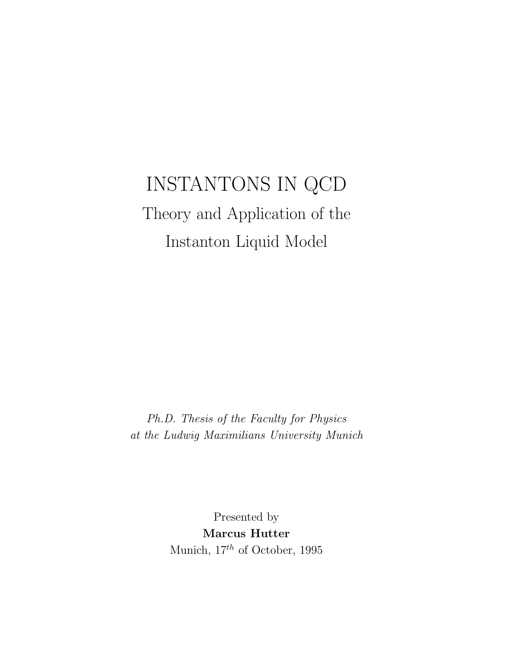# INSTANTONS IN QCD Theory and Application of the Instanton Liquid Model

Ph.D. Thesis of the Faculty for Physics at the Ludwig Maximilians University Munich

> Presented by Marcus Hutter Munich,  $17^{th}$  of October, 1995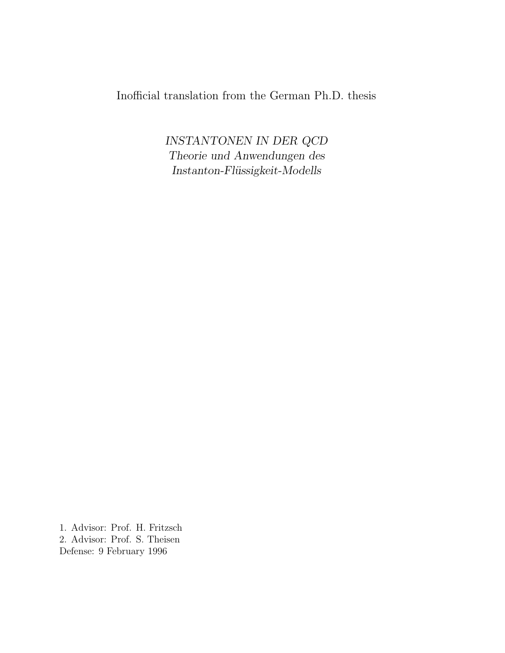# Inofficial translation from the German Ph.D. thesis

INSTANTONEN IN DER QCD Theorie und Anwendungen des  $Instanton-Fliissigkeit-Modells$ 

1. Advisor: Prof. H. Fritzsch 2. Advisor: Prof. S. Theisen Defense: 9 February 1996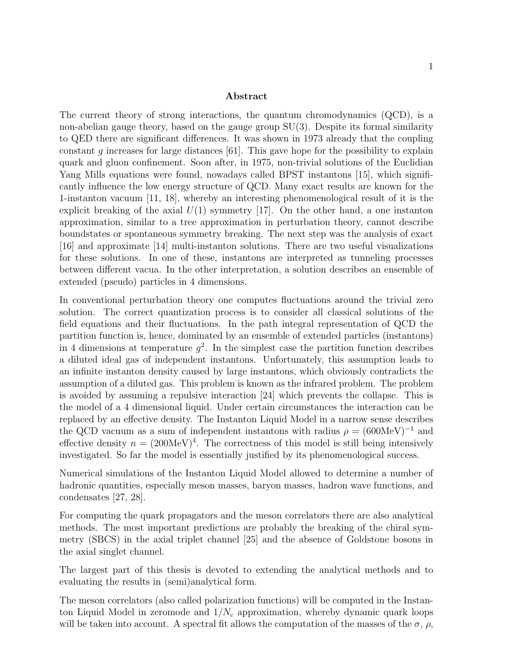#### Abstract

The current theory of strong interactions, the quantum chromodynamics (QCD), is a non-abelian gauge theory, based on the gauge group SU(3). Despite its formal similarity to QED there are significant differences. It was shown in 1973 already that the coupling constant g increases for large distances [61]. This gave hope for the possibility to explain quark and gluon confinement. Soon after, in 1975, non-trivial solutions of the Euclidian Yang Mills equations were found, nowadays called BPST instantons [15], which significantly influence the low energy structure of QCD. Many exact results are known for the 1-instanton vacuum [11, 18], whereby an interesting phenomenological result of it is the explicit breaking of the axial  $U(1)$  symmetry [17]. On the other hand, a one instanton approximation, similar to a tree approximation in perturbation theory, cannot describe boundstates or spontaneous symmetry breaking. The next step was the analysis of exact [16] and approximate [14] multi-instanton solutions. There are two useful visualizations for these solutions. In one of these, instantons are interpreted as tunneling processes between different vacua. In the other interpretation, a solution describes an ensemble of extended (pseudo) particles in 4 dimensions.

In conventional perturbation theory one computes fluctuations around the trivial zero solution. The correct quantization process is to consider all classical solutions of the field equations and their fluctuations. In the path integral representation of QCD the partition function is, hence, dominated by an ensemble of extended particles (instantons) in 4 dimensions at temperature  $g^2$ . In the simplest case the partition function describes a diluted ideal gas of independent instantons. Unfortunately, this assumption leads to an infinite instanton density caused by large instantons, which obviously contradicts the assumption of a diluted gas. This problem is known as the infrared problem. The problem is avoided by assuming a repulsive interaction [24] which prevents the collapse. This is the model of a 4 dimensional liquid. Under certain circumstances the interaction can be replaced by an effective density. The Instanton Liquid Model in a narrow sense describes the QCD vacuum as a sum of independent instantons with radius  $\rho = (600 \text{MeV})^{-1}$  and effective density  $n = (200 \text{MeV})^4$ . The correctness of this model is still being intensively investigated. So far the model is essentially justified by its phenomenological success.

Numerical simulations of the Instanton Liquid Model allowed to determine a number of hadronic quantities, especially meson masses, baryon masses, hadron wave functions, and condensates [27, 28].

For computing the quark propagators and the meson correlators there are also analytical methods. The most important predictions are probably the breaking of the chiral symmetry (SBCS) in the axial triplet channel [25] and the absence of Goldstone bosons in the axial singlet channel.

The largest part of this thesis is devoted to extending the analytical methods and to evaluating the results in (semi)analytical form.

The meson correlators (also called polarization functions) will be computed in the Instanton Liquid Model in zeromode and  $1/N_c$  approximation, whereby dynamic quark loops will be taken into account. A spectral fit allows the computation of the masses of the  $\sigma$ ,  $\rho$ ,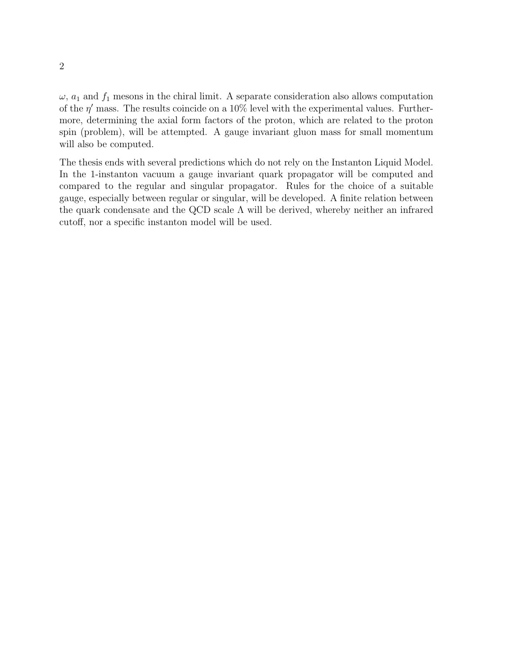$\omega$ ,  $a_1$  and  $f_1$  mesons in the chiral limit. A separate consideration also allows computation of the  $\eta'$  mass. The results coincide on a 10% level with the experimental values. Furthermore, determining the axial form factors of the proton, which are related to the proton spin (problem), will be attempted. A gauge invariant gluon mass for small momentum will also be computed.

The thesis ends with several predictions which do not rely on the Instanton Liquid Model. In the 1-instanton vacuum a gauge invariant quark propagator will be computed and compared to the regular and singular propagator. Rules for the choice of a suitable gauge, especially between regular or singular, will be developed. A finite relation between the quark condensate and the QCD scale  $\Lambda$  will be derived, whereby neither an infrared cutoff, nor a specific instanton model will be used.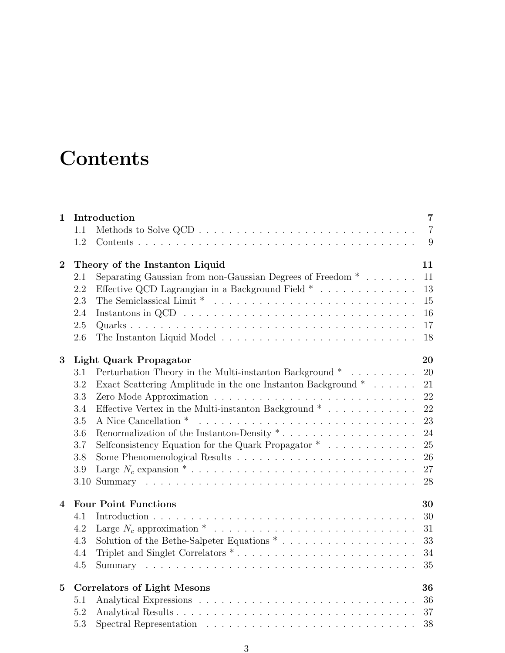# **Contents**

| Introduction<br>1 |                                          |                                                                                  | $\overline{7}$ |
|-------------------|------------------------------------------|----------------------------------------------------------------------------------|----------------|
|                   | 1.1                                      |                                                                                  | $\overline{7}$ |
|                   | 1.2                                      |                                                                                  | 9              |
| $\overline{2}$    |                                          | Theory of the Instanton Liquid                                                   | 11             |
|                   | 2.1                                      | Separating Gaussian from non-Gaussian Degrees of Freedom $*$                     | 11             |
|                   | 2.2                                      | Effective QCD Lagrangian in a Background Field $*$                               | 13             |
|                   | 2.3                                      |                                                                                  | 15             |
|                   | 2.4                                      |                                                                                  | 16             |
|                   | $2.5\,$                                  |                                                                                  | 17             |
|                   | 2.6                                      |                                                                                  | 18             |
| 3                 |                                          | <b>Light Quark Propagator</b>                                                    | 20             |
|                   | 3.1                                      | Perturbation Theory in the Multi-instanton Background * $\ldots \ldots \ldots$   | 20             |
|                   | 3.2                                      | Exact Scattering Amplitude in the one Instanton Background $*$                   | 21             |
|                   | 3.3                                      |                                                                                  | 22             |
|                   | 3.4                                      | Effective Vertex in the Multi-instanton Background $*$                           | 22             |
|                   | 3.5                                      |                                                                                  | 23             |
|                   | 3.6                                      | Renormalization of the Instanton-Density $* \dots \dots \dots \dots \dots \dots$ | 24             |
|                   | 3.7                                      | Selfconsistency Equation for the Quark Propagator $*$                            | 25             |
|                   | 3.8                                      |                                                                                  | 26             |
|                   | $3.9\,$                                  |                                                                                  | 27             |
|                   | $3.10\,$                                 |                                                                                  | 28             |
| $\overline{4}$    |                                          | <b>Four Point Functions</b>                                                      | 30             |
|                   | 4.1                                      |                                                                                  | 30             |
|                   | 4.2                                      |                                                                                  | 31             |
|                   | 4.3                                      |                                                                                  | 33             |
|                   | 4.4                                      |                                                                                  | 34             |
|                   | 4.5                                      |                                                                                  | 35             |
| $\overline{5}$    | <b>Correlators of Light Mesons</b><br>36 |                                                                                  |                |
|                   | 5.1                                      |                                                                                  | 36             |
|                   | 5.2                                      |                                                                                  | 37             |
|                   | 5.3                                      |                                                                                  | 38             |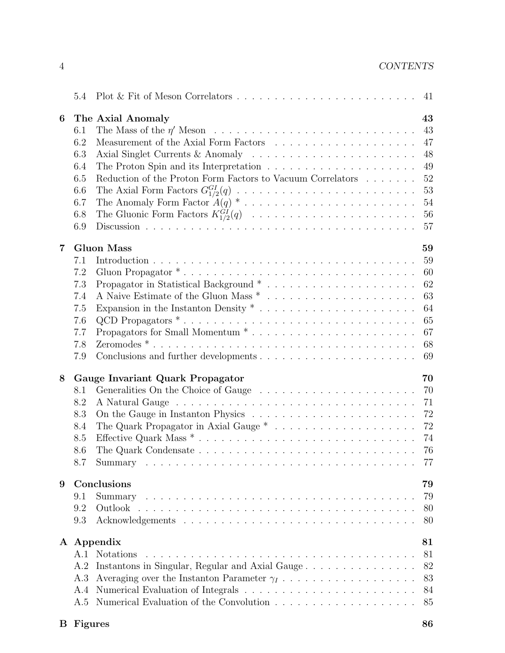| 6 |     | The Axial Anomaly                                                                                 | 43 |
|---|-----|---------------------------------------------------------------------------------------------------|----|
|   | 6.1 |                                                                                                   | 43 |
|   | 6.2 |                                                                                                   | 47 |
|   | 6.3 |                                                                                                   | 48 |
|   | 6.4 |                                                                                                   | 49 |
|   | 6.5 | Reduction of the Proton Form Factors to Vacuum Correlators                                        | 52 |
|   | 6.6 |                                                                                                   | 53 |
|   | 6.7 | The Anomaly Form Factor $A(q) * \ldots * \ldots * \ldots * \ldots * \ldots * \ldots$              | 54 |
|   | 6.8 |                                                                                                   | 56 |
|   | 6.9 |                                                                                                   | 57 |
| 7 |     | <b>Gluon Mass</b>                                                                                 | 59 |
|   | 7.1 |                                                                                                   | 59 |
|   | 7.2 |                                                                                                   | 60 |
|   |     | Gluon Propagator <sup>*</sup>                                                                     |    |
|   | 7.3 |                                                                                                   | 62 |
|   | 7.4 |                                                                                                   | 63 |
|   | 7.5 |                                                                                                   | 64 |
|   | 7.6 | QCD Propagators $* \dots \dots \dots \dots \dots \dots \dots \dots \dots \dots \dots \dots \dots$ | 65 |
|   | 7.7 |                                                                                                   | 67 |
|   | 7.8 |                                                                                                   | 68 |
|   | 7.9 |                                                                                                   | 69 |
| 8 |     | Gauge Invariant Quark Propagator                                                                  | 70 |
|   | 8.1 |                                                                                                   | 70 |
|   | 8.2 |                                                                                                   | 71 |
|   | 8.3 |                                                                                                   | 72 |
|   | 8.4 |                                                                                                   | 72 |
|   | 8.5 |                                                                                                   | 74 |
|   | 8.6 |                                                                                                   | 76 |
|   |     |                                                                                                   |    |
| 9 |     | Conclusions                                                                                       | 79 |
|   | 9.1 | Summary                                                                                           | 79 |
|   | 9.2 | Outlook                                                                                           | 80 |
|   | 9.3 |                                                                                                   | 80 |
|   |     |                                                                                                   |    |
|   |     | A Appendix                                                                                        | 81 |
|   | A.1 | <b>Notations</b>                                                                                  | 81 |
|   | A.2 | Instantons in Singular, Regular and Axial Gauge                                                   | 82 |
|   | A.3 |                                                                                                   | 83 |
|   | A.4 |                                                                                                   | 84 |
|   | A.5 |                                                                                                   | 85 |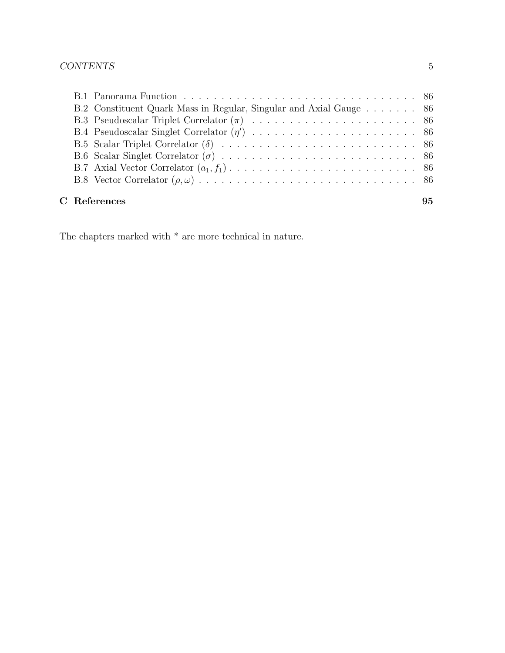|  | B.2 Constituent Quark Mass in Regular, Singular and Axial Gauge 86 |    |
|--|--------------------------------------------------------------------|----|
|  |                                                                    |    |
|  |                                                                    |    |
|  |                                                                    |    |
|  |                                                                    |    |
|  |                                                                    |    |
|  |                                                                    |    |
|  |                                                                    |    |
|  | C References                                                       | 95 |

The chapters marked with  $^\ast$  are more technical in nature.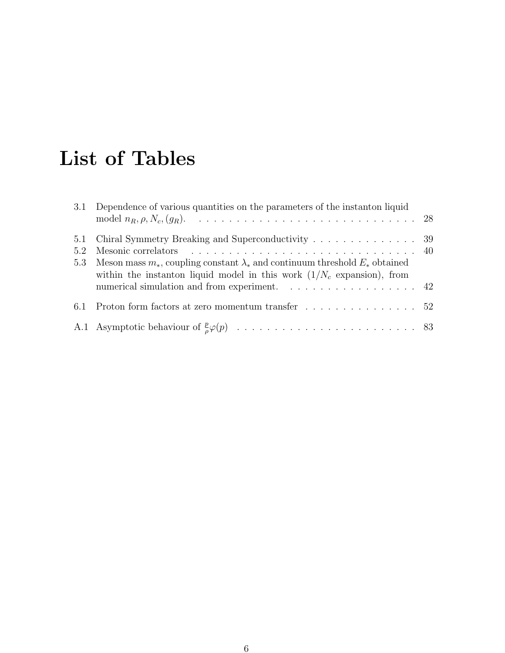# List of Tables

|            | 3.1 Dependence of various quantities on the parameters of the instanton liquid                                                                                                                                               |  |
|------------|------------------------------------------------------------------------------------------------------------------------------------------------------------------------------------------------------------------------------|--|
| 5.2<br>5.3 | Meson mass $m_*$ , coupling constant $\lambda_*$ and continuum threshold $E_*$ obtained<br>within the instanton liquid model in this work $(1/N_c \text{ expansion})$ , from<br>numerical simulation and from experiment. 42 |  |
|            | 6.1 Proton form factors at zero momentum transfer 52                                                                                                                                                                         |  |
|            |                                                                                                                                                                                                                              |  |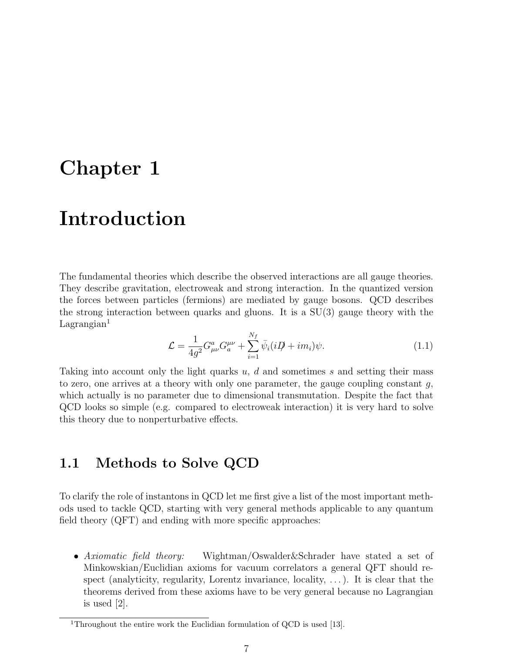# Chapter 1

# Introduction

The fundamental theories which describe the observed interactions are all gauge theories. They describe gravitation, electroweak and strong interaction. In the quantized version the forces between particles (fermions) are mediated by gauge bosons. QCD describes the strong interaction between quarks and gluons. It is a SU(3) gauge theory with the  $Lagrangian<sup>1</sup>$ 

$$
\mathcal{L} = \frac{1}{4g^2} G^a_{\mu\nu} G^{\mu\nu}_a + \sum_{i=1}^{N_f} \bar{\psi}_i (i\mathcal{D} + im_i)\psi.
$$
 (1.1)

Taking into account only the light quarks u, d and sometimes s and setting their mass to zero, one arrives at a theory with only one parameter, the gauge coupling constant  $g$ , which actually is no parameter due to dimensional transmutation. Despite the fact that QCD looks so simple (e.g. compared to electroweak interaction) it is very hard to solve this theory due to nonperturbative effects.

## 1.1 Methods to Solve QCD

To clarify the role of instantons in QCD let me first give a list of the most important methods used to tackle QCD, starting with very general methods applicable to any quantum field theory (QFT) and ending with more specific approaches:

• Axiomatic field theory: Wightman/Oswalder&Schrader have stated a set of Minkowskian/Euclidian axioms for vacuum correlators a general QFT should respect (analyticity, regularity, Lorentz invariance, locality, . . . ). It is clear that the theorems derived from these axioms have to be very general because no Lagrangian is used [2].

<sup>&</sup>lt;sup>1</sup>Throughout the entire work the Euclidian formulation of QCD is used [13].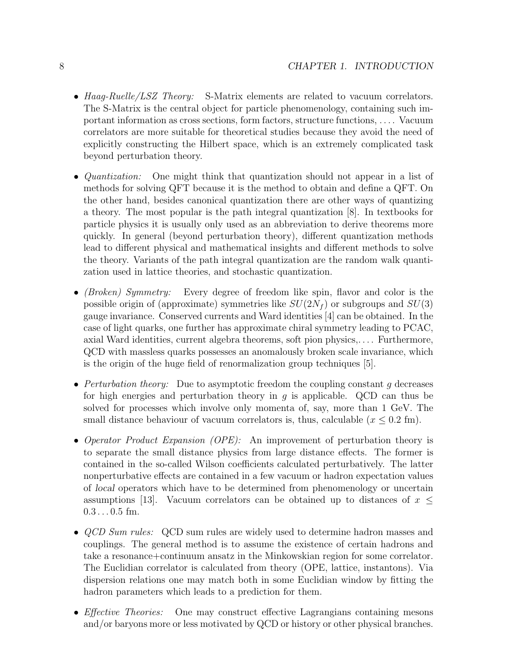- Haag-Ruelle/LSZ Theory: S-Matrix elements are related to vacuum correlators. The S-Matrix is the central object for particle phenomenology, containing such important information as cross sections, form factors, structure functions, . . . . Vacuum correlators are more suitable for theoretical studies because they avoid the need of explicitly constructing the Hilbert space, which is an extremely complicated task beyond perturbation theory.
- *Quantization:* One might think that quantization should not appear in a list of methods for solving QFT because it is the method to obtain and define a QFT. On the other hand, besides canonical quantization there are other ways of quantizing a theory. The most popular is the path integral quantization [8]. In textbooks for particle physics it is usually only used as an abbreviation to derive theorems more quickly. In general (beyond perturbation theory), different quantization methods lead to different physical and mathematical insights and different methods to solve the theory. Variants of the path integral quantization are the random walk quantization used in lattice theories, and stochastic quantization.
- (Broken) Symmetry: Every degree of freedom like spin, flavor and color is the possible origin of (approximate) symmetries like  $SU(2N<sub>f</sub>)$  or subgroups and  $SU(3)$ gauge invariance. Conserved currents and Ward identities [4] can be obtained. In the case of light quarks, one further has approximate chiral symmetry leading to PCAC, axial Ward identities, current algebra theorems, soft pion physics,. . . . Furthermore, QCD with massless quarks possesses an anomalously broken scale invariance, which is the origin of the huge field of renormalization group techniques [5].
- Perturbation theory: Due to asymptotic freedom the coupling constant q decreases for high energies and perturbation theory in  $g$  is applicable. QCD can thus be solved for processes which involve only momenta of, say, more than 1 GeV. The small distance behaviour of vacuum correlators is, thus, calculable ( $x \leq 0.2$  fm).
- Operator Product Expansion (OPE): An improvement of perturbation theory is to separate the small distance physics from large distance effects. The former is contained in the so-called Wilson coefficients calculated perturbatively. The latter nonperturbative effects are contained in a few vacuum or hadron expectation values of local operators which have to be determined from phenomenology or uncertain assumptions [13]. Vacuum correlators can be obtained up to distances of  $x \leq$  $0.3...0.5$  fm.
- *QCD Sum rules:* QCD sum rules are widely used to determine hadron masses and couplings. The general method is to assume the existence of certain hadrons and take a resonance+continuum ansatz in the Minkowskian region for some correlator. The Euclidian correlator is calculated from theory (OPE, lattice, instantons). Via dispersion relations one may match both in some Euclidian window by fitting the hadron parameters which leads to a prediction for them.
- *Effective Theories:* One may construct effective Lagrangians containing mesons and/or baryons more or less motivated by QCD or history or other physical branches.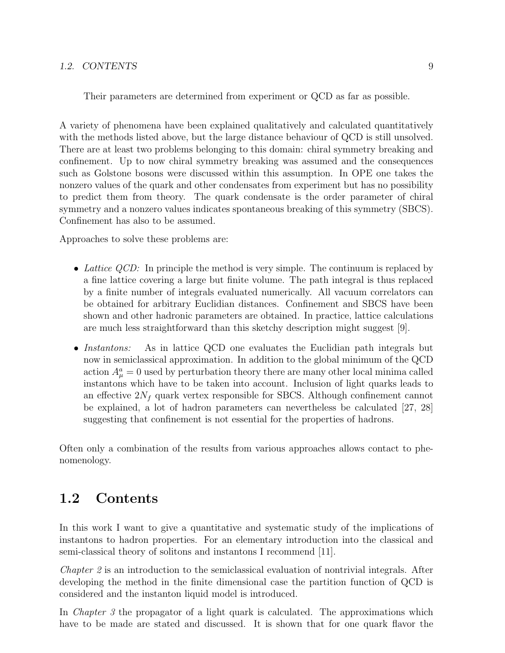#### 1.2. CONTENTS 9

Their parameters are determined from experiment or QCD as far as possible.

A variety of phenomena have been explained qualitatively and calculated quantitatively with the methods listed above, but the large distance behaviour of QCD is still unsolved. There are at least two problems belonging to this domain: chiral symmetry breaking and confinement. Up to now chiral symmetry breaking was assumed and the consequences such as Golstone bosons were discussed within this assumption. In OPE one takes the nonzero values of the quark and other condensates from experiment but has no possibility to predict them from theory. The quark condensate is the order parameter of chiral symmetry and a nonzero values indicates spontaneous breaking of this symmetry (SBCS). Confinement has also to be assumed.

Approaches to solve these problems are:

- Lattice QCD: In principle the method is very simple. The continuum is replaced by a fine lattice covering a large but finite volume. The path integral is thus replaced by a finite number of integrals evaluated numerically. All vacuum correlators can be obtained for arbitrary Euclidian distances. Confinement and SBCS have been shown and other hadronic parameters are obtained. In practice, lattice calculations are much less straightforward than this sketchy description might suggest [9].
- Instantons: As in lattice QCD one evaluates the Euclidian path integrals but now in semiclassical approximation. In addition to the global minimum of the QCD action  $A^a_\mu = 0$  used by perturbation theory there are many other local minima called instantons which have to be taken into account. Inclusion of light quarks leads to an effective  $2N_f$  quark vertex responsible for SBCS. Although confinement cannot be explained, a lot of hadron parameters can nevertheless be calculated [27, 28] suggesting that confinement is not essential for the properties of hadrons.

Often only a combination of the results from various approaches allows contact to phenomenology.

#### 1.2 Contents

In this work I want to give a quantitative and systematic study of the implications of instantons to hadron properties. For an elementary introduction into the classical and semi-classical theory of solitons and instantons I recommend [11].

Chapter 2 is an introduction to the semiclassical evaluation of nontrivial integrals. After developing the method in the finite dimensional case the partition function of QCD is considered and the instanton liquid model is introduced.

In *Chapter 3* the propagator of a light quark is calculated. The approximations which have to be made are stated and discussed. It is shown that for one quark flavor the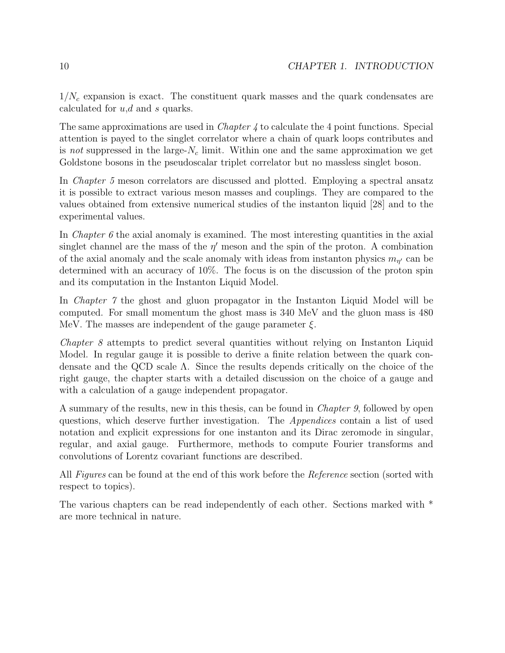$1/N_c$  expansion is exact. The constituent quark masses and the quark condensates are calculated for  $u, d$  and s quarks.

The same approximations are used in *Chapter 4* to calculate the 4 point functions. Special attention is payed to the singlet correlator where a chain of quark loops contributes and is not suppressed in the large- $N_c$  limit. Within one and the same approximation we get Goldstone bosons in the pseudoscalar triplet correlator but no massless singlet boson.

In Chapter 5 meson correlators are discussed and plotted. Employing a spectral ansatz it is possible to extract various meson masses and couplings. They are compared to the values obtained from extensive numerical studies of the instanton liquid [28] and to the experimental values.

In *Chapter 6* the axial anomaly is examined. The most interesting quantities in the axial singlet channel are the mass of the  $\eta'$  meson and the spin of the proton. A combination of the axial anomaly and the scale anomaly with ideas from instanton physics  $m_{\eta'}$  can be determined with an accuracy of 10%. The focus is on the discussion of the proton spin and its computation in the Instanton Liquid Model.

In Chapter 7 the ghost and gluon propagator in the Instanton Liquid Model will be computed. For small momentum the ghost mass is 340 MeV and the gluon mass is 480 MeV. The masses are independent of the gauge parameter  $\xi$ .

Chapter 8 attempts to predict several quantities without relying on Instanton Liquid Model. In regular gauge it is possible to derive a finite relation between the quark condensate and the QCD scale Λ. Since the results depends critically on the choice of the right gauge, the chapter starts with a detailed discussion on the choice of a gauge and with a calculation of a gauge independent propagator.

A summary of the results, new in this thesis, can be found in Chapter 9, followed by open questions, which deserve further investigation. The Appendices contain a list of used notation and explicit expressions for one instanton and its Dirac zeromode in singular, regular, and axial gauge. Furthermore, methods to compute Fourier transforms and convolutions of Lorentz covariant functions are described.

All Figures can be found at the end of this work before the Reference section (sorted with respect to topics).

The various chapters can be read independently of each other. Sections marked with \* are more technical in nature.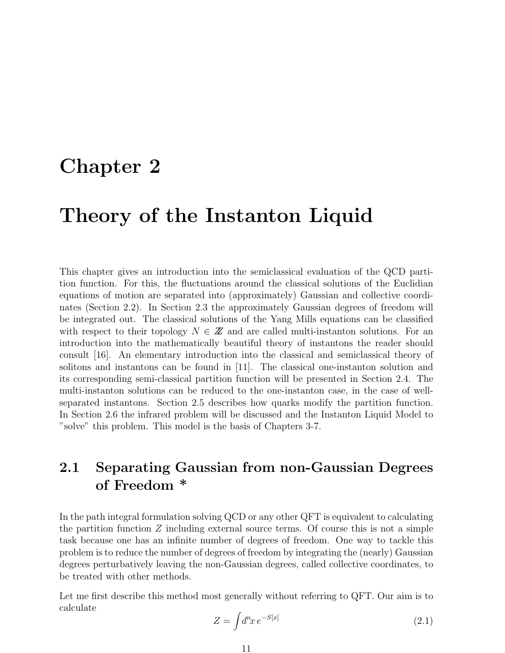# Chapter 2

# Theory of the Instanton Liquid

This chapter gives an introduction into the semiclassical evaluation of the QCD partition function. For this, the fluctuations around the classical solutions of the Euclidian equations of motion are separated into (approximately) Gaussian and collective coordinates (Section 2.2). In Section 2.3 the approximately Gaussian degrees of freedom will be integrated out. The classical solutions of the Yang Mills equations can be classified with respect to their topology  $N \in \mathbb{Z}$  and are called multi-instanton solutions. For an introduction into the mathematically beautiful theory of instantons the reader should consult [16]. An elementary introduction into the classical and semiclassical theory of solitons and instantons can be found in [11]. The classical one-instanton solution and its corresponding semi-classical partition function will be presented in Section 2.4. The multi-instanton solutions can be reduced to the one-instanton case, in the case of wellseparated instantons. Section 2.5 describes how quarks modify the partition function. In Section 2.6 the infrared problem will be discussed and the Instanton Liquid Model to "solve" this problem. This model is the basis of Chapters 3-7.

# 2.1 Separating Gaussian from non-Gaussian Degrees of Freedom \*

In the path integral formulation solving QCD or any other QFT is equivalent to calculating the partition function  $Z$  including external source terms. Of course this is not a simple task because one has an infinite number of degrees of freedom. One way to tackle this problem is to reduce the number of degrees of freedom by integrating the (nearly) Gaussian degrees perturbatively leaving the non-Gaussian degrees, called collective coordinates, to be treated with other methods.

Let me first describe this method most generally without referring to QFT. Our aim is to calculate

$$
Z = \int d^n x \, e^{-S[x]} \tag{2.1}
$$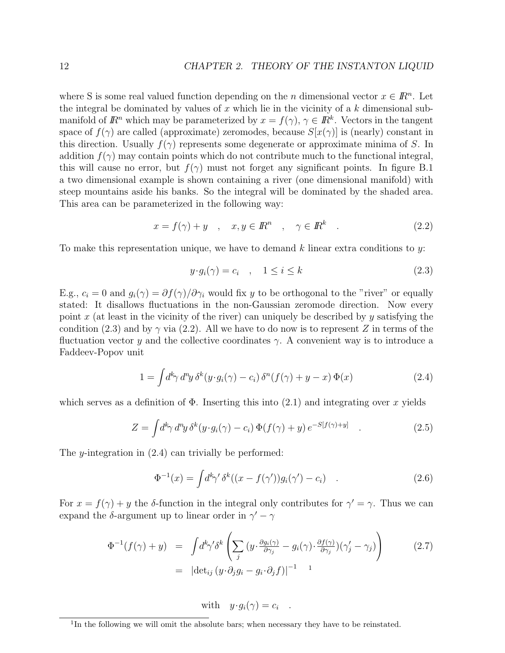where S is some real valued function depending on the *n* dimensional vector  $x \in \mathbb{R}^n$ . Let the integral be dominated by values of  $x$  which lie in the vicinity of a  $k$  dimensional submanifold of  $\mathbb{R}^n$  which may be parameterized by  $x = f(\gamma)$ ,  $\gamma \in \mathbb{R}^k$ . Vectors in the tangent space of  $f(\gamma)$  are called (approximate) zeromodes, because  $S[x(\gamma)]$  is (nearly) constant in this direction. Usually  $f(\gamma)$  represents some degenerate or approximate minima of S. In addition  $f(\gamma)$  may contain points which do not contribute much to the functional integral, this will cause no error, but  $f(\gamma)$  must not forget any significant points. In figure B.1 a two dimensional example is shown containing a river (one dimensional manifold) with steep mountains aside his banks. So the integral will be dominated by the shaded area. This area can be parameterized in the following way:

$$
x = f(\gamma) + y \quad , \quad x, y \in \mathbb{R}^n \quad , \quad \gamma \in \mathbb{R}^k \quad . \tag{2.2}
$$

To make this representation unique, we have to demand  $k$  linear extra conditions to  $y$ :

$$
y \cdot g_i(\gamma) = c_i \quad , \quad 1 \le i \le k \tag{2.3}
$$

E.g.,  $c_i = 0$  and  $g_i(\gamma) = \partial f(\gamma)/\partial \gamma_i$  would fix y to be orthogonal to the "river" or equally stated: It disallows fluctuations in the non-Gaussian zeromode direction. Now every point x (at least in the vicinity of the river) can uniquely be described by y satisfying the condition (2.3) and by  $\gamma$  via (2.2). All we have to do now is to represent Z in terms of the fluctuation vector y and the collective coordinates  $\gamma$ . A convenient way is to introduce a Faddeev-Popov unit

$$
1 = \int d^k \gamma \, d^n y \, \delta^k (y \cdot g_i(\gamma) - c_i) \, \delta^n (f(\gamma) + y - x) \, \Phi(x) \tag{2.4}
$$

which serves as a definition of  $\Phi$ . Inserting this into (2.1) and integrating over x yields

$$
Z = \int d^k \gamma \, d^n y \, \delta^k (y \cdot g_i(\gamma) - c_i) \, \Phi(f(\gamma) + y) \, e^{-S[f(\gamma) + y]} \quad . \tag{2.5}
$$

The y-integration in (2.4) can trivially be performed:

$$
\Phi^{-1}(x) = \int d^k \gamma' \, \delta^k((x - f(\gamma'))g_i(\gamma') - c_i) \quad . \tag{2.6}
$$

For  $x = f(\gamma) + y$  the δ-function in the integral only contributes for  $\gamma' = \gamma$ . Thus we can expand the  $\delta$ -argument up to linear order in  $\gamma' - \gamma$ 

$$
\Phi^{-1}(f(\gamma) + y) = \int d^k \gamma' \delta^k \left( \sum_j (y \cdot \frac{\partial g_i(\gamma)}{\partial \gamma_j} - g_i(\gamma) \cdot \frac{\partial f(\gamma)}{\partial \gamma_j}) (\gamma_j' - \gamma_j) \right)
$$
\n
$$
= |\det_{ij} (y \cdot \partial_j g_i - g_i \cdot \partial_j f)|^{-1} \quad 1
$$
\n(2.7)

with 
$$
y \cdot g_i(\gamma) = c_i
$$
.

<sup>&</sup>lt;sup>1</sup>In the following we will omit the absolute bars; when necessary they have to be reinstated.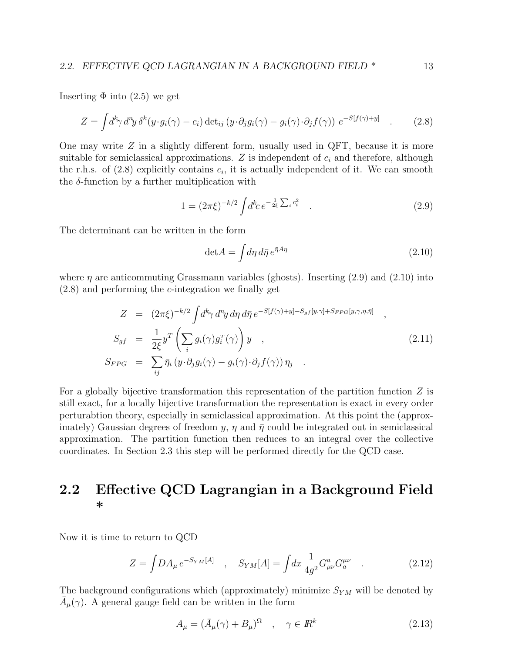Inserting  $\Phi$  into (2.5) we get

$$
Z = \int d^k \gamma \, d^n y \, \delta^k (y \cdot g_i(\gamma) - c_i) \det_{ij} (y \cdot \partial_j g_i(\gamma) - g_i(\gamma) \cdot \partial_j f(\gamma)) \ e^{-S[f(\gamma) + y]} \quad . \tag{2.8}
$$

One may write  $Z$  in a slightly different form, usually used in QFT, because it is more suitable for semiclassical approximations.  $Z$  is independent of  $c_i$  and therefore, although the r.h.s. of  $(2.8)$  explicitly contains  $c_i$ , it is actually independent of it. We can smooth the  $\delta$ -function by a further multiplication with

$$
1 = (2\pi\xi)^{-k/2} \int d^k c \, e^{-\frac{1}{2\xi} \sum_i c_i^2} \quad . \tag{2.9}
$$

The determinant can be written in the form

$$
\det A = \int d\eta \, d\bar{\eta} \, e^{\bar{\eta} A \eta} \tag{2.10}
$$

where  $\eta$  are anticommuting Grassmann variables (ghosts). Inserting (2.9) and (2.10) into (2.8) and performing the c-integration we finally get

$$
Z = (2\pi\xi)^{-k/2} \int d^k \gamma \, d^n y \, d\eta \, d\bar{\eta} \, e^{-S[f(\gamma)+y]-S_{gf}[y,\gamma]+S_{FPG}[y,\gamma,\eta,\bar{\eta}]} \,,
$$
  
\n
$$
S_{gf} = \frac{1}{2\xi} y^T \left( \sum_i g_i(\gamma) g_i^T(\gamma) \right) y \,,
$$
  
\n
$$
S_{FPG} = \sum_{ij} \bar{\eta}_i \left( y \cdot \partial_j g_i(\gamma) - g_i(\gamma) \cdot \partial_j f(\gamma) \right) \eta_j \,.
$$
  
\n(2.11)

For a globally bijective transformation this representation of the partition function  $Z$  is still exact, for a locally bijective transformation the representation is exact in every order perturabtion theory, especially in semiclassical approximation. At this point the (approximately) Gaussian degrees of freedom y,  $\eta$  and  $\bar{\eta}$  could be integrated out in semiclassical approximation. The partition function then reduces to an integral over the collective coordinates. In Section 2.3 this step will be performed directly for the QCD case.

### 2.2 Effective QCD Lagrangian in a Background Field \*

Now it is time to return to QCD

$$
Z = \int DA_{\mu} e^{-S_{YM}[A]}, \quad S_{YM}[A] = \int dx \, \frac{1}{4g^2} G^a_{\mu\nu} G^{\mu\nu}.
$$
 (2.12)

The background configurations which (approximately) minimize  $S_{YM}$  will be denoted by  $\bar{A}_{\mu}(\gamma)$ . A general gauge field can be written in the form

$$
A_{\mu} = (\bar{A}_{\mu}(\gamma) + B_{\mu})^{\Omega} \quad , \quad \gamma \in I\!\!R^{k} \tag{2.13}
$$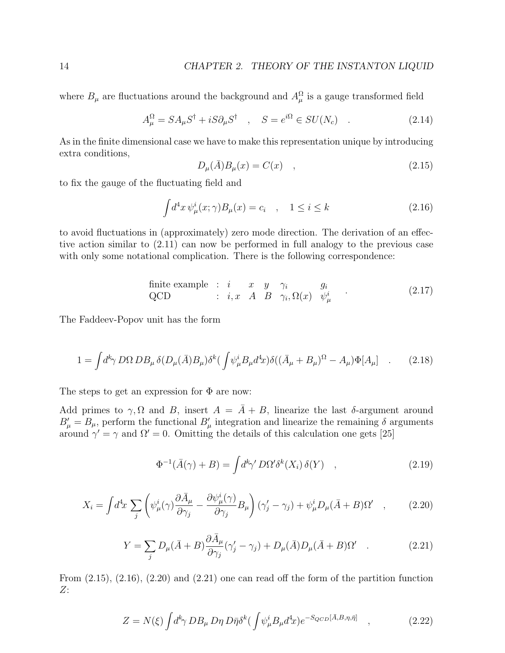where  $B_{\mu}$  are fluctuations around the background and  $A_{\mu}^{\Omega}$  is a gauge transformed field

$$
A_{\mu}^{\Omega} = SA_{\mu}S^{\dagger} + iS\partial_{\mu}S^{\dagger} \quad , \quad S = e^{i\Omega} \in SU(N_c) \quad . \tag{2.14}
$$

As in the finite dimensional case we have to make this representation unique by introducing extra conditions,

$$
D_{\mu}(\bar{A})B_{\mu}(x) = C(x) \quad , \tag{2.15}
$$

to fix the gauge of the fluctuating field and

$$
\int d^4x \,\psi^i_\mu(x;\gamma)B_\mu(x) = c_i \quad , \quad 1 \le i \le k \tag{2.16}
$$

to avoid fluctuations in (approximately) zero mode direction. The derivation of an effective action similar to (2.11) can now be performed in full analogy to the previous case with only some notational complication. There is the following correspondence:

finite example : *i* 
$$
x
$$
  $y$   $\gamma_i$   $g_i$   
\nQCD : *i*,  $x$   $A$   $B$   $\gamma_i$ ,  $\Omega(x)$   $\psi^i_\mu$  (2.17)

The Faddeev-Popov unit has the form

$$
1 = \int d^k \gamma \, D\Omega \, DB_\mu \, \delta(D_\mu(\bar{A})B_\mu) \delta^k \left( \int \psi_\mu^i B_\mu d^4 x \right) \delta \left( (\bar{A}_\mu + B_\mu)^{\Omega} - A_\mu \right) \Phi[A_\mu] \quad . \tag{2.18}
$$

The steps to get an expression for  $\Phi$  are now:

Add primes to  $\gamma$ ,  $\Omega$  and  $B$ , insert  $A = \overline{A} + B$ , linearize the last  $\delta$ -argument around  $B'_{\mu} = B_{\mu}$ , perform the functional  $B'_{\mu}$  integration and linearize the remaining  $\delta$  arguments around  $\gamma' = \gamma$  and  $\Omega' = 0$ . Omitting the details of this calculation one gets [25]

$$
\Phi^{-1}(\bar{A}(\gamma) + B) = \int d^k \gamma' D\Omega' \delta^k(X_i) \,\delta(Y) \quad , \tag{2.19}
$$

$$
X_i = \int d^4x \sum_j \left( \psi^i_\mu(\gamma) \frac{\partial \bar{A}_\mu}{\partial \gamma_j} - \frac{\partial \psi^i_\mu(\gamma)}{\partial \gamma_j} B_\mu \right) (\gamma'_j - \gamma_j) + \psi^i_\mu D_\mu(\bar{A} + B) \Omega' \quad , \tag{2.20}
$$

$$
Y = \sum_{j} D_{\mu}(\bar{A} + B) \frac{\partial \bar{A}_{\mu}}{\partial \gamma_{j}} (\gamma_{j}^{\prime} - \gamma_{j}) + D_{\mu}(\bar{A}) D_{\mu}(\bar{A} + B) \Omega^{\prime} \quad . \tag{2.21}
$$

From  $(2.15)$ ,  $(2.16)$ ,  $(2.20)$  and  $(2.21)$  one can read off the form of the partition function Z:

$$
Z = N(\xi) \int d^k \gamma \, DB_\mu \, D\eta \, D\bar{\eta} \delta^k \left( \int \psi_\mu^i B_\mu d^4 x \right) e^{-S_{QCD}[\bar{A}, B, \eta, \bar{\eta}]} \quad , \tag{2.22}
$$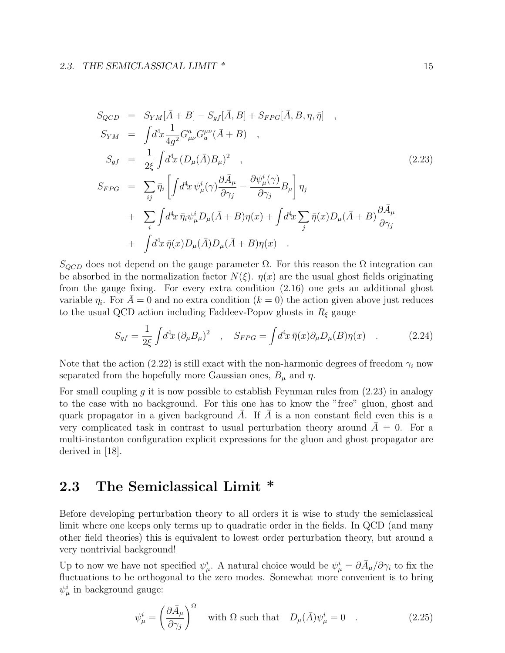$$
S_{QCD} = S_{YM}[\bar{A} + B] - S_{gf}[\bar{A}, B] + S_{FPG}[\bar{A}, B, \eta, \bar{\eta}] ,
$$
  
\n
$$
S_{YM} = \int d^4x \frac{1}{4g^2} G^a_{\mu\nu} G_a^{\mu\nu} (\bar{A} + B) ,
$$
  
\n
$$
S_{gf} = \frac{1}{2\xi} \int d^4x (D_\mu (\bar{A}) B_\mu)^2 ,
$$
  
\n
$$
S_{FPG} = \sum_{ij} \bar{\eta}_i \left[ \int d^4x \psi^i_\mu(\gamma) \frac{\partial \bar{A}_\mu}{\partial \gamma_j} - \frac{\partial \psi^i_\mu(\gamma)}{\partial \gamma_j} B_\mu \right] \eta_j
$$
  
\n
$$
+ \sum_i \int d^4x \, \bar{\eta}_i \psi^i_\mu D_\mu (\bar{A} + B) \eta(x) + \int d^4x \sum_j \bar{\eta}(x) D_\mu (\bar{A} + B) \frac{\partial \bar{A}_\mu}{\partial \gamma_j} + \int d^4x \, \bar{\eta}(x) D_\mu (\bar{A} + B) \eta(x) .
$$
\n(2.23)

 $S_{QCD}$  does not depend on the gauge parameter  $\Omega$ . For this reason the  $\Omega$  integration can be absorbed in the normalization factor  $N(\xi)$ .  $\eta(x)$  are the usual ghost fields originating from the gauge fixing. For every extra condition (2.16) one gets an additional ghost variable  $\eta_i$ . For  $\bar{A}=0$  and no extra condition  $(k=0)$  the action given above just reduces to the usual QCD action including Faddeev-Popov ghosts in  $R_{\xi}$  gauge

$$
S_{gf} = \frac{1}{2\xi} \int d^4x \, (\partial_\mu B_\mu)^2 \quad , \quad S_{FPG} = \int d^4x \, \bar{\eta}(x) \partial_\mu D_\mu(B) \eta(x) \quad . \tag{2.24}
$$

Note that the action (2.22) is still exact with the non-harmonic degrees of freedom  $\gamma_i$  now separated from the hopefully more Gaussian ones,  $B_{\mu}$  and  $\eta$ .

For small coupling g it is now possible to establish Feynman rules from  $(2.23)$  in analogy to the case with no background. For this one has to know the "free" gluon, ghost and quark propagator in a given background A. If A is a non constant field even this is a very complicated task in contrast to usual perturbation theory around  $A = 0$ . For a multi-instanton configuration explicit expressions for the gluon and ghost propagator are derived in [18].

# 2.3 The Semiclassical Limit \*

Before developing perturbation theory to all orders it is wise to study the semiclassical limit where one keeps only terms up to quadratic order in the fields. In QCD (and many other field theories) this is equivalent to lowest order perturbation theory, but around a very nontrivial background!

Up to now we have not specified  $\psi^i_\mu$ . A natural choice would be  $\psi^i_\mu = \partial \bar{A}_\mu / \partial \gamma_i$  to fix the fluctuations to be orthogonal to the zero modes. Somewhat more convenient is to bring  $\psi^i_\mu$  in background gauge:

$$
\psi_{\mu}^{i} = \left(\frac{\partial \bar{A}_{\mu}}{\partial \gamma_{j}}\right)^{\Omega} \quad \text{with } \Omega \text{ such that} \quad D_{\mu}(\bar{A})\psi_{\mu}^{i} = 0 \quad . \tag{2.25}
$$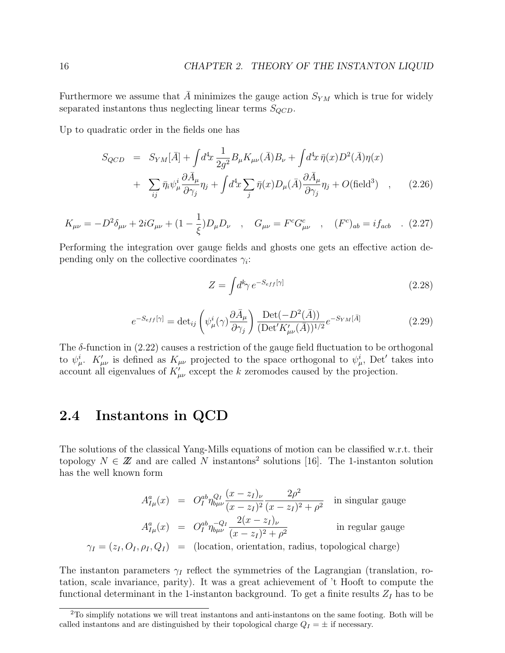Furthermore we assume that A minimizes the gauge action  $S_{YM}$  which is true for widely separated instantons thus neglecting linear terms  $S_{QCD}$ .

Up to quadratic order in the fields one has

$$
S_{QCD} = S_{YM}[\bar{A}] + \int d^4x \frac{1}{2g^2} B_{\mu} K_{\mu\nu}(\bar{A}) B_{\nu} + \int d^4x \,\bar{\eta}(x) D^2(\bar{A}) \eta(x)
$$
  
+ 
$$
\sum_{ij} \bar{\eta}_i \psi_{\mu}^i \frac{\partial \bar{A}_{\mu}}{\partial \gamma_j} \eta_j + \int d^4x \sum_j \bar{\eta}(x) D_{\mu}(\bar{A}) \frac{\partial \bar{A}_{\mu}}{\partial \gamma_j} \eta_j + O(\text{field}^3) , \qquad (2.26)
$$

$$
K_{\mu\nu} = -D^2 \delta_{\mu\nu} + 2i G_{\mu\nu} + (1 - \frac{1}{\xi}) D_{\mu} D_{\nu} \quad , \quad G_{\mu\nu} = F^c G^c_{\mu\nu} \quad , \quad (F^c)_{ab} = i f_{acb} \quad . \tag{2.27}
$$

Performing the integration over gauge fields and ghosts one gets an effective action depending only on the collective coordinates  $\gamma_i$ :

$$
Z = \int d^k \gamma \, e^{-S_{eff}[\gamma]} \tag{2.28}
$$

$$
e^{-S_{eff}[\gamma]} = \det_{ij} \left( \psi^i_{\mu}(\gamma) \frac{\partial \bar{A}_{\mu}}{\partial \gamma_j} \right) \frac{\text{Det}(-D^2(\bar{A}))}{(\text{Det}' K'_{\mu\nu}(\bar{A}))^{1/2}} e^{-S_{YM}[\bar{A}]}
$$
(2.29)

The  $\delta$ -function in (2.22) causes a restriction of the gauge field fluctuation to be orthogonal to  $\psi^i_\mu$ .  $K'_{\mu\nu}$  is defined as  $K_{\mu\nu}$  projected to the space orthogonal to  $\psi^i_\mu$ , Det' takes into account all eigenvalues of  $K'_{\mu\nu}$  except the k zeromodes caused by the projection.

## 2.4 Instantons in QCD

The solutions of the classical Yang-Mills equations of motion can be classified w.r.t. their topology  $N \in \mathbb{Z}$  and are called N instantons<sup>2</sup> solutions [16]. The 1-instanton solution has the well known form

$$
A_{I\mu}^{a}(x) = O_{I}^{ab}\eta_{b\mu\nu}^{Q_{I}}\frac{(x-z_{I})_{\nu}}{(x-z_{I})^{2}}\frac{2\rho^{2}}{(x-z_{I})^{2}+\rho^{2}}
$$
 in singular gauge  

$$
A_{I\mu}^{a}(x) = O_{I}^{ab}\eta_{b\mu\nu}^{-Q_{I}}\frac{2(x-z_{I})_{\nu}}{(x-z_{I})^{2}+\rho^{2}}
$$
 in regular gauge  

$$
\gamma_{I} = (z_{I}, O_{I}, \rho_{I}, Q_{I}) = (\text{location, orientation, radius, topological charge})
$$

The instanton parameters  $\gamma_I$  reflect the symmetries of the Lagrangian (translation, rotation, scale invariance, parity). It was a great achievement of 't Hooft to compute the functional determinant in the 1-instanton background. To get a finite results  $Z_I$  has to be

<sup>2</sup>To simplify notations we will treat instantons and anti-instantons on the same footing. Both will be called instantons and are distinguished by their topological charge  $Q_I = \pm$  if necessary.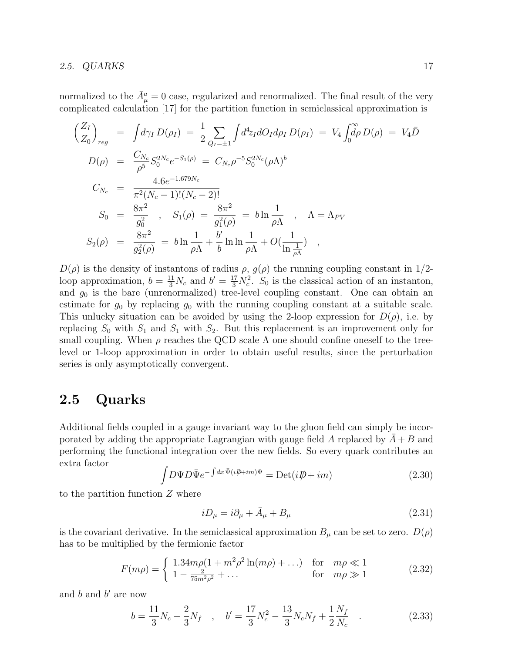#### 2.5.  $QUARKS$  17

normalized to the  $\bar{A}^a_\mu = 0$  case, regularized and renormalized. The final result of the very complicated calculation [17] for the partition function in semiclassical approximation is

$$
\left(\frac{Z_I}{Z_0}\right)_{reg} = \int d\gamma_I D(\rho_I) = \frac{1}{2} \sum_{Q_I = \pm 1} \int d^4 z_I dO_I d\rho_I D(\rho_I) = V_4 \int_0^{\infty} d\rho D(\rho) = V_4 \bar{D}
$$
  
\n
$$
D(\rho) = \frac{C_{N_c}}{\rho^5} S_0^{2N_c} e^{-S_1(\rho)} = C_{N_c} \rho^{-5} S_0^{2N_c} (\rho \Lambda)^b
$$
  
\n
$$
C_{N_c} = \frac{4.6 e^{-1.679 N_c}}{\pi^2 (N_c - 1)!(N_c - 2)!}
$$
  
\n
$$
S_0 = \frac{8\pi^2}{g_0^2}, \quad S_1(\rho) = \frac{8\pi^2}{g_1^2(\rho)} = b \ln \frac{1}{\rho \Lambda}, \quad \Lambda = \Lambda_{PV}
$$
  
\n
$$
S_2(\rho) = \frac{8\pi^2}{g_2^2(\rho)} = b \ln \frac{1}{\rho \Lambda} + \frac{b'}{b} \ln \ln \frac{1}{\rho \Lambda} + O(\frac{1}{\ln \frac{1}{\rho \Lambda}}),
$$

 $D(\rho)$  is the density of instantons of radius  $\rho$ ,  $g(\rho)$  the running coupling constant in 1/2loop approximation,  $b = \frac{11}{3}N_c$  and  $b' = \frac{17}{3}N_c^2$ .  $S_0$  is the classical action of an instanton, and  $g_0$  is the bare (unrenormalized) tree-level coupling constant. One can obtain an estimate for  $g_0$  by replacing  $g_0$  with the running coupling constant at a suitable scale. This unlucky situation can be avoided by using the 2-loop expression for  $D(\rho)$ , i.e. by replacing  $S_0$  with  $S_1$  and  $S_1$  with  $S_2$ . But this replacement is an improvement only for small coupling. When  $\rho$  reaches the QCD scale  $\Lambda$  one should confine oneself to the treelevel or 1-loop approximation in order to obtain useful results, since the perturbation series is only asymptotically convergent.

### 2.5 Quarks

Additional fields coupled in a gauge invariant way to the gluon field can simply be incorporated by adding the appropriate Lagrangian with gauge field A replaced by  $A + B$  and performing the functional integration over the new fields. So every quark contributes an extra factor R

$$
\int D\Psi D\bar{\Psi}e^{-\int dx \bar{\Psi}(i\rlap{\,/}\psi + im)\Psi} = \text{Det}(i\rlap{\,/}\psi + im)
$$
\n(2.30)

to the partition function  $Z$  where

$$
iD_{\mu} = i\partial_{\mu} + \bar{A}_{\mu} + B_{\mu} \tag{2.31}
$$

is the covariant derivative. In the semiclassical approximation  $B_{\mu}$  can be set to zero.  $D(\rho)$ has to be multiplied by the fermionic factor

$$
F(m\rho) = \begin{cases} 1.34m\rho(1 + m^2\rho^2 \ln(m\rho) + ...) & \text{for } m\rho \ll 1\\ 1 - \frac{2}{75m^2\rho^2} + ... & \text{for } m\rho \gg 1 \end{cases}
$$
 (2.32)

and  $b$  and  $b'$  are now

$$
b = \frac{11}{3}N_c - \frac{2}{3}N_f \quad , \quad b' = \frac{17}{3}N_c^2 - \frac{13}{3}N_cN_f + \frac{1}{2}\frac{N_f}{N_c} \quad . \tag{2.33}
$$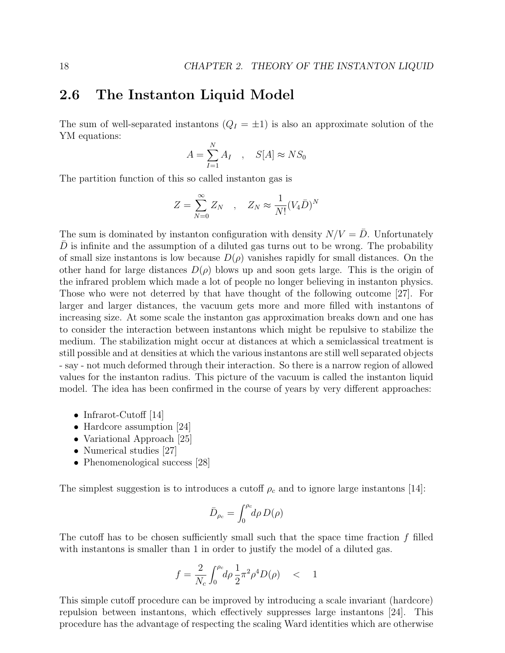### 2.6 The Instanton Liquid Model

The sum of well-separated instantons  $(Q_I = \pm 1)$  is also an approximate solution of the YM equations:

$$
A = \sum_{I=1}^{N} A_I \quad , \quad S[A] \approx NS_0
$$

The partition function of this so called instanton gas is

$$
Z = \sum_{N=0}^{\infty} Z_N \quad , \quad Z_N \approx \frac{1}{N!} (V_4 \bar{D})^N
$$

The sum is dominated by instanton configuration with density  $N/V = \overline{D}$ . Unfortunately  $D$  is infinite and the assumption of a diluted gas turns out to be wrong. The probability of small size instantons is low because  $D(\rho)$  vanishes rapidly for small distances. On the other hand for large distances  $D(\rho)$  blows up and soon gets large. This is the origin of the infrared problem which made a lot of people no longer believing in instanton physics. Those who were not deterred by that have thought of the following outcome [27]. For larger and larger distances, the vacuum gets more and more filled with instantons of increasing size. At some scale the instanton gas approximation breaks down and one has to consider the interaction between instantons which might be repulsive to stabilize the medium. The stabilization might occur at distances at which a semiclassical treatment is still possible and at densities at which the various instantons are still well separated objects - say - not much deformed through their interaction. So there is a narrow region of allowed values for the instanton radius. This picture of the vacuum is called the instanton liquid model. The idea has been confirmed in the course of years by very different approaches:

- Infrarot-Cutoff [14]
- Hardcore assumption [24]
- Variational Approach [25]
- Numerical studies [27]
- Phenomenological success [28]

The simplest suggestion is to introduces a cutoff  $\rho_c$  and to ignore large instantons [14]:

$$
\bar{D}_{\rho_c} = \int_0^{\rho_c} d\rho \, D(\rho)
$$

The cutoff has to be chosen sufficiently small such that the space time fraction  $f$  filled with instantons is smaller than 1 in order to justify the model of a diluted gas.

$$
f = \frac{2}{N_c} \int_0^{\rho_c} d\rho \, \frac{1}{2} \pi^2 \rho^4 D(\rho) \quad < \quad 1
$$

This simple cutoff procedure can be improved by introducing a scale invariant (hardcore) repulsion between instantons, which effectively suppresses large instantons [24]. This procedure has the advantage of respecting the scaling Ward identities which are otherwise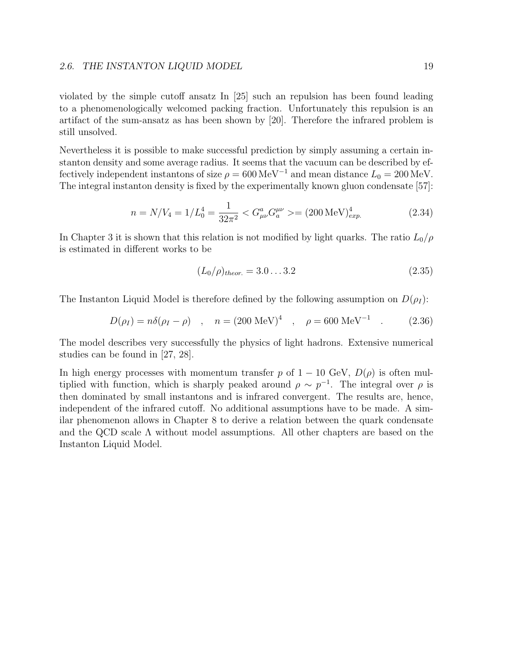violated by the simple cutoff ansatz In [25] such an repulsion has been found leading to a phenomenologically welcomed packing fraction. Unfortunately this repulsion is an artifact of the sum-ansatz as has been shown by [20]. Therefore the infrared problem is still unsolved.

Nevertheless it is possible to make successful prediction by simply assuming a certain instanton density and some average radius. It seems that the vacuum can be described by effectively independent instantons of size  $\rho = 600 \,\text{MeV}^{-1}$  and mean distance  $L_0 = 200 \,\text{MeV}$ . The integral instanton density is fixed by the experimentally known gluon condensate [57]:

$$
n = N/V_4 = 1/L_0^4 = \frac{1}{32\pi^2} < G_{\mu\nu}^a G_a^{\mu\nu} > = (200 \,\text{MeV})_{exp.}^4 \tag{2.34}
$$

In Chapter 3 it is shown that this relation is not modified by light quarks. The ratio  $L_0/\rho$ is estimated in different works to be

$$
(L_0/\rho)_{theor.} = 3.0...3.2 \tag{2.35}
$$

The Instanton Liquid Model is therefore defined by the following assumption on  $D(\rho_I)$ :

$$
D(\rho_I) = n\delta(\rho_I - \rho) \quad , \quad n = (200 \text{ MeV})^4 \quad , \quad \rho = 600 \text{ MeV}^{-1} \quad . \tag{2.36}
$$

The model describes very successfully the physics of light hadrons. Extensive numerical studies can be found in [27, 28].

In high energy processes with momentum transfer p of  $1 - 10$  GeV,  $D(\rho)$  is often multiplied with function, which is sharply peaked around  $\rho \sim p^{-1}$ . The integral over  $\rho$  is then dominated by small instantons and is infrared convergent. The results are, hence, independent of the infrared cutoff. No additional assumptions have to be made. A similar phenomenon allows in Chapter 8 to derive a relation between the quark condensate and the QCD scale  $\Lambda$  without model assumptions. All other chapters are based on the Instanton Liquid Model.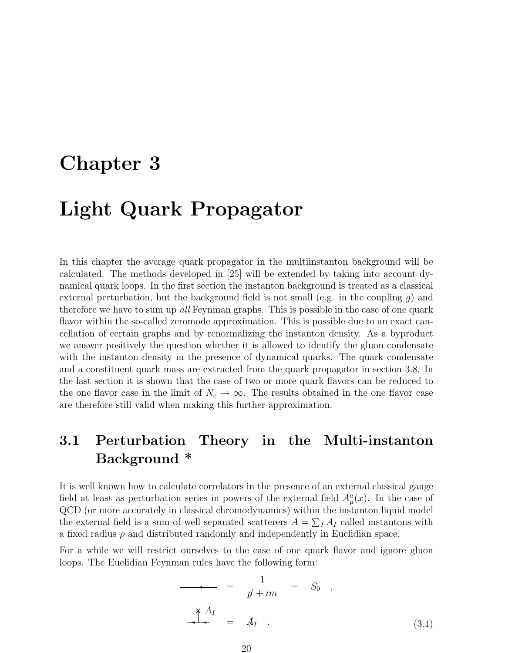# Chapter 3

# Light Quark Propagator

In this chapter the average quark propagator in the multiinstanton background will be calculated. The methods developed in [25] will be extended by taking into account dynamical quark loops. In the first section the instanton background is treated as a classical external perturbation, but the background field is not small (e.g. in the coupling q) and therefore we have to sum up all Feynman graphs. This is possible in the case of one quark flavor within the so-called zeromode approximation. This is possible due to an exact cancellation of certain graphs and by renormalizing the instanton density. As a byproduct we answer positively the question whether it is allowed to identify the gluon condensate with the instanton density in the presence of dynamical quarks. The quark condensate and a constituent quark mass are extracted from the quark propagator in section 3.8. In the last section it is shown that the case of two or more quark flavors can be reduced to the one flavor case in the limit of  $N_c \to \infty$ . The results obtained in the one flavor case are therefore still valid when making this further approximation.

# 3.1 Perturbation Theory in the Multi-instanton Background \*

It is well known how to calculate correlators in the presence of an external classical gauge field at least as perturbation series in powers of the external field  $A^a_\mu(x)$ . In the case of QCD (or more accurately in classical chromodynamics) within the instanton liquid model P the external field is a sum of well separated scatterers  $A = \sum_I A_I$  called instantons with a fixed radius  $\rho$  and distributed randomly and independently in Euclidian space.

For a while we will restrict ourselves to the case of one quark flavor and ignore gluon loops. The Euclidian Feynman rules have the following form:

$$
= \frac{1}{p' + im} = S_0 ,
$$
  

$$
\frac{X A_I}{1 + m} = A_I .
$$
 (3.1)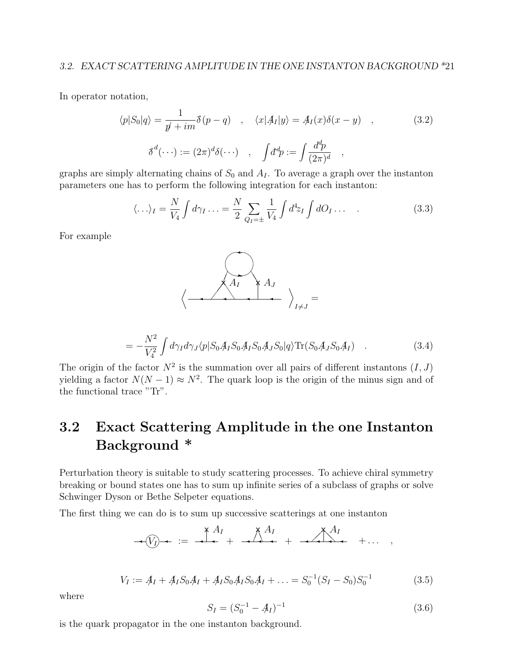In operator notation,

$$
\langle p|S_0|q\rangle = \frac{1}{p' + im}\delta(p - q) \quad , \quad \langle x|A_I|y\rangle = A_I(x)\delta(x - y) \quad , \tag{3.2}
$$

$$
\delta^d(\cdots) := (2\pi)^d \delta(\cdots) \quad , \quad \int d^d p := \int \frac{d^d p}{(2\pi)^d} \quad ,
$$

graphs are simply alternating chains of  $S_0$  and  $A_I$ . To average a graph over the instanton parameters one has to perform the following integration for each instanton:

$$
\langle \ldots \rangle_I = \frac{N}{V_4} \int d\gamma_I \ldots = \frac{N}{2} \sum_{Q_I = \pm} \frac{1}{V_4} \int d^4 z_I \int dO_I \ldots \qquad (3.3)
$$

For example



$$
= -\frac{N^2}{V_4^2} \int d\gamma_I d\gamma_J \langle p|S_0 A_I S_0 A_I S_0 A_J S_0 |q\rangle \text{Tr}(S_0 A_J S_0 A_I) \quad . \tag{3.4}
$$

The origin of the factor  $N^2$  is the summation over all pairs of different instantons  $(I, J)$ yielding a factor  $N(N-1) \approx N^2$ . The quark loop is the origin of the minus sign and of the functional trace "Tr".

# 3.2 Exact Scattering Amplitude in the one Instanton Background \*

Perturbation theory is suitable to study scattering processes. To achieve chiral symmetry breaking or bound states one has to sum up infinite series of a subclass of graphs or solve Schwinger Dyson or Bethe Selpeter equations.

The first thing we can do is to sum up successive scatterings at one instanton

$$
\rightarrow (V_I) \rightarrow \begin{array}{c} \begin{array}{c} \times A_I \\ \hline \end{array} & \begin{array}{c} \times A_I \\ \hline \end{array} & \begin{array}{c} \times A_I \\ \hline \end{array} & \begin{array}{c} \times A_I \\ \hline \end{array} & \begin{array}{c} \end{array} & \begin{array}{c} \end{array} & \begin{array}{c} \end{array} & \begin{array}{c} \end{array}
$$

$$
V_I := A_I + A_I S_0 A_I + A_I S_0 A_I S_0 A_I + \dots = S_0^{-1} (S_I - S_0) S_0^{-1}
$$
\n(3.5)

where

$$
S_I = (S_0^{-1} - A_I)^{-1}
$$
\n(3.6)

is the quark propagator in the one instanton background.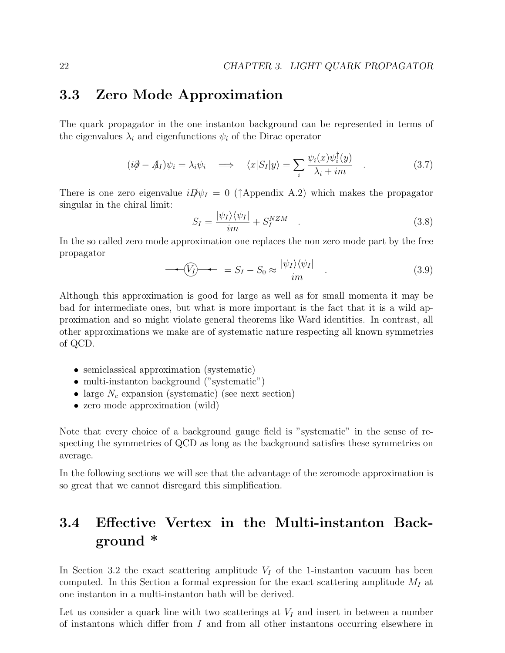### 3.3 Zero Mode Approximation

The quark propagator in the one instanton background can be represented in terms of the eigenvalues  $\lambda_i$  and eigenfunctions  $\psi_i$  of the Dirac operator

$$
(i\partial - A_I)\psi_i = \lambda_i \psi_i \quad \Longrightarrow \quad \langle x|S_I|y\rangle = \sum_i \frac{\psi_i(x)\psi_i^\dagger(y)}{\lambda_i + im} \quad . \tag{3.7}
$$

There is one zero eigenvalue  $iD\psi_I = 0$  ( $\uparrow$ Appendix A.2) which makes the propagator singular in the chiral limit:

$$
S_I = \frac{|\psi_I\rangle\langle\psi_I|}{im} + S_I^{NZM} \quad . \tag{3.8}
$$

In the so called zero mode approximation one replaces the non zero mode part by the free propagator

$$
\langle V_I \rangle \rightarrow \langle S_I - S_0 \approx \frac{|\psi_I\rangle \langle \psi_I|}{im} . \tag{3.9}
$$

Although this approximation is good for large as well as for small momenta it may be bad for intermediate ones, but what is more important is the fact that it is a wild approximation and so might violate general theorems like Ward identities. In contrast, all other approximations we make are of systematic nature respecting all known symmetries of QCD.

- semiclassical approximation (systematic)
- multi-instanton background ("systematic")
- large  $N_c$  expansion (systematic) (see next section)
- zero mode approximation (wild)

Note that every choice of a background gauge field is "systematic" in the sense of respecting the symmetries of QCD as long as the background satisfies these symmetries on average.

In the following sections we will see that the advantage of the zeromode approximation is so great that we cannot disregard this simplification.

# 3.4 Effective Vertex in the Multi-instanton Background \*

In Section 3.2 the exact scattering amplitude  $V_I$  of the 1-instanton vacuum has been computed. In this Section a formal expression for the exact scattering amplitude  $M_I$  at one instanton in a multi-instanton bath will be derived.

Let us consider a quark line with two scatterings at  $V_I$  and insert in between a number of instantons which differ from I and from all other instantons occurring elsewhere in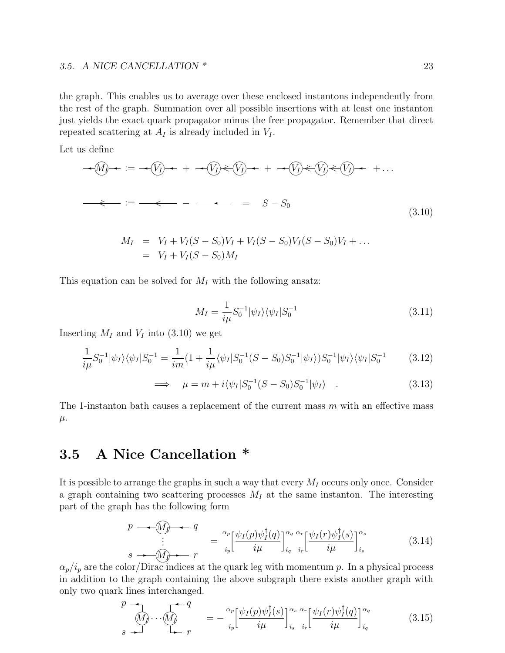#### 3.5. A NICE CANCELLATION \* 23

the graph. This enables us to average over these enclosed instantons independently from the rest of the graph. Summation over all possible insertions with at least one instanton just yields the exact quark propagator minus the free propagator. Remember that direct repeated scattering at  $A_I$  is already included in  $V_I$ .

Let us define

$$
\begin{aligned}\n\mathcal{A}(q) \rightarrow \mathcal{B} &= \mathcal{A}(q) \rightarrow + \mathcal{A}(q) \leftarrow (q) \rightarrow + \mathcal{A}(q) \leftarrow (q) \leftarrow (q) \rightarrow + \dots \\
\mathcal{A} &= \mathcal{B} - S_0\n\end{aligned}
$$
\n
$$
\begin{aligned}\n\mathcal{A}(q) \rightarrow \mathcal{B}(q) &= \mathcal{B} - S_0\n\end{aligned}
$$
\n
$$
\begin{aligned}\n\mathcal{A}(q) \rightarrow \mathcal{B}(q) &= \mathcal{B} - S_0\n\end{aligned}
$$
\n
$$
\begin{aligned}\n\mathcal{A}(q) \rightarrow \mathcal{B}(q) &= \mathcal{B} - S_0\n\end{aligned}
$$
\n
$$
\begin{aligned}\n(3.10)\n\end{aligned}
$$

$$
M_I = V_I + V_I(S - S_0)V_I + V_I(S - S_0)V_I(S - S_0)V_I + \dots
$$
  
=  $V_I + V_I(S - S_0)M_I$ 

This equation can be solved for  $M_I$  with the following ansatz:

$$
M_I = \frac{1}{i\mu} S_0^{-1} |\psi_I\rangle \langle \psi_I | S_0^{-1} \tag{3.11}
$$

Inserting  $M_I$  and  $V_I$  into (3.10) we get

$$
\frac{1}{i\mu}S_0^{-1}|\psi_I\rangle\langle\psi_I|S_0^{-1} = \frac{1}{im}(1 + \frac{1}{i\mu}\langle\psi_I|S_0^{-1}(S - S_0)S_0^{-1}|\psi_I\rangle)S_0^{-1}|\psi_I\rangle\langle\psi_I|S_0^{-1}
$$
(3.12)

$$
\implies \mu = m + i \langle \psi_I | S_0^{-1} (S - S_0) S_0^{-1} | \psi_I \rangle . \tag{3.13}
$$

The 1-instanton bath causes a replacement of the current mass  $m$  with an effective mass  $\mu$ .

### 3.5 A Nice Cancellation \*

It is possible to arrange the graphs in such a way that every  $M_I$  occurs only once. Consider a graph containing two scattering processes  $M_I$  at the same instanton. The interesting part of the graph has the following form

$$
p \longrightarrow \widehat{M} \longrightarrow q
$$
  
\n
$$
\vdots
$$
  
\n
$$
s \longrightarrow \widehat{M} \longrightarrow r
$$
  
\n
$$
\vdots
$$
  
\n
$$
s \longrightarrow \widehat{M} \longrightarrow r
$$
  
\n
$$
\vdots
$$
  
\n
$$
s \longrightarrow \widehat{M} \longrightarrow r
$$
  
\n
$$
\vdots
$$
  
\n
$$
\vdots
$$
  
\n
$$
i_{p} \left[ \psi_{I}(p) \psi_{I}^{\dagger}(q) \right]_{i_{q}}^{\alpha_{q} \alpha_{r}} \left[ \psi_{I}(r) \psi_{I}^{\dagger}(s) \right]_{i_{s}}^{\alpha_{s}}
$$
  
\n(3.14)

 $\alpha_p/i_p$  are the color/Dirac indices at the quark leg with momentum p. In a physical process in addition to the graph containing the above subgraph there exists another graph with only two quark lines interchanged.

$$
\begin{array}{ccc}\np \rightarrow & q \\
\hline\n\langle M \rangle \cdots \langle M \rangle & = -\frac{\alpha_p}{i_p} \left[ \frac{\psi_I(p)\psi_I^{\dagger}(s)}{i\mu} \right]_{i_s}^{\alpha_s} \frac{\alpha_r}{i_r} \left[ \frac{\psi_I(r)\psi_I^{\dagger}(q)}{i\mu} \right]_{i_q}^{\alpha_q}\n\end{array} \tag{3.15}
$$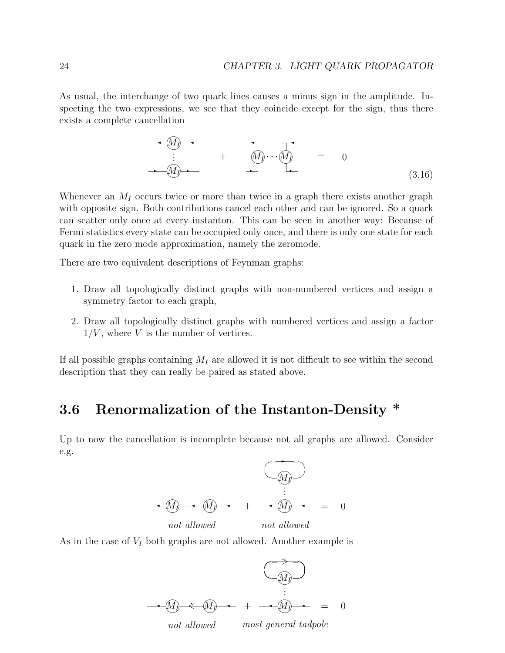As usual, the interchange of two quark lines causes a minus sign in the amplitude. Inspecting the two expressions, we see that they coincide except for the sign, thus there exists a complete cancellation

$$
\begin{array}{ccc}\n\bullet & \widehat{M} & \bullet \\
\vdots & \bullet & \widehat{M} & \widehat{M} \\
\hline\n\end{array}\n\qquad\n\begin{array}{ccc}\n\bullet & \bullet & \bullet \\
\hline\n\end{array}\n\qquad\n\begin{array}{ccc}\n\bullet & \bullet & \bullet \\
\hline\n\end{array}\n\qquad\n\begin{array}{ccc}\n\bullet & \bullet & \bullet \\
\hline\n\end{array}\n\qquad\n\begin{array}{ccc}\n\bullet & \bullet & \bullet \\
\hline\n\end{array}\n\qquad\n\begin{array}{ccc}\n\bullet & \bullet & \bullet \\
\hline\n\end{array}\n\qquad\n\begin{array}{ccc}\n\bullet & \bullet & \bullet \\
\hline\n\end{array}\n\qquad\n\begin{array}{ccc}\n\bullet & \bullet & \bullet \\
\hline\n\end{array}\n\end{array}\n\qquad\n\begin{array}{ccc}\n\bullet & \bullet & \bullet \\
\hline\n\end{array}\n\qquad\n\begin{array}{ccc}\n\bullet & \bullet & \bullet \\
\hline\n\end{array}\n\end{array}\n\qquad\n\begin{array}{ccc}\n\bullet & \bullet & \bullet \\
\hline\n\end{array}\n\qquad\n\begin{array}{ccc}\n\bullet & \bullet & \bullet \\
\hline\n\end{array}\n\end{array}\n\qquad\n\begin{array}{ccc}\n\bullet & \bullet & \bullet \\
\hline\n\end{array}\n\qquad\n\begin{array}{ccc}\n\bullet & \bullet & \bullet \\
\hline\n\end{array}\n\end{array}\n\qquad\n\begin{array}{ccc}\n\bullet & \bullet & \bullet \\
\hline\n\end{array}\n\qquad\n\begin{array}{ccc}\n\bullet & \bullet & \bullet \\
\hline\n\end{array}\n\qquad\n\begin{array}{ccc}\n\bullet & \bullet & \bullet \\
\hline\n\end{array}\n\qquad\n\end{array}\n\qquad\n\begin{array}{ccc}\n\bullet & \bullet & \bullet \\
\hline\n\end{array}\n\qquad\n\begin{array}{ccc}\n\bullet & \bullet & \bullet \\
\hline\n\end{array}\n\qquad\n\begin{array}{ccc}\n\bullet & \bullet & \bullet \\
\hline\n\end{array}\n\end{array}\n\qquad\n\begin{array}{ccc}\n\bullet & \bullet & \bullet \\
\hline\n\end{array}\n\qquad\n\begin{array}{ccc}\n\bullet & \bullet & \bullet \\
\hline\n\end{array}\n\qquad\n\begin{array}{ccc}\n\bullet & \bullet
$$

Whenever an  $M_I$  occurs twice or more than twice in a graph there exists another graph with opposite sign. Both contributions cancel each other and can be ignored. So a quark can scatter only once at every instanton. This can be seen in another way: Because of Fermi statistics every state can be occupied only once, and there is only one state for each quark in the zero mode approximation, namely the zeromode.

There are two equivalent descriptions of Feynman graphs:

- 1. Draw all topologically distinct graphs with non-numbered vertices and assign a symmetry factor to each graph,
- 2. Draw all topologically distinct graphs with numbered vertices and assign a factor  $1/V$ , where V is the number of vertices.

If all possible graphs containing  $M_I$  are allowed it is not difficult to see within the second description that they can really be paired as stated above.

# 3.6 Renormalization of the Instanton-Density \*

Up to now the cancellation is incomplete because not all graphs are allowed. Consider e.g.



As in the case of  $V_I$  both graphs are not allowed. Another example is

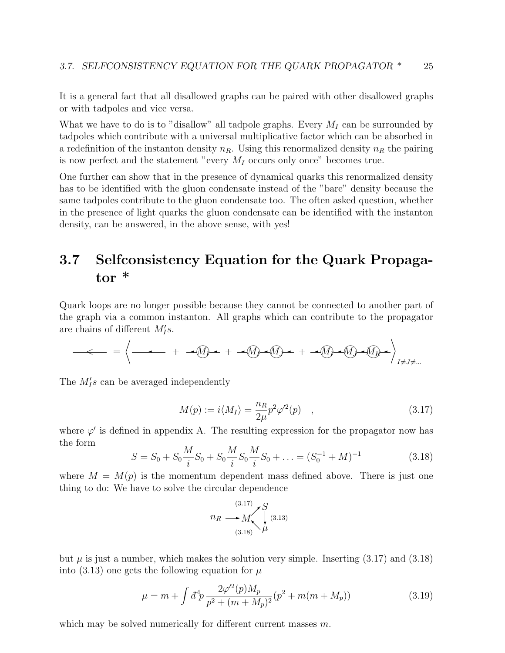It is a general fact that all disallowed graphs can be paired with other disallowed graphs or with tadpoles and vice versa.

What we have to do is to "disallow" all tadpole graphs. Every  $M_I$  can be surrounded by tadpoles which contribute with a universal multiplicative factor which can be absorbed in a redefinition of the instanton density  $n_R$ . Using this renormalized density  $n_R$  the pairing is now perfect and the statement "every  $M_I$  occurs only once" becomes true.

One further can show that in the presence of dynamical quarks this renormalized density has to be identified with the gluon condensate instead of the "bare" density because the same tadpoles contribute to the gluon condensate too. The often asked question, whether in the presence of light quarks the gluon condensate can be identified with the instanton density, can be answered, in the above sense, with yes!

# 3.7 Selfconsistency Equation for the Quark Propagator \*

Quark loops are no longer possible because they cannot be connected to another part of the graph via a common instanton. All graphs which can contribute to the propagator are chains of different  $M'_I s$ .

$$
-\leftarrow = \left\langle \longrightarrow + -\left(\text{I}\right) + \left(-\left(\text{I}\right) + \left(\text{I}\right) + \left(\text{I}\right) + \left(\text{I}\right) + \left(\text{I}\right) + \left(\text{I}\right) + \left(\text{I}\right) + \left(\text{I}\right) + \left(\text{I}\right) + \left(\text{I}\right) + \left(\text{I}\right) + \left(\text{I}\right) + \left(\text{I}\right) + \left(\text{I}\right) + \left(\text{I}\right) + \left(\text{I}\right) + \left(\text{I}\right) + \left(\text{I}\right) + \left(\text{I}\right) + \left(\text{I}\right) + \left(\text{I}\right) + \left(\text{I}\right) + \left(\text{I}\right) + \left(\text{I}\right) + \left(\text{I}\right) + \left(\text{I}\right) + \left(\text{I}\right) + \left(\text{I}\right) + \left(\text{I}\right) + \left(\text{I}\right) + \left(\text{I}\right) + \left(\text{I}\right) + \left(\text{I}\right) + \left(\text{I}\right) + \left(\text{I}\right) + \left(\text{I}\right) + \left(\text{I}\right) + \left(\text{I}\right) + \left(\text{I}\right) + \left(\text{I}\right) + \left(\text{I}\right) + \left(\text{I}\right) + \left(\text{I}\right) + \left(\text{I}\right) + \left(\text{I}\right) + \left(\text{I}\right) + \left(\text{I}\right) + \left(\text{I}\right) + \left(\text{I}\right) + \left(\text{I}\right) + \left(\text{I}\right) + \left(\text{I}\right) + \left(\text{I}\right) + \left(\text{I}\right) + \left(\text{I}\right) + \left(\text{I}\right) + \left(\text{I}\right) + \left(\text{I}\right) + \left(\text{I}\right) + \left(\text{I}\right) + \left(\text{I}\right) + \left(\text{I}\right) + \left(\text{I}\right) + \left(\text{I}\right) + \left(\text{I}\right) + \left(\text{I}\right) + \left(\text{I}\right) + \left(\text{I}\right) + \left(\text{I}\right) + \left(\text{I}\right) + \left(\text{I}\right) + \left(\text{I}\right) + \left(\text{I}\right) + \left(\text
$$

The  $M'_{I}s$  can be averaged independently

$$
M(p) := i \langle M_I \rangle = \frac{n_R}{2\mu} p^2 \varphi'^2(p) \quad , \tag{3.17}
$$

where  $\varphi'$  is defined in appendix A. The resulting expression for the propagator now has the form

$$
S = S_0 + S_0 \frac{M}{i} S_0 + S_0 \frac{M}{i} S_0 \frac{M}{i} S_0 + \dots = (S_0^{-1} + M)^{-1}
$$
(3.18)

where  $M = M(p)$  is the momentum dependent mass defined above. There is just one thing to do: We have to solve the circular dependence

$$
n_R \longrightarrow M \qquad S \atop (3.18) \mu \qquad (3.13)
$$

but  $\mu$  is just a number, which makes the solution very simple. Inserting (3.17) and (3.18) into (3.13) one gets the following equation for  $\mu$ 

$$
\mu = m + \int d^4p \frac{2\varphi'^2(p)M_p}{p^2 + (m + M_p)^2} (p^2 + m(m + M_p)) \tag{3.19}
$$

which may be solved numerically for different current masses  $m$ .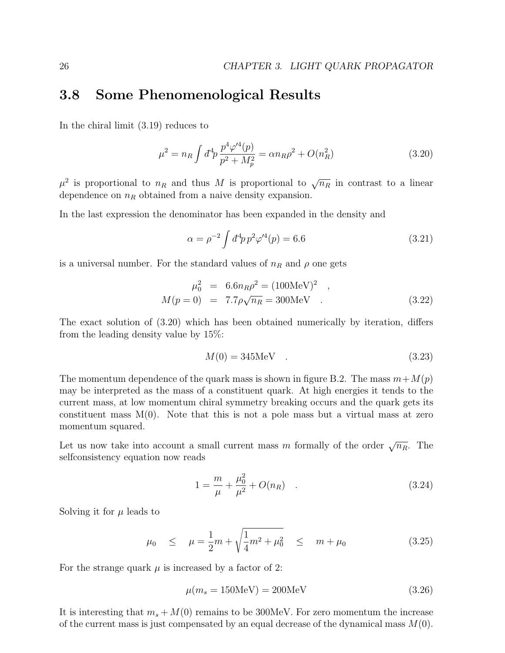#### 3.8 Some Phenomenological Results

In the chiral limit (3.19) reduces to

$$
\mu^2 = n_R \int d^4 p \, \frac{p^4 \varphi'^4(p)}{p^2 + M_p^2} = \alpha n_R \rho^2 + O(n_R^2)
$$
\n(3.20)

 $\mu^2$  is proportional to  $n_R$  and thus M is proportional to  $\sqrt{n_R}$  in contrast to a linear dependence on  $n_R$  obtained from a naive density expansion.

In the last expression the denominator has been expanded in the density and

$$
\alpha = \rho^{-2} \int d^4 p \, p^2 \varphi^{\prime 4}(p) = 6.6 \tag{3.21}
$$

is a universal number. For the standard values of  $n_R$  and  $\rho$  one gets

$$
\mu_0^2 = 6.6 n_R \rho^2 = (100 \text{MeV})^2 ,
$$
  
\n
$$
M(p = 0) = 7.7 \rho \sqrt{n_R} = 300 \text{MeV} .
$$
 (3.22)

The exact solution of (3.20) which has been obtained numerically by iteration, differs from the leading density value by 15%:

$$
M(0) = 345 \text{MeV} \quad . \tag{3.23}
$$

The momentum dependence of the quark mass is shown in figure B.2. The mass  $m+M(p)$ may be interpreted as the mass of a constituent quark. At high energies it tends to the current mass, at low momentum chiral symmetry breaking occurs and the quark gets its constituent mass  $M(0)$ . Note that this is not a pole mass but a virtual mass at zero momentum squared.

Let us now take into account a small current mass m formally of the order  $\sqrt{n_R}$ . The selfconsistency equation now reads

$$
1 = \frac{m}{\mu} + \frac{\mu_0^2}{\mu^2} + O(n_R) \quad . \tag{3.24}
$$

Solving it for  $\mu$  leads to

$$
\mu_0 \leq \mu = \frac{1}{2}m + \sqrt{\frac{1}{4}m^2 + \mu_0^2} \leq m + \mu_0
$$
\n(3.25)

For the strange quark  $\mu$  is increased by a factor of 2:

$$
\mu(m_s = 150 \text{MeV}) = 200 \text{MeV} \tag{3.26}
$$

It is interesting that  $m_s + M(0)$  remains to be 300MeV. For zero momentum the increase of the current mass is just compensated by an equal decrease of the dynamical mass  $M(0)$ .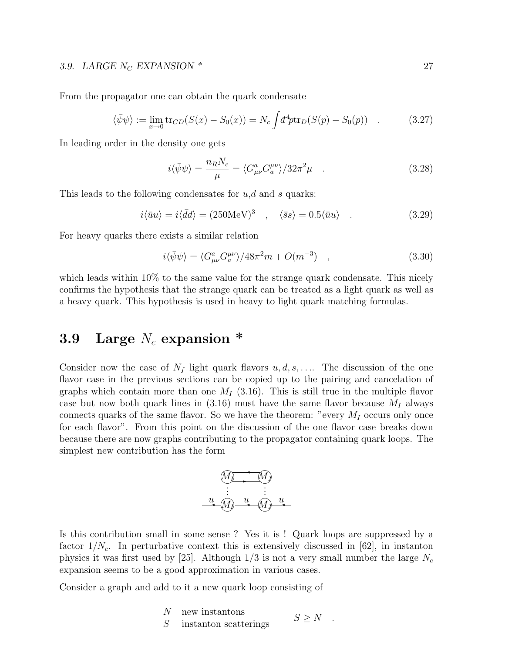#### 3.9. LARGE  $N_C$  EXPANSION  $*$  27

From the propagator one can obtain the quark condensate

$$
\langle \bar{\psi}\psi \rangle := \lim_{x \to 0} \text{tr}_{CD}(S(x) - S_0(x)) = N_c \int d^4p \text{tr}_D(S(p) - S_0(p)) \quad . \tag{3.27}
$$

In leading order in the density one gets

$$
i\langle \bar{\psi}\psi \rangle = \frac{n_R N_c}{\mu} = \langle G_{\mu\nu}^a G_a^{\mu\nu} \rangle / 32\pi^2 \mu \quad . \tag{3.28}
$$

This leads to the following condensates for  $u, d$  and s quarks:

$$
i\langle \bar{u}u \rangle = i\langle \bar{d}d \rangle = (250 \text{MeV})^3 \quad , \quad \langle \bar{s}s \rangle = 0.5 \langle \bar{u}u \rangle \quad . \tag{3.29}
$$

For heavy quarks there exists a similar relation

$$
i\langle \bar{\psi}\psi \rangle = \langle G_{\mu\nu}^a G_a^{\mu\nu} \rangle / 48\pi^2 m + O(m^{-3}) \quad , \tag{3.30}
$$

which leads within  $10\%$  to the same value for the strange quark condensate. This nicely confirms the hypothesis that the strange quark can be treated as a light quark as well as a heavy quark. This hypothesis is used in heavy to light quark matching formulas.

# 3.9 Large  $N_c$  expansion  $*$

Consider now the case of  $N_f$  light quark flavors  $u, d, s, \ldots$ . The discussion of the one flavor case in the previous sections can be copied up to the pairing and cancelation of graphs which contain more than one  $M_I$  (3.16). This is still true in the multiple flavor case but now both quark lines in  $(3.16)$  must have the same flavor because  $M_I$  always connects quarks of the same flavor. So we have the theorem: "every  $M_I$  occurs only once for each flavor". From this point on the discussion of the one flavor case breaks down because there are now graphs contributing to the propagator containing quark loops. The simplest new contribution has the form

$$
(M_1) \t M_2
$$
  
\n
$$
\vdots \t M_3 \t u
$$
  
\n
$$
(M_1) \t u
$$
  
\n
$$
(M_2) \t u
$$

Is this contribution small in some sense ? Yes it is ! Quark loops are suppressed by a factor  $1/N_c$ . In perturbative context this is extensively discussed in [62], in instanton physics it was first used by [25]. Although  $1/3$  is not a very small number the large  $N_c$ expansion seems to be a good approximation in various cases.

Consider a graph and add to it a new quark loop consisting of

N new instantons S instanton scatterings  $S \geq N$ .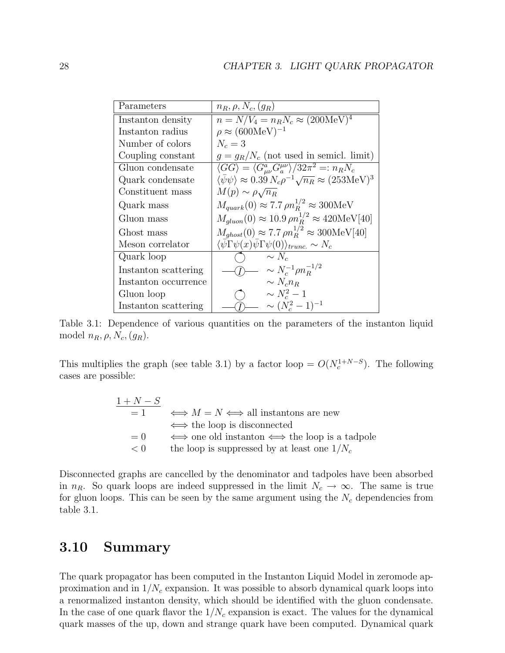| Parameters           | $n_R, \rho, N_c, (g_R)$                                                                           |
|----------------------|---------------------------------------------------------------------------------------------------|
| Instanton density    | $n = N/V_4 = n_R N_c \approx (200 \text{MeV})^4$                                                  |
| Instanton radius     | $\rho \approx (600 \text{MeV})^{-1}$                                                              |
| Number of colors     | $N_c=3$                                                                                           |
| Coupling constant    | $g = g_R/N_c$ (not used in semicl. limit)                                                         |
| Gluon condensate     | $\langle GG \rangle = \langle G^a_{\mu\nu} G_a^{\mu\nu} \rangle / 32\pi^2 =: n_R N_c$             |
| Quark condensate     | $\langle \bar{\psi}\psi \rangle \approx 0.39 N_c \rho^{-1} \sqrt{n_R} \approx (253 \text{MeV})^3$ |
| Constituent mass     | $M(p) \sim \rho \sqrt{n_R}$                                                                       |
| Quark mass           | $M_{quark}(0) \approx 7.7 \rho n_B^{1/2} \approx 300 \text{MeV}$                                  |
| Gluon mass           | $M_{\text{gluon}}(0) \approx 10.9 \,\rho n_B^{1/2} \approx 420 \text{MeV}[40]$                    |
| Ghost mass           | $M_{ghost}(0) \approx 7.7 \rho n_B^{1/2} \approx 300 \text{MeV} [40]$                             |
| Meson correlator     | $\langle \bar{\psi} \Gamma \psi(x) \bar{\psi} \Gamma \psi(0) \rangle_{trunc.} \sim N_c$           |
| Quark loop           | $\sim N_c$                                                                                        |
| Instanton scattering | $\sim N_c^{-1} \rho n_B^{-1/2}$                                                                   |
| Instanton occurrence | $\sim N_c n_B$                                                                                    |
| Gluon loop           | $\sim N_c^2-1$                                                                                    |
| Instanton scattering | $\sim (N_c^2-1)^{-1}$                                                                             |

Table 3.1: Dependence of various quantities on the parameters of the instanton liquid model  $n_R, \rho, N_c, (g_R)$ .

This multiplies the graph (see table 3.1) by a factor loop =  $O(N_c^{1+N-S})$ . The following cases are possible:

> $1 + N - S$  $= 1 \Leftrightarrow M = N \Leftrightarrow$  all instantons are new ⇐⇒ the loop is disconnected  $= 0 \Leftrightarrow$  one old instanton  $\iff$  the loop is a tadpole  $< 0$  the loop is suppressed by at least one  $1/N_c$

Disconnected graphs are cancelled by the denominator and tadpoles have been absorbed in  $n_R$ . So quark loops are indeed suppressed in the limit  $N_c \to \infty$ . The same is true for gluon loops. This can be seen by the same argument using the  $N_c$  dependencies from table 3.1.

# 3.10 Summary

The quark propagator has been computed in the Instanton Liquid Model in zeromode approximation and in  $1/N_c$  expansion. It was possible to absorb dynamical quark loops into a renormalized instanton density, which should be identified with the gluon condensate. In the case of one quark flavor the  $1/N_c$  expansion is exact. The values for the dynamical quark masses of the up, down and strange quark have been computed. Dynamical quark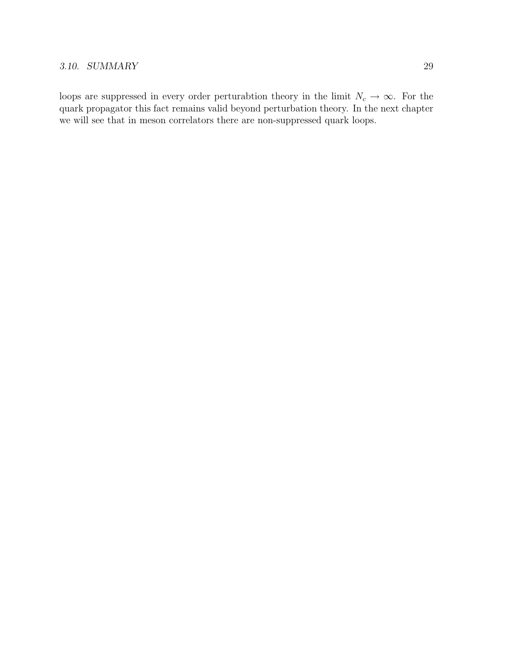#### 3.10. SUMMARY 29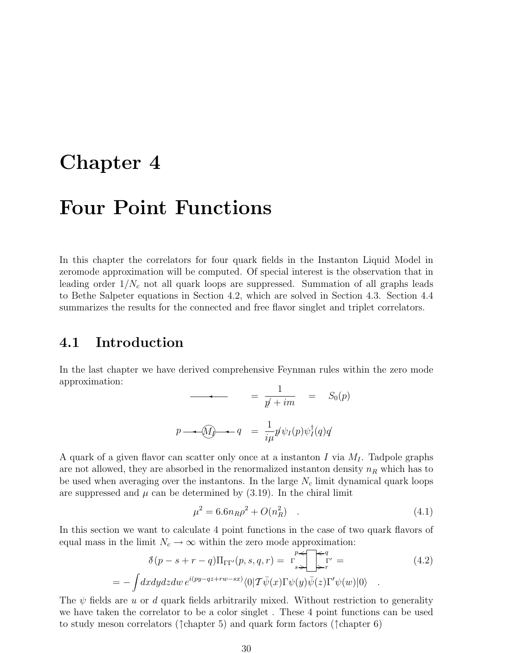# Chapter 4

# Four Point Functions

In this chapter the correlators for four quark fields in the Instanton Liquid Model in zeromode approximation will be computed. Of special interest is the observation that in leading order  $1/N_c$  not all quark loops are suppressed. Summation of all graphs leads to Bethe Salpeter equations in Section 4.2, which are solved in Section 4.3. Section 4.4 summarizes the results for the connected and free flavor singlet and triplet correlators.

# 4.1 Introduction

In the last chapter we have derived comprehensive Feynman rules within the zero mode approximation:

$$
= \frac{1}{p + im} = S_0(p)
$$
  

$$
p \longrightarrow \widehat{M} \longrightarrow q = \frac{1}{i\mu} p \psi_I(p) \psi_I^{\dagger}(q) q
$$

A quark of a given flavor can scatter only once at a instanton I via  $M_I$ . Tadpole graphs are not allowed, they are absorbed in the renormalized instanton density  $n_R$  which has to be used when averaging over the instantons. In the large  $N_c$  limit dynamical quark loops are suppressed and  $\mu$  can be determined by (3.19). In the chiral limit

$$
\mu^2 = 6.6n_R\rho^2 + O(n_R^2) \quad . \tag{4.1}
$$

In this section we want to calculate 4 point functions in the case of two quark flavors of equal mass in the limit  $N_c \to \infty$  within the zero mode approximation:

$$
\delta(p - s + r - q) \Pi_{\Gamma \Gamma'}(p, s, q, r) = \Gamma \sum_{s \to \infty}^{p} \Gamma'_{r} =
$$
\n
$$
= - \int dx dy dz dw e^{i(py - qz + rw - sx)} \langle 0 | T \bar{\psi}(x) \Gamma \psi(y) \bar{\psi}(z) \Gamma' \psi(w) | 0 \rangle .
$$
\n(4.2)

The  $\psi$  fields are u or d quark fields arbitrarily mixed. Without restriction to generality we have taken the correlator to be a color singlet . These 4 point functions can be used to study meson correlators ( $\uparrow$ chapter 5) and quark form factors ( $\uparrow$ chapter 6)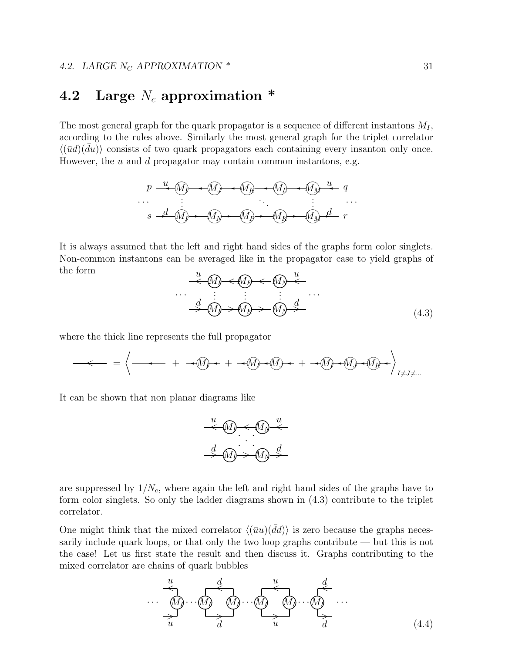# 4.2 Large  $N_c$  approximation  $*$

The most general graph for the quark propagator is a sequence of different instantons  $M_I$ , according to the rules above. Similarly the most general graph for the triplet correlator  $\langle (\bar{u}d)(\bar{d}u) \rangle$  consists of two quark propagators each containing every insanton only once. However, the  $u$  and  $d$  propagator may contain common instantons, e.g.

$$
p \xrightarrow{u} (M) \longrightarrow (M) \longrightarrow (M) \longrightarrow (M) \longrightarrow (M) \longrightarrow q
$$
  
\n
$$
\vdots \qquad \vdots \qquad \vdots
$$
  
\n
$$
s \rightarrow d \quad (M) \longrightarrow (M) \longrightarrow (M) \longrightarrow (M) \longrightarrow (M) \longrightarrow r
$$

It is always assumed that the left and right hand sides of the graphs form color singlets. Non-common instantons can be averaged like in the propagator case to yield graphs of the form  $\overline{a}$ u

$$
\frac{u}{\leftarrow} \text{M} \leftarrow \text{M} \leftarrow \text{M} \leftarrow \text{M}
$$
\n
$$
\frac{d}{\rightarrow} \text{M} \leftarrow \text{M} \leftarrow \text{M} \leftarrow \text{M} \leftarrow \text{M}
$$
\n
$$
\frac{d}{\rightarrow} \text{M} \leftarrow \text{M} \leftarrow \text{M} \leftarrow \text{M} \leftarrow \text{M}
$$
\n
$$
\tag{4.3}
$$

where the thick line represents the full propagator

$$
-\leftarrow -\leftarrow -\left\langle -\left\langle -\left\langle -\left\langle -\left\langle -\left\langle -\left( \frac{1}{2} \right) \right\rangle + \left\langle -\left\langle -\left\langle \frac{1}{2} \right) \right\rangle + \left\langle -\left\langle \frac{1}{2} \right) \right\rangle + \left\langle -\left\langle \frac{1}{2} \right\rangle + \left\langle -\left\langle \frac{1}{2} \right) \right\rangle + \left\langle -\left\langle \frac{1}{2} \right\rangle + \left\langle -\left\langle \frac{1}{2} \right) \right\rangle + \left\langle -\left\langle \frac{1}{2} \right\rangle + \left\langle -\left\langle \frac{1}{2} \right) \right\rangle + \left\langle -\left\langle \frac{1}{2} \right\rangle + \left\langle -\left\langle \frac{1}{2} \right) \right\rangle + \left\langle -\left\langle \frac{1}{2} \right\rangle + \left\langle -\left\langle \frac{1}{2} \right) \right\rangle + \left\langle -\left\langle \frac{1}{2} \right\rangle + \left\langle -\left\langle \frac{1}{2} \right) \right\rangle + \left\langle -\left\langle \frac{1}{2} \right\rangle + \left\langle -\left\langle \frac{1}{2} \right) \right\rangle + \left\langle -\left\langle \frac{1}{2} \right) \right\rangle + \left\langle -\left\langle \frac{1}{2} \right) \right\rangle + \left\langle -\left\langle \frac{1}{2} \right) \right\rangle + \left\langle -\left\langle \frac{1}{2} \right) \right\rangle + \left\langle -\left\langle \frac{1}{2} \right) \right\rangle + \left\langle -\left\langle \frac{1}{2} \right) \right\rangle + \left\langle -\left\langle \frac{1}{2} \right) \right\rangle + \left\langle -\left\langle \frac{1}{2} \right) \right\rangle + \left\langle -\left\langle \frac{1}{2} \right) \right\rangle + \left\langle -\left\langle \frac{1}{2} \right) \right\rangle + \left\langle -\left\langle \frac{1}{2} \right) \right\rangle + \left\langle -\left\langle \frac{1}{2} \right) \right\rangle + \left\langle -\left\langle \frac{1}{2} \right) \right\rangle + \left\langle -\left\langle \frac{1}{2} \right) \right\rangle
$$

It can be shown that non planar diagrams like

$$
\begin{array}{c}\n u \\
 \hline\n \downarrow \\
 d \\
 \hline\n \downarrow \\
 \hline\n \downarrow \\
 \hline\n \downarrow \\
 \hline\n \downarrow \\
 \hline\n \downarrow \\
 \hline\n \downarrow \\
 \hline\n \downarrow \\
 \hline\n \downarrow \\
 \hline\n \downarrow \\
 \hline\n \downarrow \\
 \hline\n \downarrow \\
 \hline\n \downarrow \\
 \hline\n \downarrow \\
 \hline\n \downarrow \\
 \hline\n \downarrow \\
 \hline\n \downarrow \\
 \hline\n \downarrow \\
 \hline\n \downarrow \\
 \hline\n \downarrow \\
 \hline\n \downarrow \\
 \hline\n \downarrow \\
 \hline\n \downarrow \\
 \hline\n \downarrow \\
 \hline\n \downarrow \\
 \hline\n \downarrow \\
 \hline\n \downarrow \\
 \hline\n \downarrow \\
 \hline\n \downarrow \\
 \hline\n \downarrow \\
 \hline\n \downarrow \\
 \hline\n \downarrow \\
 \hline\n \downarrow \\
 \hline\n \downarrow \\
 \hline\n \downarrow \\
 \hline\n \downarrow \\
 \hline\n \downarrow \\
 \hline\n \downarrow \\
 \hline\n \downarrow \\
 \hline\n \downarrow \\
 \hline\n \downarrow \\
 \hline\n \downarrow \\
 \hline\n \downarrow \\
 \hline\n \downarrow \\
 \hline\n \downarrow \\
 \hline\n \downarrow \\
 \hline\n \downarrow \\
 \hline\n \downarrow \\
 \hline\n \downarrow \\
 \hline\n \downarrow \\
 \hline\n \downarrow \\
 \hline\n \downarrow \\
 \hline\n \downarrow \\
 \hline\n \downarrow \\
 \hline\n \downarrow \\
 \hline\n \downarrow \\
 \hline\n \downarrow \\
 \hline\n \downarrow \\
 \hline\n \downarrow \\
 \hline\n \downarrow \\
 \hline\n \downarrow \\
 \hline\n \downarrow \\
 \hline\n \downarrow \\
 \hline\n \downarrow \\
 \hline\n \downarrow \\
 \hline\n \downarrow \\
 \hline\n \downarrow \\
 \hline\n \downarrow \\
 \hline\n \downarrow \\
 \hline\n \downarrow \\
 \hline\n \downarrow \\
 \hline\n \downarrow \\
 \hline\n \downarrow \\
 \hline\n \downarrow \\
 \hline\n \downarrow \\
 \hline\n \downarrow \\
 \hline\n \downarrow \\
 \hline\n \downarrow \\
 \hline\n \downarrow \\
 \hline\n \downarrow \\
 \hline\n \downarrow \\
 \hline\n \downarrow \\
 \hline\n \downarrow \\
 \hline\n \downarrow \\
 \hline\n \downarrow \\
 \hline\n \downarrow \\
 \hline\n \downarrow \\
 \hline\n \downarrow \\
 \hline\n \downarrow \\
 \hline\n \downarrow \\
 \hline\n \downarrow \\
 \hline\n \downarrow \\
 \hline\n \downarrow \\
 \hline
$$

are suppressed by  $1/N_c$ , where again the left and right hand sides of the graphs have to form color singlets. So only the ladder diagrams shown in (4.3) contribute to the triplet correlator.

One might think that the mixed correlator  $\langle (\bar{u}u)(\bar{d}d)\rangle$  is zero because the graphs necessarily include quark loops, or that only the two loop graphs contribute — but this is not the case! Let us first state the result and then discuss it. Graphs contributing to the mixed correlator are chains of quark bubbles

$$
\begin{array}{c}\n\underbrace{u}_{\mathbf{M}} & d \\
\downarrow \\
\downarrow \\
u\n\end{array}\n\qquad\n\begin{array}{c}\n\underbrace{u}_{\mathbf{M}} & d \\
\downarrow \\
\downarrow \\
u\n\end{array}\n\qquad\n\begin{array}{c}\n\underbrace{u}_{\mathbf{M}} & d \\
\downarrow \\
\downarrow \\
u\n\end{array}\n\qquad\n\begin{array}{c}\n\underbrace{d}_{\mathbf{M}} \\
\downarrow \\
\downarrow \\
u\n\end{array}\n\qquad\n\begin{array}{c}\n\underbrace{d}_{\mathbf{M}} \\
\downarrow \\
u\n\end{array}\n\qquad\n\begin{array}{c}\n\underbrace{d}_{\mathbf{M}} \\
\downarrow \\
u\n\end{array}\n\qquad\n\begin{array}{c}\n\underbrace{d}_{\mathbf{M}} \\
\downarrow \\
u\n\end{array}\n\qquad\n\begin{array}{c}\n\underbrace{d}_{\mathbf{M}} \\
\downarrow \\
u\n\end{array}\n\qquad\n\begin{array}{c}\n\underbrace{d}_{\mathbf{M}} \\
\downarrow \\
u\n\end{array}\n\qquad\n\begin{array}{c}\n\underbrace{d}_{\mathbf{M}} \\
\downarrow \\
u\n\end{array}\n\qquad\n\begin{array}{c}\n\underbrace{d}_{\mathbf{M}} \\
\downarrow \\
u\n\end{array}\n\qquad\n\begin{array}{c}\n\underbrace{d}_{\mathbf{M}} \\
\downarrow \\
u\n\end{array}\n\qquad\n\begin{array}{c}\n\underbrace{d}_{\mathbf{M}} \\
\downarrow \\
u\n\end{array}\n\qquad\n\begin{array}{c}\n\underbrace{d}_{\mathbf{M}} \\
\downarrow \\
u\n\end{array}\n\qquad\n\begin{array}{c}\n\underbrace{d}_{\mathbf{M}} \\
\downarrow \\
u\n\end{array}\n\qquad\n\begin{array}{c}\n\underbrace{d}_{\mathbf{M}} \\
\downarrow \\
u\n\end{array}\n\qquad\n\begin{array}{c}\n\underbrace{d}_{\mathbf{M}} \\
\downarrow \\
u\n\end{array}\n\qquad\n\begin{array}{c}\n\underbrace{d}_{\mathbf{M}} \\
\downarrow \\
u\n\end{array}\n\qquad\n\begin{array}{c}\n\underbrace{d}_{\mathbf{M}} \\
\downarrow \\
u\n\end{array}\n\qquad\n\begin{array}{c}\n\underbrace{d}_{\mathbf{M}} \\
\downarrow \\
u\n\end{array}\n\q
$$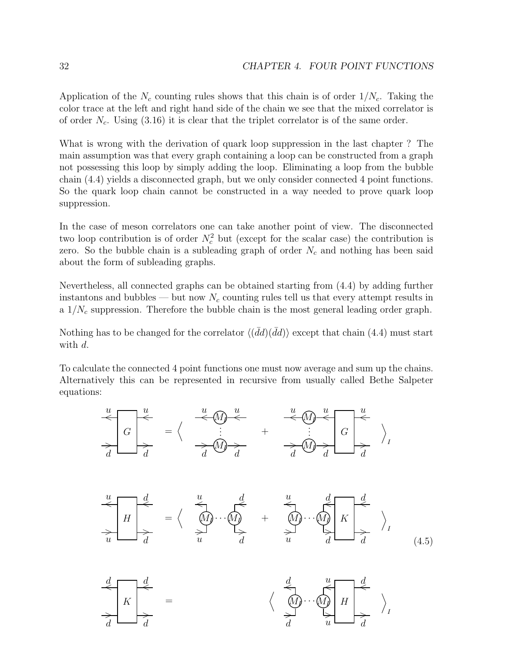Application of the  $N_c$  counting rules shows that this chain is of order  $1/N_c$ . Taking the color trace at the left and right hand side of the chain we see that the mixed correlator is of order  $N_c$ . Using (3.16) it is clear that the triplet correlator is of the same order.

What is wrong with the derivation of quark loop suppression in the last chapter ? The main assumption was that every graph containing a loop can be constructed from a graph not possessing this loop by simply adding the loop. Eliminating a loop from the bubble chain (4.4) yields a disconnected graph, but we only consider connected 4 point functions. So the quark loop chain cannot be constructed in a way needed to prove quark loop suppression.

In the case of meson correlators one can take another point of view. The disconnected two loop contribution is of order  $N_c^2$  but (except for the scalar case) the contribution is zero. So the bubble chain is a subleading graph of order  $N_c$  and nothing has been said about the form of subleading graphs.

Nevertheless, all connected graphs can be obtained starting from (4.4) by adding further instantons and bubbles — but now  $N_c$  counting rules tell us that every attempt results in a  $1/N_c$  suppression. Therefore the bubble chain is the most general leading order graph.

Nothing has to be changed for the correlator  $\langle (d\bar{d}) (\bar{d}d) \rangle$  except that chain (4.4) must start with d.

To calculate the connected 4 point functions one must now average and sum up the chains. Alternatively this can be represented in recursive from usually called Bethe Salpeter equations:

$$
\frac{u}{d} \frac{d}{dt} = \left\langle \begin{array}{ccc} \frac{u}{d} & \frac{u}{d} & \frac{u}{d} & \frac{u}{d} \\ \frac{u}{d} & \frac{u}{d} & \frac{u}{d} & \frac{u}{d} \end{array} \right\rangle_{I}
$$
\n
$$
\frac{u}{d} \frac{d}{dt} = \left\langle \begin{array}{ccc} \frac{u}{d} & \frac{d}{d} & \frac{u}{d} \\ \frac{u}{d} & \frac{u}{d} & \frac{u}{d} \end{array} \right\rangle_{I}
$$
\n
$$
\frac{u}{d} \frac{d}{dt} = \left\langle \begin{array}{ccc} \frac{u}{d} & \frac{d}{d} & \frac{u}{d} \\ \frac{u}{d} & \frac{u}{d} & \frac{u}{d} \end{array} \right\rangle_{I}
$$
\n
$$
\frac{d}{d} \frac{d}{dt} \frac{d}{dt} \frac{u}{dt} \frac{d}{dt}
$$
\n
$$
(4.5)
$$

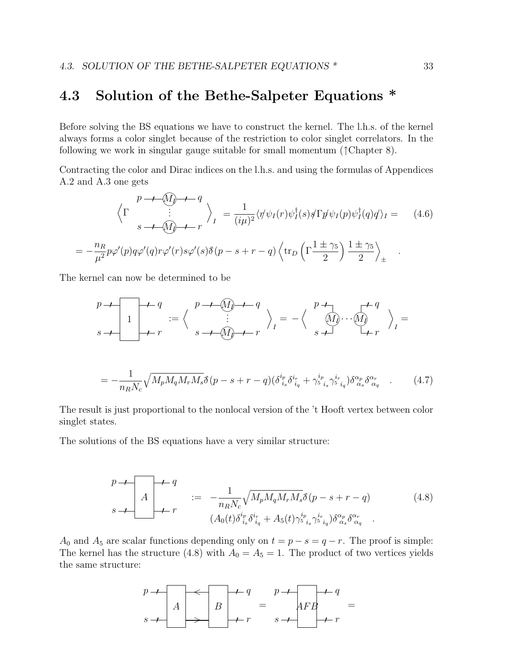## 4.3 Solution of the Bethe-Salpeter Equations \*

Before solving the BS equations we have to construct the kernel. The l.h.s. of the kernel always forms a color singlet because of the restriction to color singlet correlators. In the following we work in singular gauge suitable for small momentum (↑Chapter 8).

Contracting the color and Dirac indices on the l.h.s. and using the formulas of Appendices A.2 and A.3 one gets

$$
\left\langle \Gamma \frac{p \to \mathcal{M}_0 + q}{s \to \mathcal{M}_0 + r} \right\rangle_I = \frac{1}{(i\mu)^2} \langle \eta' \psi_I(r) \psi_I^\dagger(s) \phi \Gamma \eta' \psi_I(p) \psi_I^\dagger(q) q \rangle_I = (4.6)
$$
  

$$
= -\frac{n_R}{\mu^2} p \varphi'(p) q \varphi'(q) r \varphi'(r) s \varphi'(s) \delta(p - s + r - q) \left\langle \text{tr}_D \left( \Gamma \frac{1 \pm \gamma_5}{2} \right) \frac{1 \pm \gamma_5}{2} \right\rangle_{\pm}
$$

The kernel can now be determined to be

$$
p \rightarrow q
$$
\n
$$
s \rightarrow 1
$$
\n
$$
s \rightarrow q
$$
\n
$$
s \rightarrow q
$$
\n
$$
s \rightarrow q
$$
\n
$$
s \rightarrow q
$$
\n
$$
s \rightarrow q
$$
\n
$$
s \rightarrow q
$$
\n
$$
s \rightarrow q
$$
\n
$$
s \rightarrow q
$$
\n
$$
s \rightarrow q
$$
\n
$$
s \rightarrow q
$$
\n
$$
s \rightarrow q
$$
\n
$$
s \rightarrow q
$$
\n
$$
s \rightarrow q
$$
\n
$$
s \rightarrow q
$$
\n
$$
s \rightarrow q
$$
\n
$$
s \rightarrow q
$$
\n
$$
s \rightarrow q
$$
\n
$$
s \rightarrow q
$$
\n
$$
s \rightarrow q
$$
\n
$$
s \rightarrow q
$$
\n
$$
s \rightarrow q
$$
\n
$$
s \rightarrow q
$$
\n
$$
s \rightarrow q
$$
\n
$$
s \rightarrow q
$$
\n
$$
s \rightarrow q
$$
\n
$$
s \rightarrow q
$$
\n
$$
s \rightarrow q
$$
\n
$$
s \rightarrow q
$$
\n
$$
s \rightarrow q
$$
\n
$$
s \rightarrow q
$$
\n
$$
s \rightarrow q
$$
\n
$$
s \rightarrow q
$$
\n
$$
s \rightarrow q
$$
\n
$$
s \rightarrow q
$$
\n
$$
s \rightarrow q
$$
\n
$$
s \rightarrow q
$$
\n
$$
s \rightarrow q
$$
\n
$$
s \rightarrow q
$$
\n
$$
s \rightarrow q
$$
\n
$$
s \rightarrow q
$$
\n
$$
s \rightarrow q
$$
\n
$$
s \rightarrow q
$$
\n
$$
s \rightarrow q
$$
\n
$$
s \rightarrow q
$$
\n
$$
s \rightarrow q
$$
\n
$$
s \rightarrow q
$$
\n
$$
s \rightarrow q
$$
\n
$$
s \rightarrow q
$$
\n
$$
s \rightarrow q
$$
\n
$$
s \rightarrow q
$$
\n
$$
s \rightarrow q
$$
\n
$$
s \rightarrow q
$$
\n
$$
s \
$$

The result is just proportional to the nonlocal version of the 't Hooft vertex between color singlet states.

The solutions of the BS equations have a very similar structure:

$$
p \to \n\begin{bmatrix}\nA & \cdots & \cdots & \cdots & \cdots \\
A & \cdots & \cdots & \cdots & \cdots & \cdots \\
A & \cdots & \cdots & \cdots & \cdots & \cdots \\
A_0(t)\delta_{i_s}^{i_p}\delta_{i_q}^{i_r} + A_5(t)\gamma_{i_s}^{i_p}\gamma_{i_q}^{i_r}\delta_{i_q}^{i_r}\n\end{bmatrix}
$$
\n
$$
(4.8)
$$

A<sub>0</sub> and A<sub>5</sub> are scalar functions depending only on  $t = p - s = q - r$ . The proof is simple: The kernel has the structure (4.8) with  $A_0 = A_5 = 1$ . The product of two vertices yields the same structure:

$$
\begin{array}{ccc}\np & \rightarrow & \\
A & \rightarrow & \\
B & \rightarrow & \\
\end{array}
$$
\n
$$
\begin{array}{ccc}\n+ & q & p & \rightarrow & \\
A & \rightarrow & & \\
\end{array}
$$
\n
$$
\begin{array}{ccc}\n+ & q & p & \rightarrow & \\
A & \rightarrow & & \\
\end{array}
$$
\n
$$
\begin{array}{ccc}\n+ & q & \rightarrow & \\
\end{array}
$$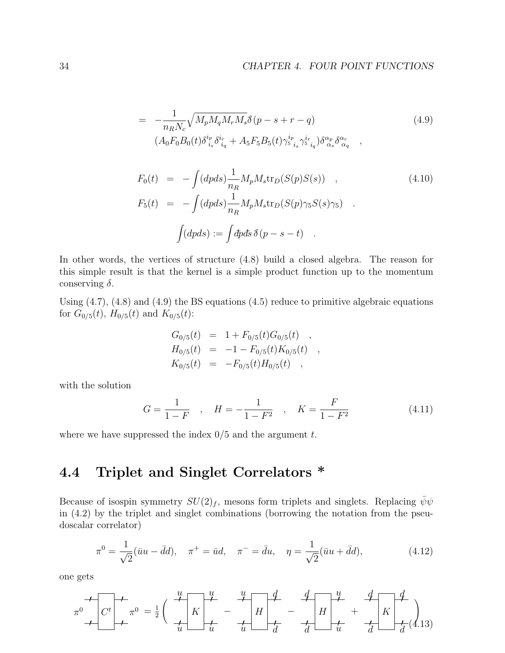$$
= -\frac{1}{n_R N_c} \sqrt{M_p M_q M_r M_s} \delta(p - s + r - q)
$$
\n
$$
(A_0 F_0 B_0(t) \delta_{i_s}^{i_p} \delta_{i_q}^{i_r} + A_5 F_5 B_5(t) \gamma_{5}^{i_p} \gamma_{i_q}^{i_r} \gamma_{5}^{i_r} \delta_{i_q}^{\alpha_r} ,
$$
\n
$$
(4.9)
$$

$$
F_0(t) = -\int (dpds) \frac{1}{n_R} M_p M_s \text{tr}_D(S(p)S(s)) ,
$$
\n
$$
F_5(t) = -\int (dpds) \frac{1}{n_R} M_p M_s \text{tr}_D(S(p) \gamma_5 S(s) \gamma_5) .
$$
\n
$$
\int (dpds) := \int dpds \, \delta(p - s - t) .
$$
\n(4.10)

In other words, the vertices of structure (4.8) build a closed algebra. The reason for this simple result is that the kernel is a simple product function up to the momentum conserving  $\delta$ .

Using (4.7), (4.8) and (4.9) the BS equations (4.5) reduce to primitive algebraic equations for  $G_{0/5}(t)$ ,  $H_{0/5}(t)$  and  $K_{0/5}(t)$ :

$$
G_{0/5}(t) = 1 + F_{0/5}(t)G_{0/5}(t) ,
$$
  
\n
$$
H_{0/5}(t) = -1 - F_{0/5}(t)K_{0/5}(t) ,
$$
  
\n
$$
K_{0/5}(t) = -F_{0/5}(t)H_{0/5}(t) ,
$$

with the solution

$$
G = \frac{1}{1 - F} \quad , \quad H = -\frac{1}{1 - F^2} \quad , \quad K = \frac{F}{1 - F^2} \tag{4.11}
$$

where we have suppressed the index  $0/5$  and the argument t.

# 4.4 Triplet and Singlet Correlators \*

Because of isospin symmetry  $SU(2)_f$ , mesons form triplets and singlets. Replacing  $\bar{\psi}\psi$ in (4.2) by the triplet and singlet combinations (borrowing the notation from the pseudoscalar correlator)

$$
\pi^0 = \frac{1}{\sqrt{2}} (\bar{u}u - \bar{d}d), \quad \pi^+ = \bar{u}d, \quad \pi^- = \bar{d}u, \quad \eta = \frac{1}{\sqrt{2}} (\bar{u}u + \bar{d}d), \tag{4.12}
$$

one gets

$$
\pi^{0} \left( C^{t} \right) \leftarrow \pi^{0} = \frac{1}{2} \left( \begin{array}{c} u \\ \hline u \\ u \end{array} \right) \leftarrow \frac{u}{u} - \frac{u}{u} \left[ H \right] \leftarrow \frac{4}{d} - \frac{4}{d} \left[ H \right] \leftarrow \frac{4}{d} - \frac{4}{d} \left[ H \right] \leftarrow \frac{4}{d} \left[ H \right] \leftarrow \frac{4}{d} \left[ H \right] \leftarrow \frac{4}{d} \left[ H \right] \leftarrow \frac{4}{d} \left[ H \right] \leftarrow \frac{4}{d} \left[ H \right] \leftarrow \frac{4}{d} \left[ H \right] \left[ H \right] \leftarrow \frac{4}{d} \left[ H \right] \left[ H \right] \left[ H \right] \left[ H \right] \left[ H \right] \left[ H \right] \left[ H \right] \left[ H \right] \left[ H \right] \left[ H \right] \left[ H \right] \left[ H \right] \left[ H \right] \left[ H \right] \left[ H \right] \left[ H \right] \left[ H \right] \left[ H \right] \left[ H \right] \left[ H \right] \left[ H \right] \left[ H \right] \left[ H \right] \left[ H \right] \left[ H \right] \left[ H \right] \left[ H \right] \left[ H \right] \left[ H \right] \left[ H \right] \left[ H \right] \left[ H \right] \left[ H \right] \left[ H \right] \left[ H \right] \left[ H \right] \left[ H \right] \left[ H \right] \left[ H \right] \left[ H \right] \left[ H \right] \left[ H \right] \left[ H \right] \left[ H \right] \left[ H \right] \left[ H \right] \left[ H \right] \left[ H \right] \left[ H \right] \left[ H \right] \left[ H \right] \left[ H \right] \left[ H \right] \left[ H \right] \left[ H \right] \left[ H \right] \left[ H \right] \left[ H \right] \left[ H \right] \left[ H \right] \left[ H \right] \left[ H \right] \left[ H \right] \left[ H \right] \left[ H \right] \left[ H \right] \left[ H \right] \left[ H \right] \left[ H \right] \left[ H \right] \left[ H \right] \left[ H \right] \left[ H \
$$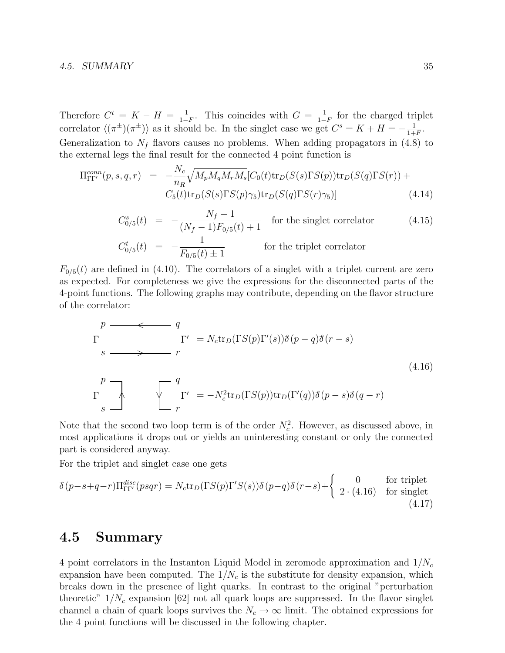#### 4.5. SUMMARY 35

Therefore  $C^t = K - H = \frac{1}{1 - \epsilon}$  $\frac{1}{1-F}$ . This coincides with  $G = \frac{1}{1-F}$  $\frac{1}{1-F}$  for the charged triplet correlator  $\langle (\pi^{\pm})(\pi^{\pm})\rangle$  as it should be. In the singlet case we get  $C^{s} = K + H = -\frac{1}{1+K}$  $\frac{1}{1+F}$ . Generalization to  $N_f$  flavors causes no problems. When adding propagators in (4.8) to the external legs the final result for the connected 4 point function is

$$
\Pi_{\Gamma\Gamma'}^{conn}(p,s,q,r) = -\frac{N_c}{n_R} \sqrt{M_p M_q M_r M_s} [C_0(t) \text{tr}_D(S(s) \Gamma S(p)) \text{tr}_D(S(q) \Gamma S(r)) + C_5(t) \text{tr}_D(S(s) \Gamma S(p) \gamma_5) \text{tr}_D(S(q) \Gamma S(r) \gamma_5)] \tag{4.14}
$$

$$
C_{0/5}^{s}(t) = -\frac{N_f - 1}{(N_f - 1)F_{0/5}(t) + 1}
$$
 for the singlet correlator (4.15)

$$
C_{0/5}^{t}(t) = -\frac{1}{F_{0/5}(t) \pm 1}
$$
 for the triplet correlator

 $F_{0/5}(t)$  are defined in (4.10). The correlators of a singlet with a triplet current are zero as expected. For completeness we give the expressions for the disconnected parts of the 4-point functions. The following graphs may contribute, depending on the flavor structure of the correlator:

$$
p \longrightarrow q
$$
\n
$$
\Gamma' = N_c \text{tr}_D(\Gamma S(p) \Gamma'(s)) \delta(p-q) \delta(r-s)
$$
\n
$$
\Gamma \longrightarrow \Gamma'
$$
\n
$$
\Gamma
$$
\n
$$
\Gamma'
$$
\n
$$
\Gamma'
$$
\n
$$
\Gamma'
$$
\n
$$
\Gamma'
$$
\n
$$
\Gamma'
$$
\n
$$
\Gamma'
$$
\n
$$
\Gamma'
$$
\n
$$
\Gamma'
$$
\n
$$
\Gamma'
$$
\n
$$
\Gamma'
$$
\n
$$
\Gamma'
$$
\n
$$
\Gamma'
$$
\n
$$
\Gamma'
$$
\n
$$
\Gamma'
$$
\n
$$
\Gamma'
$$
\n
$$
\Gamma'
$$
\n
$$
\Gamma'
$$
\n
$$
\Gamma'
$$
\n
$$
\Gamma'
$$
\n
$$
\Gamma'
$$
\n
$$
\Gamma'
$$
\n
$$
\Gamma'
$$
\n
$$
\Gamma'
$$
\n
$$
\Gamma'
$$
\n
$$
\Gamma'
$$
\n
$$
\Gamma'
$$
\n
$$
\Gamma'
$$
\n
$$
\Gamma'
$$
\n
$$
\Gamma'
$$
\n
$$
\Gamma'
$$
\n
$$
\Gamma'
$$
\n
$$
\Gamma'
$$
\n
$$
\Gamma'
$$
\n
$$
\Gamma'
$$
\n
$$
\Gamma'
$$
\n
$$
\Gamma'
$$
\n
$$
\Gamma'
$$
\n
$$
\Gamma'
$$
\n
$$
\Gamma'
$$
\n
$$
\Gamma'
$$
\n
$$
\Gamma'
$$
\n
$$
\Gamma'
$$
\n
$$
\Gamma'
$$
\n
$$
\Gamma'
$$
\n
$$
\Gamma'
$$
\n
$$
\Gamma'
$$
\n
$$
\Gamma'
$$
\n
$$
\Gamma'
$$
\n
$$
\Gamma'
$$
\n
$$
\Gamma'
$$
\n
$$
\Gamma'
$$
\n
$$
\Gamma'
$$
\n
$$
\Gamma'
$$
\n
$$
\Gamma'
$$
\n
$$
\Gamma'
$$
\n
$$
\Gamma'
$$
\n
$$
\Gamma'
$$
\n
$$
\Gamma'
$$
\n
$$
\Gamma'
$$
\n
$$
\Gamma'
$$
\n
$$
\Gamma'
$$
\n
$$
\Gamma'
$$
\n $$ 

Note that the second two loop term is of the order  $N_c^2$ . However, as discussed above, in most applications it drops out or yields an uninteresting constant or only the connected part is considered anyway.

For the triplet and singlet case one gets

$$
\delta(p-s+q-r)\Pi_{\Gamma\Gamma'}^{disc}(psqr) = N_c \text{tr}_D(\Gamma S(p)\Gamma'S(s))\delta(p-q)\delta(r-s) + \begin{cases} 0 & \text{for triplet} \\ 2 \cdot (4.16) & \text{for singlet} \\ (4.17) & \text{if} \end{cases}
$$

### 4.5 Summary

4 point correlators in the Instanton Liquid Model in zeromode approximation and  $1/N_c$ expansion have been computed. The  $1/N_c$  is the substitute for density expansion, which breaks down in the presence of light quarks. In contrast to the original "perturbation theoretic"  $1/N_c$  expansion [62] not all quark loops are suppressed. In the flavor singlet channel a chain of quark loops survives the  $N_c \to \infty$  limit. The obtained expressions for the 4 point functions will be discussed in the following chapter.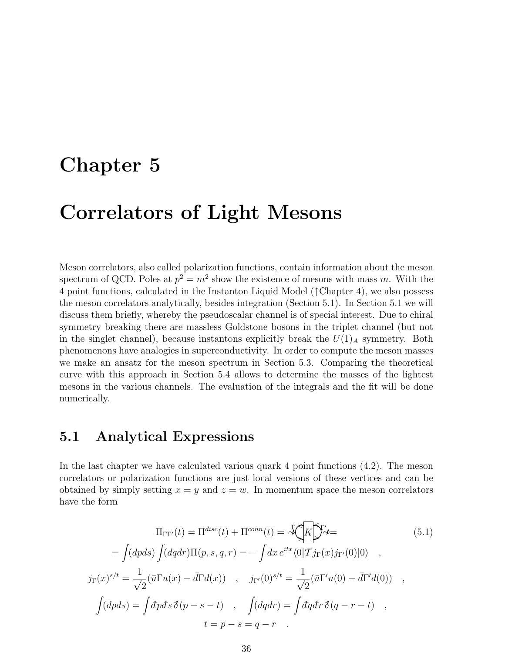### Chapter 5

## Correlators of Light Mesons

Meson correlators, also called polarization functions, contain information about the meson spectrum of QCD. Poles at  $p^2 = m^2$  show the existence of mesons with mass m. With the 4 point functions, calculated in the Instanton Liquid Model (↑Chapter 4), we also possess the meson correlators analytically, besides integration (Section 5.1). In Section 5.1 we will discuss them briefly, whereby the pseudoscalar channel is of special interest. Due to chiral symmetry breaking there are massless Goldstone bosons in the triplet channel (but not in the singlet channel), because instantons explicitly break the  $U(1)_A$  symmetry. Both phenomenons have analogies in superconductivity. In order to compute the meson masses we make an ansatz for the meson spectrum in Section 5.3. Comparing the theoretical curve with this approach in Section 5.4 allows to determine the masses of the lightest mesons in the various channels. The evaluation of the integrals and the fit will be done numerically.

#### 5.1 Analytical Expressions

In the last chapter we have calculated various quark 4 point functions (4.2). The meson correlators or polarization functions are just local versions of these vertices and can be obtained by simply setting  $x = y$  and  $z = w$ . In momentum space the meson correlators have the form

$$
\Pi_{\Gamma\Gamma'}(t) = \Pi^{disc}(t) + \Pi^{conn}(t) = \tilde{\mathcal{H}} \left( \tilde{K} \right) \tilde{\mathcal{H}} =
$$
\n
$$
= \int (dpds) \int (dqdr) \Pi(p, s, q, r) = - \int dx e^{itx} \langle 0 | T j_{\Gamma}(x) j_{\Gamma'}(0) | 0 \rangle ,
$$
\n
$$
j_{\Gamma}(x)^{s/t} = \frac{1}{\sqrt{2}} (\bar{u} \Gamma u(x) - \bar{d} \Gamma d(x)) , \quad j_{\Gamma'}(0)^{s/t} = \frac{1}{\sqrt{2}} (\bar{u} \Gamma' u(0) - \bar{d} \Gamma' d(0)) ,
$$
\n
$$
\int (dpds) = \int dpds \, \tilde{\delta}(p - s - t) , \quad \int (dqdr) = \int dqdr \, \tilde{\delta}(q - r - t) ,
$$
\n
$$
t = p - s = q - r .
$$
\n(5.1)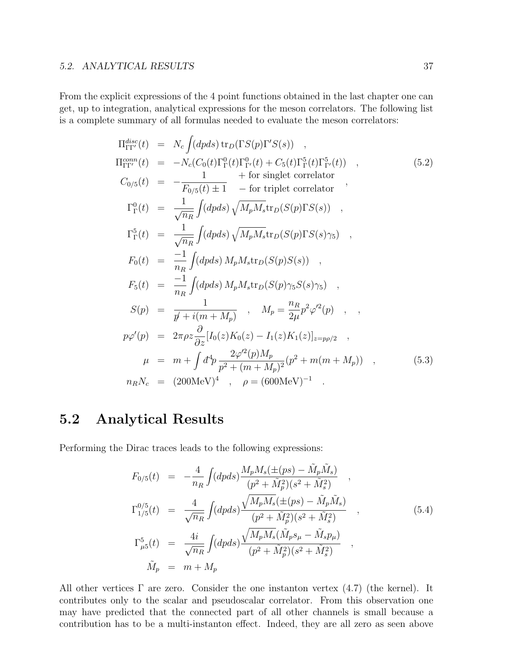From the explicit expressions of the 4 point functions obtained in the last chapter one can get, up to integration, analytical expressions for the meson correlators. The following list is a complete summary of all formulas needed to evaluate the meson correlators:

$$
\Pi_{\Gamma\Gamma'}^{disc}(t) = N_c \int (dpds) \operatorname{tr}_D(\Gamma S(p)\Gamma'S(s)) ,
$$
\n
$$
\Pi_{\Gamma\Gamma'}^{conn}(t) = -N_c(C_0(t)\Gamma_{\Gamma}^0(t)\Gamma_{\Gamma'}^0(t) + C_5(t)\Gamma_{\Gamma}^5(t)\Gamma_{\Gamma'}^5(t)) ,
$$
\n
$$
C_{0/5}(t) = -\frac{1}{F_{0/5}(t) \pm 1} - \text{for triplet correlator } ,
$$
\n
$$
\Gamma_{\Gamma}^0(t) = \frac{1}{\sqrt{n_R}} \int (dpds) \sqrt{M_p M_s} \operatorname{tr}_D(S(p)\Gamma S(s)) ,
$$
\n
$$
\Gamma_{\Gamma}^5(t) = \frac{1}{\sqrt{n_R}} \int (dpds) \sqrt{M_p M_s} \operatorname{tr}_D(S(p)\Gamma S(s)\gamma_5) ,
$$
\n
$$
F_0(t) = \frac{-1}{n_R} \int (dpds) M_p M_s \operatorname{tr}_D(S(p)\gamma_5 S(s)\gamma_5) ,
$$
\n
$$
F_5(t) = \frac{-1}{n_R} \int (dpds) M_p M_s \operatorname{tr}_D(S(p)\gamma_5 S(s)\gamma_5) ,
$$
\n
$$
S(p) = \frac{1}{p' + i(m + M_p)} , M_p = \frac{n_R}{2\mu} p^2 \varphi'^2(p) ,
$$
\n
$$
p\varphi'(p) = 2\pi \rho z \frac{\partial}{\partial z} [I_0(z)K_0(z) - I_1(z)K_1(z)]_{z=p\rho/2} ,
$$
\n
$$
\mu = m + \int d^4 p \frac{2\varphi'^2(p)M_p}{p^2 + (m + M_p)^2} (p^2 + m(m + M_p)) ,
$$
\n
$$
n_R N_c = (200 \text{MeV})^4 , \rho = (600 \text{MeV})^{-1} .
$$
\n(5.3)

### 5.2 Analytical Results

Performing the Dirac traces leads to the following expressions:

$$
F_{0/5}(t) = -\frac{4}{n_R} \int (dpds) \frac{M_p M_s(\pm(ps) - \tilde{M}_p \tilde{M}_s)}{(p^2 + \tilde{M}_p^2)(s^2 + \tilde{M}_s^2)},
$$
  
\n
$$
\Gamma_{1/5}^{0/5}(t) = \frac{4}{\sqrt{n_R}} \int (dpds) \frac{\sqrt{M_p M_s(\pm(ps) - \tilde{M}_p \tilde{M}_s)}}{(p^2 + \tilde{M}_p^2)(s^2 + \tilde{M}_s^2)},
$$
  
\n
$$
\Gamma_{\mu 5}^5(t) = \frac{4i}{\sqrt{n_R}} \int (dpds) \frac{\sqrt{M_p M_s}(\tilde{M}_p s_\mu - \tilde{M}_s p_\mu)}{(p^2 + \tilde{M}_p^2)(s^2 + \tilde{M}_s^2)},
$$
  
\n
$$
\tilde{M}_p = m + M_p
$$
\n(5.4)

All other vertices  $\Gamma$  are zero. Consider the one instanton vertex  $(4.7)$  (the kernel). It contributes only to the scalar and pseudoscalar correlator. From this observation one may have predicted that the connected part of all other channels is small because a contribution has to be a multi-instanton effect. Indeed, they are all zero as seen above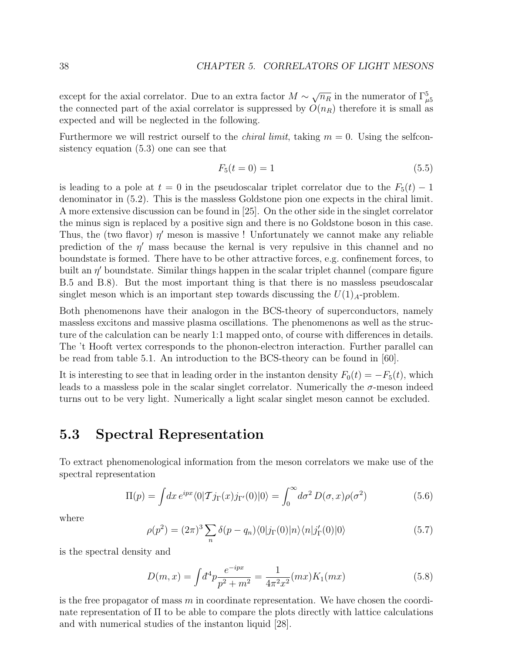except for the axial correlator. Due to an extra factor  $M \sim \sqrt{n_R}$  in the numerator of  $\Gamma_{\mu 5}^5$ the connected part of the axial correlator is suppressed by  $O(n_R)$  therefore it is small as expected and will be neglected in the following.

Furthermore we will restrict ourself to the *chiral limit*, taking  $m = 0$ . Using the selfconsistency equation (5.3) one can see that

$$
F_5(t=0) = 1 \tag{5.5}
$$

is leading to a pole at  $t = 0$  in the pseudoscalar triplet correlator due to the  $F_5(t) - 1$ denominator in (5.2). This is the massless Goldstone pion one expects in the chiral limit. A more extensive discussion can be found in [25]. On the other side in the singlet correlator the minus sign is replaced by a positive sign and there is no Goldstone boson in this case. Thus, the (two flavor)  $\eta'$  meson is massive ! Unfortunately we cannot make any reliable prediction of the  $\eta'$  mass because the kernal is very repulsive in this channel and no boundstate is formed. There have to be other attractive forces, e.g. confinement forces, to built an  $\eta'$  boundstate. Similar things happen in the scalar triplet channel (compare figure B.5 and B.8). But the most important thing is that there is no massless pseudoscalar singlet meson which is an important step towards discussing the  $U(1)<sub>A</sub>$ -problem.

Both phenomenons have their analogon in the BCS-theory of superconductors, namely massless excitons and massive plasma oscillations. The phenomenons as well as the structure of the calculation can be nearly 1:1 mapped onto, of course with differences in details. The 't Hooft vertex corresponds to the phonon-electron interaction. Further parallel can be read from table 5.1. An introduction to the BCS-theory can be found in [60].

It is interesting to see that in leading order in the instanton density  $F_0(t) = -F_5(t)$ , which leads to a massless pole in the scalar singlet correlator. Numerically the  $\sigma$ -meson indeed turns out to be very light. Numerically a light scalar singlet meson cannot be excluded.

#### 5.3 Spectral Representation

To extract phenomenological information from the meson correlators we make use of the spectral representation

$$
\Pi(p) = \int dx \, e^{ipx} \langle 0|T j_{\Gamma}(x) j_{\Gamma'}(0)|0\rangle = \int_0^\infty d\sigma^2 \, D(\sigma, x) \rho(\sigma^2) \tag{5.6}
$$

where

$$
\rho(p^2) = (2\pi)^3 \sum_n \delta(p - q_n) \langle 0 | j_\Gamma(0) | n \rangle \langle n | j'_\Gamma(0) | 0 \rangle \tag{5.7}
$$

is the spectral density and

$$
D(m,x) = \int d^4p \frac{e^{-ipx}}{p^2 + m^2} = \frac{1}{4\pi^2 x^2} (mx) K_1(mx)
$$
 (5.8)

is the free propagator of mass  $m$  in coordinate representation. We have chosen the coordinate representation of  $\Pi$  to be able to compare the plots directly with lattice calculations and with numerical studies of the instanton liquid [28].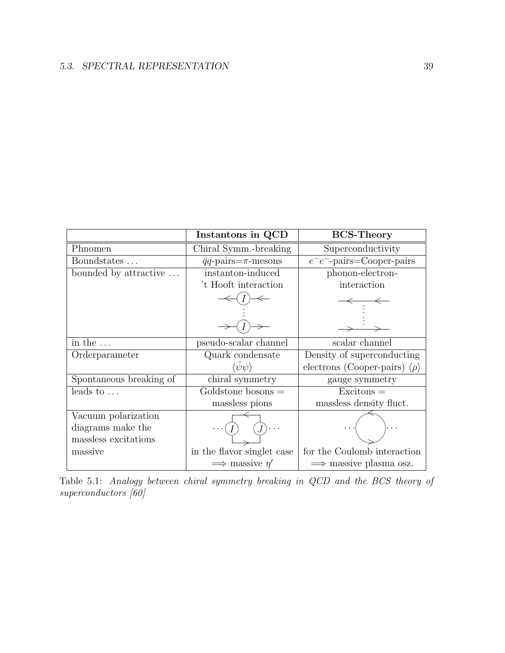|                         | Instantons in QCD                | <b>BCS-Theory</b>                               |
|-------------------------|----------------------------------|-------------------------------------------------|
| Phnomen                 | Chiral Symm.-breaking            | Superconductivity                               |
| Boundstates             | $\bar{q}q$ -pairs= $\pi$ -mesons | $e^-e^-$ -pairs=Cooper-pairs                    |
| bounded by attractive   | instanton-induced                | phonon-electron-                                |
|                         | 't Hooft interaction             | interaction                                     |
|                         |                                  |                                                 |
|                         |                                  |                                                 |
| in the $\dots$          | pseudo-scalar channel            | scalar channel                                  |
| Orderparameter          | Quark condensate                 | Density of superconducting                      |
|                         | $\langle \psi \psi \rangle$      | electrons (Cooper-pairs) $\langle \rho \rangle$ |
| Spontaneous breaking of | chiral symmetry                  | gauge symmetry                                  |
| leads to $\dots$        | $Goldstone$ bosons $=$           | $Excitons =$                                    |
|                         | massless pions                   | massless density fluct.                         |
| Vacuum polarization     |                                  |                                                 |
| diagrams make the       |                                  |                                                 |
| massless excitations    |                                  |                                                 |
| massive                 | in the flavor singlet case       | for the Coulomb interaction                     |
|                         | $\implies$ massive $\eta'$       | $\implies$ massive plasma osz.                  |

Table 5.1: Analogy between chiral symmetry breaking in QCD and the BCS theory of superconductors [60]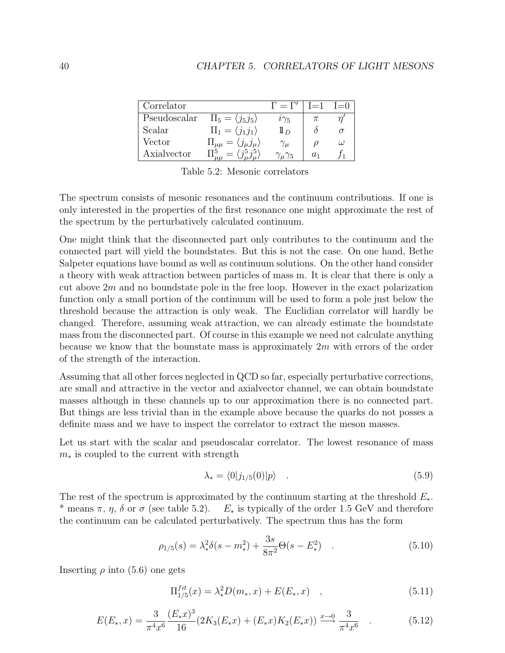| Correlator   |                                                  | $\Gamma = \Gamma'$       | $I=1$ | $I=0$ |
|--------------|--------------------------------------------------|--------------------------|-------|-------|
| Pseudoscalar | $\Pi_5 = \langle j_5 j_5 \rangle$                | $i\gamma_5$              |       |       |
| Scalar       | $\Pi_1 = \langle j_1 j_1 \rangle$                | $1\!\!1_D$               |       |       |
| Vector       | $\Pi_{\mu\mu} = \langle j_{\mu} j_{\mu} \rangle$ | $\gamma_\mu$             |       | ω     |
| Axialvector  |                                                  | $\gamma_{\mu}\gamma_{5}$ |       |       |

Table 5.2: Mesonic correlators

The spectrum consists of mesonic resonances and the continuum contributions. If one is only interested in the properties of the first resonance one might approximate the rest of the spectrum by the perturbatively calculated continuum.

One might think that the disconnected part only contributes to the continuum and the connected part will yield the boundstates. But this is not the case. On one hand, Bethe Salpeter equations have bound as well as continuum solutions. On the other hand consider a theory with weak attraction between particles of mass m. It is clear that there is only a cut above  $2m$  and no boundstate pole in the free loop. However in the exact polarization function only a small portion of the continuum will be used to form a pole just below the threshold because the attraction is only weak. The Euclidian correlator will hardly be changed. Therefore, assuming weak attraction, we can already estimate the boundstate mass from the disconnected part. Of course in this example we need not calculate anything because we know that the bounstate mass is approximately  $2m$  with errors of the order of the strength of the interaction.

Assuming that all other forces neglected in QCD so far, especially perturbative corrections, are small and attractive in the vector and axialvector channel, we can obtain boundstate masses although in these channels up to our approximation there is no connected part. But things are less trivial than in the example above because the quarks do not posses a definite mass and we have to inspect the correlator to extract the meson masses.

Let us start with the scalar and pseudoscalar correlator. The lowest resonance of mass  $m<sub>*</sub>$  is coupled to the current with strength

$$
\lambda_* = \langle 0 | j_{1/5}(0) | p \rangle \tag{5.9}
$$

The rest of the spectrum is approximated by the continuum starting at the threshold  $E_*$ . \* means  $\pi$ ,  $\eta$ ,  $\delta$  or  $\sigma$  (see table 5.2).  $E_*$  is typically of the order 1.5 GeV and therefore the continuum can be calculated perturbatively. The spectrum thus has the form

$$
\rho_{1/5}(s) = \lambda_*^2 \delta(s - m_*^2) + \frac{3s}{8\pi^2} \Theta(s - E_*^2) \quad . \tag{5.10}
$$

Inserting  $\rho$  into (5.6) one gets

$$
\Pi_{1/5}^{fit}(x) = \lambda_*^2 D(m_*, x) + E(E_*, x) \quad , \tag{5.11}
$$

$$
E(E_*,x) = \frac{3}{\pi^4 x^6} \frac{(E_* x)^3}{16} (2K_3(E_* x) + (E_* x)K_2(E_* x)) \stackrel{x \to 0}{\longrightarrow} \frac{3}{\pi^4 x^6} \quad . \tag{5.12}
$$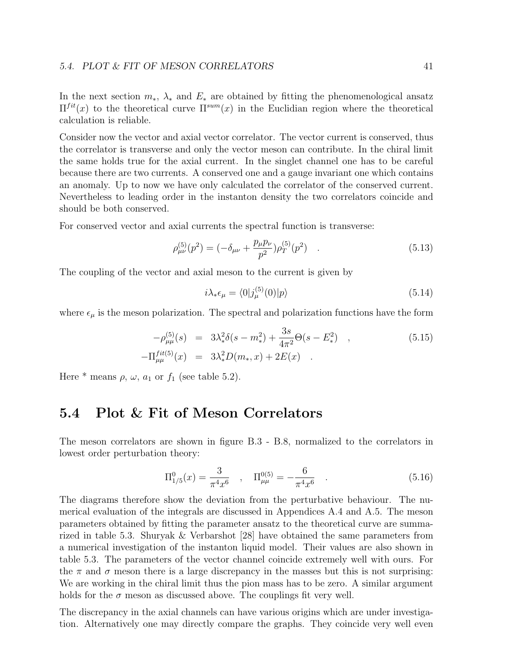In the next section  $m_*$ ,  $\lambda_*$  and  $E_*$  are obtained by fitting the phenomenological ansatz  $\Pi^{fit}(x)$  to the theoretical curve  $\Pi^{sum}(x)$  in the Euclidian region where the theoretical calculation is reliable.

Consider now the vector and axial vector correlator. The vector current is conserved, thus the correlator is transverse and only the vector meson can contribute. In the chiral limit the same holds true for the axial current. In the singlet channel one has to be careful because there are two currents. A conserved one and a gauge invariant one which contains an anomaly. Up to now we have only calculated the correlator of the conserved current. Nevertheless to leading order in the instanton density the two correlators coincide and should be both conserved.

For conserved vector and axial currents the spectral function is transverse:

$$
\rho_{\mu\nu}^{(5)}(p^2) = (-\delta_{\mu\nu} + \frac{p_\mu p_\nu}{p^2})\rho_T^{(5)}(p^2) \quad . \tag{5.13}
$$

The coupling of the vector and axial meson to the current is given by

$$
i\lambda_* \epsilon_\mu = \langle 0 | j_\mu^{(5)}(0) | p \rangle \tag{5.14}
$$

where  $\epsilon_{\mu}$  is the meson polarization. The spectral and polarization functions have the form

$$
-\rho_{\mu\mu}^{(5)}(s) = 3\lambda_*^2 \delta(s - m_*) + \frac{3s}{4\pi^2} \Theta(s - E_*) ,
$$
  
\n
$$
-\Pi_{\mu\mu}^{fit(5)}(x) = 3\lambda_*^2 D(m_*, x) + 2E(x) .
$$
\n(5.15)

Here  $*$  means  $\rho$ ,  $\omega$ ,  $a_1$  or  $f_1$  (see table 5.2).

### 5.4 Plot & Fit of Meson Correlators

The meson correlators are shown in figure B.3 - B.8, normalized to the correlators in lowest order perturbation theory:

$$
\Pi_{1/5}^0(x) = \frac{3}{\pi^4 x^6} , \quad \Pi_{\mu\mu}^{0(5)} = -\frac{6}{\pi^4 x^6} . \tag{5.16}
$$

The diagrams therefore show the deviation from the perturbative behaviour. The numerical evaluation of the integrals are discussed in Appendices A.4 and A.5. The meson parameters obtained by fitting the parameter ansatz to the theoretical curve are summarized in table 5.3. Shuryak & Verbarshot [28] have obtained the same parameters from a numerical investigation of the instanton liquid model. Their values are also shown in table 5.3. The parameters of the vector channel coincide extremely well with ours. For the  $\pi$  and  $\sigma$  meson there is a large discrepancy in the masses but this is not surprising: We are working in the chiral limit thus the pion mass has to be zero. A similar argument holds for the  $\sigma$  meson as discussed above. The couplings fit very well.

The discrepancy in the axial channels can have various origins which are under investigation. Alternatively one may directly compare the graphs. They coincide very well even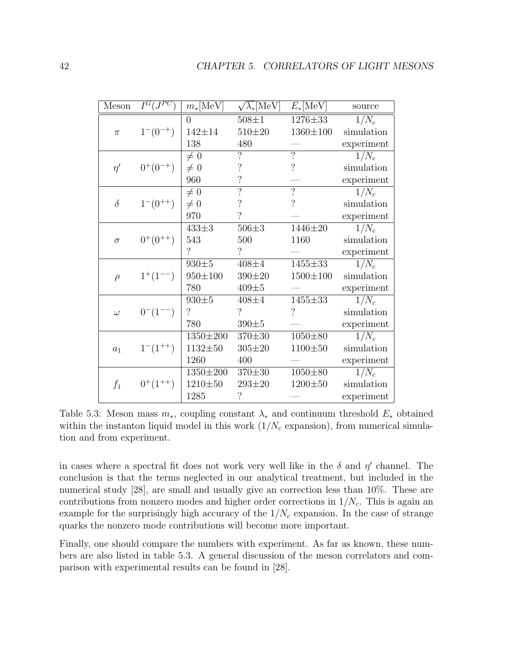| Meson    | $I^G(J^{PC})$            | $m_*[\mathrm{MeV}]$      | $\sqrt{\lambda_*}$ [MeV] | $E_*[\text{MeV}]$        | source     |
|----------|--------------------------|--------------------------|--------------------------|--------------------------|------------|
|          |                          | $\Omega$                 | $508 + 1$                | 1276±33                  | $1/N_c$    |
| $\pi$    | $1^-(0^{-+})$            | $142 + 14$               | $510{\pm}20$             | $1360 \pm 100$           | simulation |
|          |                          | 138                      | 480                      |                          | experiment |
|          |                          | $\neq 0$                 | $\overline{?}$           | $\overline{?}$           | $1/N_c$    |
| $\eta'$  | $0^{+}(0^{-+})$          | $\neq 0$                 | $\ddot{?}$               | $\overline{\mathcal{L}}$ | simulation |
|          | 960                      | $\overline{\mathcal{C}}$ |                          | experiment               |            |
|          |                          | $\neq 0$                 | $\overline{?}$           | $\overline{?}$           | $1/N_c$    |
| $\delta$ | $1^-(0^{++})$            | $\neq 0$                 | $\overline{\mathcal{C}}$ | $\overline{\mathcal{L}}$ | simulation |
|          | 970                      | $\overline{?}$           |                          | experiment               |            |
|          |                          | $433 \pm 3$              | $506 + 3$                | 1446±20                  | $1/N_c$    |
| $\sigma$ | $0^{+}(0^{++})$          | 543                      | 500                      | 1160                     | simulation |
|          | $\overline{\mathcal{C}}$ | $\overline{\mathcal{C}}$ |                          | experiment               |            |
|          |                          | $930 + 5$                | $408 + 4$                | 1455±33                  | $1/N_c$    |
| $\rho$   | $1^+(1^{--})$            | $950{\pm}100$            | $390 \pm 20$             | $1500 \pm 100$           | simulation |
|          |                          | 780                      | $409\pm5$                |                          | experiment |
|          |                          | $930 + 5$                | $408 + 4$                | $1455 \pm 33$            | $1/N_c$    |
| $\omega$ | $0^{-}(1^{--})$          | $\overline{\mathcal{C}}$ | $\gamma$                 | $\ddot{?}$               | simulation |
|          |                          | 780                      | $390\pm5$                |                          | experiment |
|          |                          | $1350 \pm 200$           | $370 + 30$               | $1050 + 80$              | $1/N_c$    |
| $a_1$    | $1^-(1^{++})$            | 1132±50                  | $305 \pm 20$             | $1100 + 50$              | simulation |
|          |                          | 1260                     | 400                      |                          | experiment |
|          |                          | $1350 \pm 200$           | $370 + 30$               | $1050 + 80$              | $1/N_c$    |
| $f_1$    | $0^+(1^{++})$            | $1210 + 50$              | $293 \pm 20$             | $1200 + 50$              | simulation |
|          |                          | 1285                     | $\gamma$                 |                          | experiment |

Table 5.3: Meson mass  $m_{*}$ , coupling constant  $\lambda_{*}$  and continuum threshold  $E_{*}$  obtained within the instanton liquid model in this work  $(1/N_c \text{ expansion})$ , from numerical simulation and from experiment.

in cases where a spectral fit does not work very well like in the  $\delta$  and  $\eta'$  channel. The conclusion is that the terms neglected in our analytical treatment, but included in the numerical study [28], are small and usually give an correction less than 10%. These are contributions from nonzero modes and higher order corrections in  $1/N_c$ . This is again an example for the surprisingly high accuracy of the  $1/N_c$  expansion. In the case of strange quarks the nonzero mode contributions will become more important.

Finally, one should compare the numbers with experiment. As far as known, these numbers are also listed in table 5.3. A general discussion of the meson correlators and comparison with experimental results can be found in [28].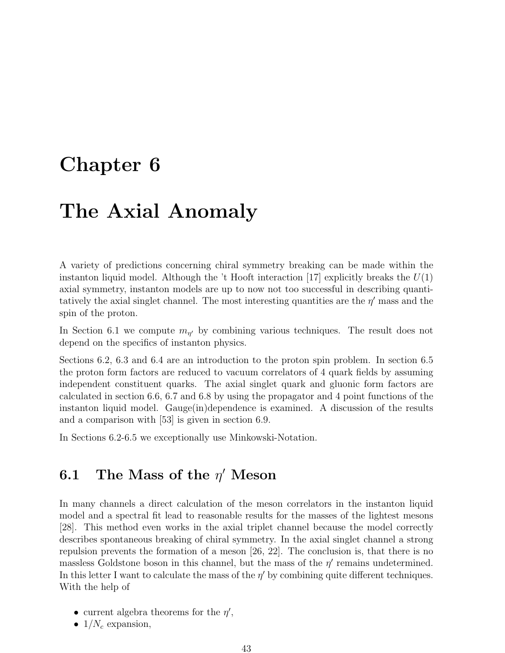## Chapter 6

## The Axial Anomaly

A variety of predictions concerning chiral symmetry breaking can be made within the instanton liquid model. Although the 't Hooft interaction [17] explicitly breaks the  $U(1)$ axial symmetry, instanton models are up to now not too successful in describing quantitatively the axial singlet channel. The most interesting quantities are the  $\eta'$  mass and the spin of the proton.

In Section 6.1 we compute  $m_{\eta'}$  by combining various techniques. The result does not depend on the specifics of instanton physics.

Sections 6.2, 6.3 and 6.4 are an introduction to the proton spin problem. In section 6.5 the proton form factors are reduced to vacuum correlators of 4 quark fields by assuming independent constituent quarks. The axial singlet quark and gluonic form factors are calculated in section 6.6, 6.7 and 6.8 by using the propagator and 4 point functions of the instanton liquid model. Gauge(in)dependence is examined. A discussion of the results and a comparison with [53] is given in section 6.9.

In Sections 6.2-6.5 we exceptionally use Minkowski-Notation.

### 6.1 The Mass of the  $\eta'$  Meson

In many channels a direct calculation of the meson correlators in the instanton liquid model and a spectral fit lead to reasonable results for the masses of the lightest mesons [28]. This method even works in the axial triplet channel because the model correctly describes spontaneous breaking of chiral symmetry. In the axial singlet channel a strong repulsion prevents the formation of a meson [26, 22]. The conclusion is, that there is no massless Goldstone boson in this channel, but the mass of the  $\eta'$  remains undetermined. In this letter I want to calculate the mass of the  $\eta'$  by combining quite different techniques. With the help of

- current algebra theorems for the  $\eta'$ ,
- $1/N_c$  expansion,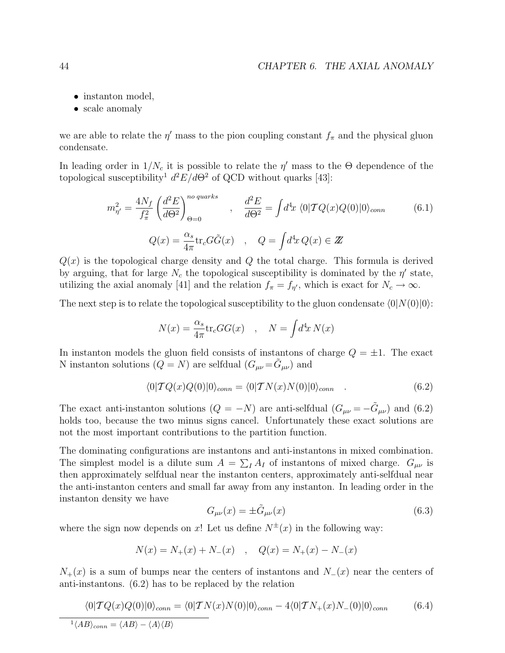- instanton model,
- scale anomaly

we are able to relate the  $\eta'$  mass to the pion coupling constant  $f_{\pi}$  and the physical gluon condensate.

In leading order in  $1/N_c$  it is possible to relate the  $\eta'$  mass to the  $\Theta$  dependence of the topological susceptibility<sup>1</sup>  $d^2E/d\Theta^2$  of QCD without quarks [43]:

$$
m_{\eta'}^2 = \frac{4N_f}{f_\pi^2} \left(\frac{d^2E}{d\Theta^2}\right)_{\Theta=0}^{no\ quarks} , \quad \frac{d^2E}{d\Theta^2} = \int d^4x \langle 0|\mathcal{T}Q(x)Q(0)|0\rangle_{conn} \qquad (6.1)
$$

$$
Q(x) = \frac{\alpha_s}{4\pi} \text{tr}_c G \tilde{G}(x) , \quad Q = \int d^4x \, Q(x) \in \mathbb{Z}
$$

 $Q(x)$  is the topological charge density and Q the total charge. This formula is derived by arguing, that for large  $N_c$  the topological susceptibility is dominated by the  $\eta'$  state, utilizing the axial anomaly [41] and the relation  $f_{\pi} = f_{\eta'}$ , which is exact for  $N_c \to \infty$ .

The next step is to relate the topological susceptibility to the gluon condensate  $\langle 0|N(0)|0\rangle$ :

$$
N(x) = \frac{\alpha_s}{4\pi} \text{tr}_c G G(x) \quad , \quad N = \int d^4x \, N(x)
$$

In instanton models the gluon field consists of instantons of charge  $Q = \pm 1$ . The exact N instanton solutions  $(Q = N)$  are selfdual  $(G_{\mu\nu} = \tilde{G}_{\mu\nu})$  and

$$
\langle 0|TQ(x)Q(0)|0\rangle_{conn} = \langle 0|TN(x)N(0)|0\rangle_{conn} \quad . \tag{6.2}
$$

The exact anti-instanton solutions  $(Q = -N)$  are anti-selfdual  $(G_{\mu\nu} = -\tilde{G}_{\mu\nu})$  and  $(6.2)$ holds too, because the two minus signs cancel. Unfortunately these exact solutions are not the most important contributions to the partition function.

The dominating configurations are instantons and anti-instantons in mixed combination. The simplest model is a dilute sum  $A = \sum_{I} A_{I}$  of instantons of mixed charge.  $G_{\mu\nu}$  is then approximately selfdual near the instanton centers, approximately anti-selfdual near the anti-instanton centers and small far away from any instanton. In leading order in the instanton density we have

$$
G_{\mu\nu}(x) = \pm \tilde{G}_{\mu\nu}(x) \tag{6.3}
$$

where the sign now depends on x! Let us define  $N^{\pm}(x)$  in the following way:

$$
N(x) = N_{+}(x) + N_{-}(x) \quad , \quad Q(x) = N_{+}(x) - N_{-}(x)
$$

 $N_{+}(x)$  is a sum of bumps near the centers of instantons and  $N_{-}(x)$  near the centers of anti-instantons. (6.2) has to be replaced by the relation

$$
\langle 0|\mathcal{T}Q(x)Q(0)|0\rangle_{conn} = \langle 0|\mathcal{T}N(x)N(0)|0\rangle_{conn} - 4\langle 0|\mathcal{T}N_{+}(x)N_{-}(0)|0\rangle_{conn}
$$
\n
$$
\frac{1}{\langle AB\rangle_{conn} = \langle AB\rangle - \langle A\rangle\langle B\rangle}
$$
\n(6.4)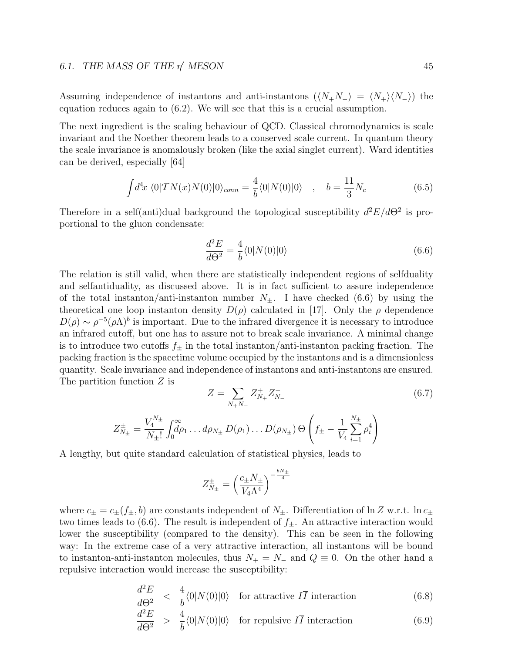#### 6.1. THE MASS OF THE  $\eta'$  MESON 45

Assuming independence of instantons and anti-instantons  $(\langle N_+N_-\rangle = \langle N_+\rangle \langle N_-\rangle)$  the equation reduces again to (6.2). We will see that this is a crucial assumption.

The next ingredient is the scaling behaviour of QCD. Classical chromodynamics is scale invariant and the Noether theorem leads to a conserved scale current. In quantum theory the scale invariance is anomalously broken (like the axial singlet current). Ward identities can be derived, especially [64]

$$
\int d^4x \langle 0|TN(x)N(0)|0\rangle_{conn} = \frac{4}{b}\langle 0|N(0)|0\rangle \quad , \quad b = \frac{11}{3}N_c \tag{6.5}
$$

Therefore in a self(anti)dual background the topological susceptibility  $d^2E/d\Theta^2$  is proportional to the gluon condensate:

$$
\frac{d^2E}{d\Theta^2} = \frac{4}{b} \langle 0|N(0)|0\rangle \tag{6.6}
$$

The relation is still valid, when there are statistically independent regions of selfduality and selfantiduality, as discussed above. It is in fact sufficient to assure independence of the total instanton/anti-instanton number  $N_{\pm}$ . I have checked (6.6) by using the theoretical one loop instanton density  $D(\rho)$  calculated in [17]. Only the  $\rho$  dependence  $D(\rho) \sim \rho^{-5} (\rho \Lambda)^b$  is important. Due to the infrared divergence it is necessary to introduce an infrared cutoff, but one has to assure not to break scale invariance. A minimal change is to introduce two cutoffs  $f_{\pm}$  in the total instanton/anti-instanton packing fraction. The packing fraction is the spacetime volume occupied by the instantons and is a dimensionless quantity. Scale invariance and independence of instantons and anti-instantons are ensured. The partition function Z is  $\overline{\phantom{a}}$ 

$$
Z = \sum_{N_+ N_-} Z_{N_+}^+ Z_{N_-}^- \tag{6.7}
$$

$$
Z_{N_\pm}^\pm = \frac{V_4^{N_\pm}}{N_\pm!} \int_0^\infty \!\!\! d\rho_1 \dots d\rho_{N_\pm} D(\rho_1) \dots D(\rho_{N_\pm}) \Theta \left( f_\pm - \frac{1}{V_4} \sum_{i=1}^{N_\pm} \rho_i^4 \right)
$$

A lengthy, but quite standard calculation of statistical physics, leads to

$$
Z^{\pm}_{N_{\pm}} = \left(\frac{c_{\pm}N_{\pm}}{V_4\Lambda^4}\right)^{-\frac{bN_{\pm}}{4}}
$$

where  $c_{\pm} = c_{\pm}(f_{\pm}, b)$  are constants independent of  $N_{\pm}$ . Differentiation of  $\ln Z$  w.r.t.  $\ln c_{\pm}$ two times leads to (6.6). The result is independent of  $f_{\pm}$ . An attractive interaction would lower the susceptibility (compared to the density). This can be seen in the following way: In the extreme case of a very attractive interaction, all instantons will be bound to instanton-anti-instanton molecules, thus  $N_+ = N_-$  and  $Q \equiv 0$ . On the other hand a repulsive interaction would increase the susceptibility:

$$
\frac{d^2E}{d\Theta^2} < \frac{4}{b} \langle 0|N(0)|0 \rangle \quad \text{for attractive } I\overline{I} \text{ interaction} \tag{6.8}
$$

$$
\frac{d^2E}{d\Theta^2} > \frac{4}{b}\langle 0|N(0)|0\rangle \quad \text{for repulsive } I\overline{I} \text{ interaction} \tag{6.9}
$$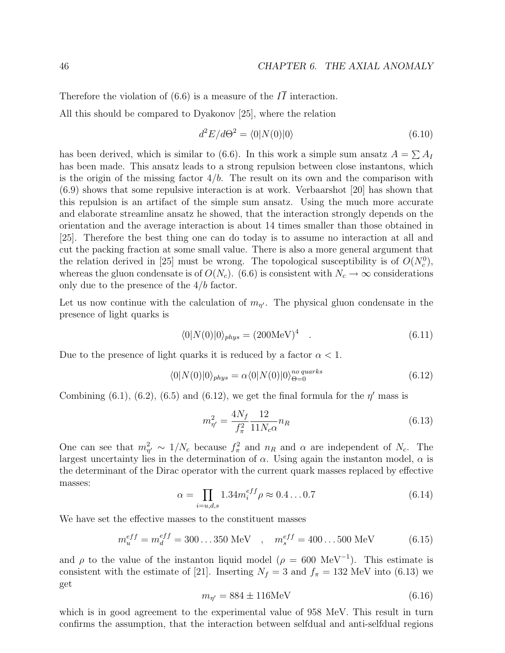Therefore the violation of (6.6) is a measure of the  $I\bar{I}$  interaction.

All this should be compared to Dyakonov [25], where the relation

$$
d^2E/d\Theta^2 = \langle 0|N(0)|0\rangle \tag{6.10}
$$

has been derived, which is similar to (6.6). In this work a simple sum ansatz  $A = \sum A_I$ has been made. This ansatz leads to a strong repulsion between close instantons, which is the origin of the missing factor  $4/b$ . The result on its own and the comparison with (6.9) shows that some repulsive interaction is at work. Verbaarshot [20] has shown that this repulsion is an artifact of the simple sum ansatz. Using the much more accurate and elaborate streamline ansatz he showed, that the interaction strongly depends on the orientation and the average interaction is about 14 times smaller than those obtained in [25]. Therefore the best thing one can do today is to assume no interaction at all and cut the packing fraction at some small value. There is also a more general argument that the relation derived in [25] must be wrong. The topological susceptibility is of  $O(N_c^0)$ , whereas the gluon condensate is of  $O(N_c)$ . (6.6) is consistent with  $N_c \to \infty$  considerations only due to the presence of the  $4/b$  factor.

Let us now continue with the calculation of  $m_{\eta'}$ . The physical gluon condensate in the presence of light quarks is

$$
\langle 0|N(0)|0\rangle_{phys} = (200\text{MeV})^4 \quad . \tag{6.11}
$$

Due to the presence of light quarks it is reduced by a factor  $\alpha < 1$ .

$$
\langle 0|N(0)|0\rangle_{phys} = \alpha \langle 0|N(0)|0\rangle_{\Theta=0}^{no\ quarks}
$$
\n(6.12)

Combining (6.1), (6.2), (6.5) and (6.12), we get the final formula for the  $\eta'$  mass is

$$
m_{\eta'}^2 = \frac{4N_f}{f_\pi^2} \frac{12}{11N_c\alpha} n_R
$$
\n(6.13)

One can see that  $m_{\eta'}^2 \sim 1/N_c$  because  $f_\pi^2$  and  $n_R$  and  $\alpha$  are independent of  $N_c$ . The largest uncertainty lies in the determination of  $\alpha$ . Using again the instanton model,  $\alpha$  is the determinant of the Dirac operator with the current quark masses replaced by effective masses:  $\overline{y}$ 

$$
\alpha = \prod_{i=u,d,s} 1.34 m_i^{eff} \rho \approx 0.4 \dots 0.7 \tag{6.14}
$$

We have set the effective masses to the constituent masses

$$
m_u^{eff} = m_d^{eff} = 300...350 \text{ MeV} \quad , \quad m_s^{eff} = 400...500 \text{ MeV} \tag{6.15}
$$

and  $\rho$  to the value of the instanton liquid model ( $\rho = 600 \text{ MeV}^{-1}$ ). This estimate is consistent with the estimate of [21]. Inserting  $N_f = 3$  and  $f_\pi = 132$  MeV into (6.13) we get

$$
m_{\eta'} = 884 \pm 116 \text{MeV} \tag{6.16}
$$

which is in good agreement to the experimental value of 958 MeV. This result in turn confirms the assumption, that the interaction between selfdual and anti-selfdual regions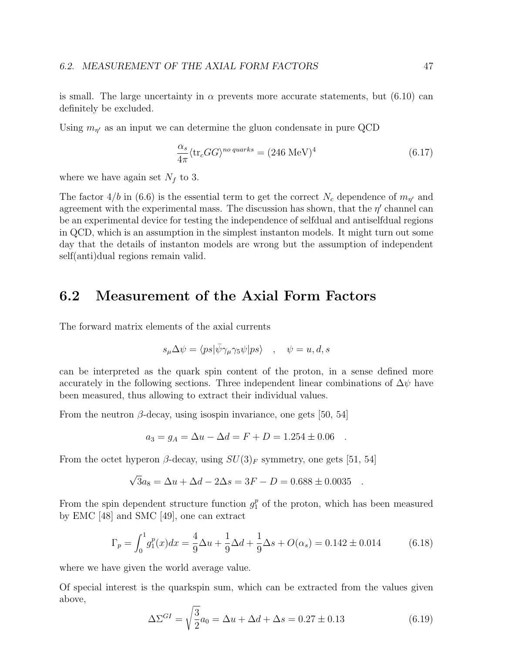is small. The large uncertainty in  $\alpha$  prevents more accurate statements, but (6.10) can definitely be excluded.

Using  $m_{\eta'}$  as an input we can determine the gluon condensate in pure QCD

$$
\frac{\alpha_s}{4\pi} \langle \text{tr}_c G G \rangle^{no\ quarks} = (246 \text{ MeV})^4 \tag{6.17}
$$

where we have again set  $N_f$  to 3.

The factor 4/b in (6.6) is the essential term to get the correct  $N_c$  dependence of  $m_{\eta'}$  and agreement with the experimental mass. The discussion has shown, that the  $\eta'$  channel can be an experimental device for testing the independence of selfdual and antiselfdual regions in QCD, which is an assumption in the simplest instanton models. It might turn out some day that the details of instanton models are wrong but the assumption of independent self(anti)dual regions remain valid.

### 6.2 Measurement of the Axial Form Factors

The forward matrix elements of the axial currents

$$
s_{\mu} \Delta \psi = \langle ps | \bar{\psi} \gamma_{\mu} \gamma_5 \psi | ps \rangle \quad , \quad \psi = u, d, s
$$

can be interpreted as the quark spin content of the proton, in a sense defined more accurately in the following sections. Three independent linear combinations of  $\Delta \psi$  have been measured, thus allowing to extract their individual values.

From the neutron  $\beta$ -decay, using isospin invariance, one gets [50, 54]

$$
a_3 = g_A = \Delta u - \Delta d = F + D = 1.254 \pm 0.06 .
$$

From the octet hyperon  $\beta$ -decay, using  $SU(3)_F$  symmetry, one gets [51, 54]

$$
\sqrt{3}a_8 = \Delta u + \Delta d - 2\Delta s = 3F - D = 0.688 \pm 0.0035 .
$$

From the spin dependent structure function  $g_1^p$  of the proton, which has been measured by EMC [48] and SMC [49], one can extract

$$
\Gamma_p = \int_0^1 g_1^p(x) dx = \frac{4}{9} \Delta u + \frac{1}{9} \Delta d + \frac{1}{9} \Delta s + O(\alpha_s) = 0.142 \pm 0.014
$$
 (6.18)

where we have given the world average value.

Of special interest is the quarkspin sum, which can be extracted from the values given above, s

$$
\Delta \Sigma^{GI} = \sqrt{\frac{3}{2}} a_0 = \Delta u + \Delta d + \Delta s = 0.27 \pm 0.13
$$
 (6.19)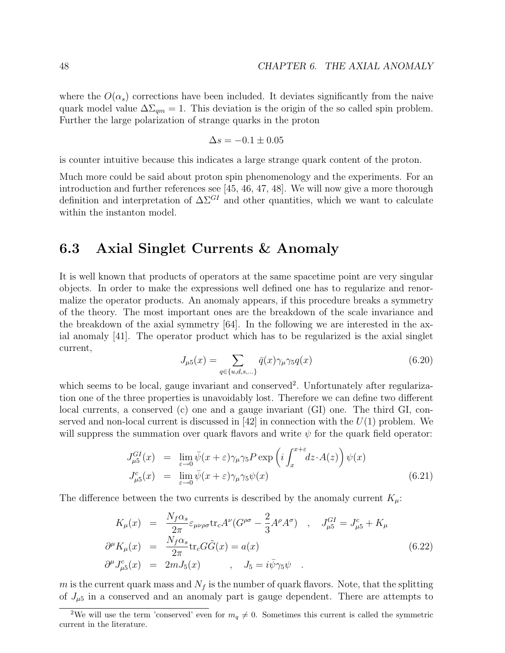where the  $O(\alpha_s)$  corrections have been included. It deviates significantly from the naive quark model value  $\Delta\Sigma_{qm} = 1$ . This deviation is the origin of the so called spin problem. Further the large polarization of strange quarks in the proton

$$
\Delta s = -0.1 \pm 0.05
$$

is counter intuitive because this indicates a large strange quark content of the proton.

Much more could be said about proton spin phenomenology and the experiments. For an introduction and further references see [45, 46, 47, 48]. We will now give a more thorough definition and interpretation of  $\Delta\Sigma^{GI}$  and other quantities, which we want to calculate within the instanton model.

### 6.3 Axial Singlet Currents & Anomaly

It is well known that products of operators at the same spacetime point are very singular objects. In order to make the expressions well defined one has to regularize and renormalize the operator products. An anomaly appears, if this procedure breaks a symmetry of the theory. The most important ones are the breakdown of the scale invariance and the breakdown of the axial symmetry  $[64]$ . In the following we are interested in the axial anomaly [41]. The operator product which has to be regularized is the axial singlet current,

$$
J_{\mu 5}(x) = \sum_{q \in \{u,d,s,\ldots\}} \bar{q}(x)\gamma_{\mu}\gamma_5 q(x) \tag{6.20}
$$

which seems to be local, gauge invariant and conserved<sup>2</sup>. Unfortunately after regularization one of the three properties is unavoidably lost. Therefore we can define two different local currents, a conserved (c) one and a gauge invariant (GI) one. The third GI, conserved and non-local current is discussed in [42] in connection with the  $U(1)$  problem. We will suppress the summation over quark flavors and write  $\psi$  for the quark field operator:

$$
J_{\mu 5}^{GI}(x) = \lim_{\varepsilon \to 0} \bar{\psi}(x + \varepsilon) \gamma_{\mu} \gamma_5 P \exp\left(i \int_x^{x + \varepsilon} dz \cdot A(z)\right) \psi(x)
$$
  
\n
$$
J_{\mu 5}^c(x) = \lim_{\varepsilon \to 0} \bar{\psi}(x + \varepsilon) \gamma_{\mu} \gamma_5 \psi(x)
$$
\n(6.21)

The difference between the two currents is described by the anomaly current  $K_{\mu}$ :

$$
K_{\mu}(x) = \frac{N_f \alpha_s}{2\pi} \varepsilon_{\mu\nu\rho\sigma} \text{tr}_c A^{\nu} (G^{\rho\sigma} - \frac{2}{3} A^{\rho} A^{\sigma}) , J_{\mu 5}^{GI} = J_{\mu 5}^c + K_{\mu}
$$
  
\n
$$
\partial^{\mu} K_{\mu}(x) = \frac{N_f \alpha_s}{2\pi} \text{tr}_c G \tilde{G}(x) = a(x)
$$
  
\n
$$
\partial^{\mu} J_{\mu 5}^c(x) = 2m J_5(x) , J_5 = i \bar{\psi} \gamma_5 \psi .
$$
\n(6.22)

m is the current quark mass and  $N_f$  is the number of quark flavors. Note, that the splitting of  $J_{\mu 5}$  in a conserved and an anomaly part is gauge dependent. There are attempts to

<sup>&</sup>lt;sup>2</sup>We will use the term 'conserved' even for  $m_q \neq 0$ . Sometimes this current is called the symmetric current in the literature.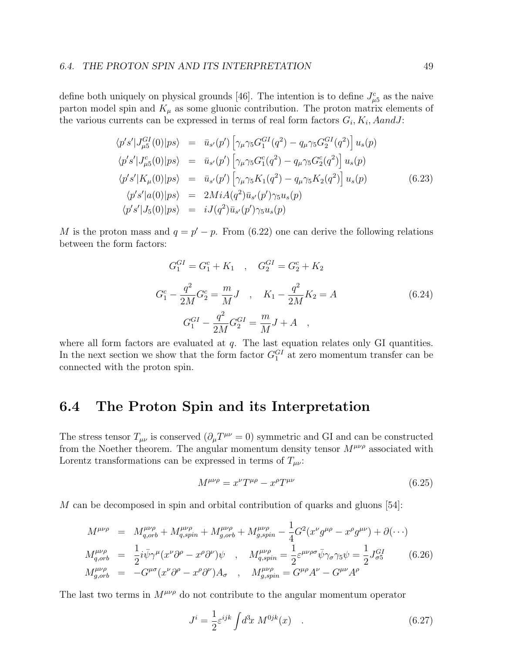define both uniquely on physical grounds [46]. The intention is to define  $J_{\mu 5}^c$  as the naive parton model spin and  $K_{\mu}$  as some gluonic contribution. The proton matrix elements of the various currents can be expressed in terms of real form factors  $G_i, K_i, A and J$ :

$$
\langle p's' | J_{\mu 5}^{GI}(0) | ps \rangle = \bar{u}_{s'}(p') \left[ \gamma_{\mu} \gamma_5 G_1^{GI}(q^2) - q_{\mu} \gamma_5 G_2^{GI}(q^2) \right] u_s(p)
$$
  
\n
$$
\langle p's' | J_{\mu 5}^{c}(0) | ps \rangle = \bar{u}_{s'}(p') \left[ \gamma_{\mu} \gamma_5 G_1^{c}(q^2) - q_{\mu} \gamma_5 G_2^{c}(q^2) \right] u_s(p)
$$
  
\n
$$
\langle p's' | K_{\mu}(0) | ps \rangle = \bar{u}_{s'}(p') \left[ \gamma_{\mu} \gamma_5 K_1(q^2) - q_{\mu} \gamma_5 K_2(q^2) \right] u_s(p)
$$
  
\n
$$
\langle p's' | a(0) | ps \rangle = 2Mi A(q^2) \bar{u}_{s'}(p') \gamma_5 u_s(p)
$$
  
\n
$$
\langle p's' | J_5(0) | ps \rangle = i J(q^2) \bar{u}_{s'}(p') \gamma_5 u_s(p)
$$
  
\n(6.23)

M is the proton mass and  $q = p' - p$ . From (6.22) one can derive the following relations between the form factors:

$$
G_1^{GI} = G_1^c + K_1 \quad , \quad G_2^{GI} = G_2^c + K_2
$$
  
\n
$$
G_1^c - \frac{q^2}{2M}G_2^c = \frac{m}{M}J \quad , \quad K_1 - \frac{q^2}{2M}K_2 = A
$$
  
\n
$$
G_1^{GI} - \frac{q^2}{2M}G_2^{GI} = \frac{m}{M}J + A \quad ,
$$
\n(6.24)

where all form factors are evaluated at  $q$ . The last equation relates only GI quantities. In the next section we show that the form factor  $G_1^{GI}$  at zero momentum transfer can be connected with the proton spin.

#### 6.4 The Proton Spin and its Interpretation

The stress tensor  $T_{\mu\nu}$  is conserved  $(\partial_{\mu}T^{\mu\nu}=0)$  symmetric and GI and can be constructed from the Noether theorem. The angular momentum density tensor  $M^{\mu\nu\rho}$  associated with Lorentz transformations can be expressed in terms of  $T_{\mu\nu}$ :

$$
M^{\mu\nu\rho} = x^{\nu} T^{\mu\rho} - x^{\rho} T^{\mu\nu} \tag{6.25}
$$

M can be decomposed in spin and orbital contribution of quarks and gluons [54]:

$$
M^{\mu\nu\rho} = M^{\mu\nu\rho}_{q,orb} + M^{\mu\nu\rho}_{q,spin} + M^{\mu\nu\rho}_{g,orb} + M^{\mu\nu\rho}_{g,spin} - \frac{1}{4} G^2 (x^{\nu} g^{\mu\rho} - x^{\rho} g^{\mu\nu}) + \partial (\cdots)
$$
  
\n
$$
M^{\mu\nu\rho}_{q,orb} = \frac{1}{2} i \bar{\psi} \gamma^{\mu} (x^{\nu} \partial^{\rho} - x^{\rho} \partial^{\nu}) \psi , \quad M^{\mu\nu\rho}_{q,spin} = \frac{1}{2} \varepsilon^{\mu\nu\rho\sigma} \bar{\psi} \gamma_{\sigma} \gamma_5 \psi = \frac{1}{2} J^{\text{GI}}_{\sigma 5} \qquad (6.26)
$$
  
\n
$$
M^{\mu\nu\rho}_{g,orb} = -G^{\mu\sigma} (x^{\nu} \partial^{\rho} - x^{\rho} \partial^{\nu}) A_{\sigma} , \quad M^{\mu\nu\rho}_{g,spin} = G^{\mu\rho} A^{\nu} - G^{\mu\nu} A^{\rho}
$$

The last two terms in  $M^{\mu\nu\rho}$  do not contribute to the angular momentum operator

$$
J^i = \frac{1}{2} \varepsilon^{ijk} \int d^3x \ M^{0jk}(x) \quad . \tag{6.27}
$$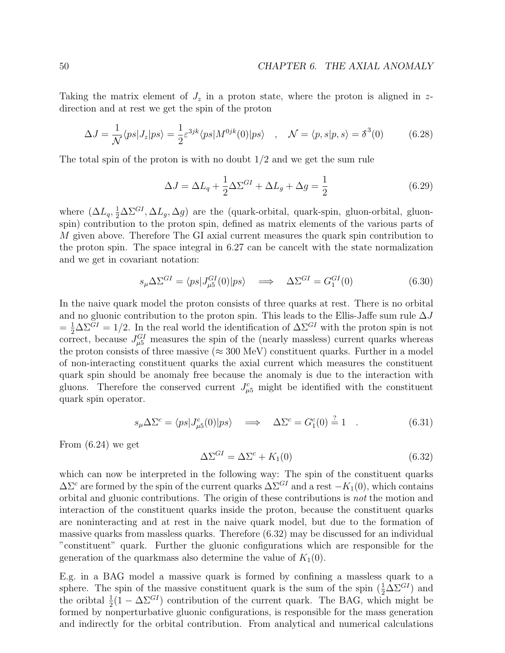Taking the matrix element of  $J_z$  in a proton state, where the proton is aligned in zdirection and at rest we get the spin of the proton

$$
\Delta J = \frac{1}{\mathcal{N}} \langle ps | J_z | ps \rangle = \frac{1}{2} \varepsilon^{3jk} \langle ps | M^{0jk}(0) | ps \rangle \quad , \quad \mathcal{N} = \langle p, s | p, s \rangle = \delta^3(0) \tag{6.28}
$$

The total spin of the proton is with no doubt  $1/2$  and we get the sum rule

$$
\Delta J = \Delta L_q + \frac{1}{2} \Delta \Sigma^{GI} + \Delta L_g + \Delta g = \frac{1}{2}
$$
\n(6.29)

where  $(\Delta L_q, \frac{1}{2} \Delta \Sigma^{GI}, \Delta L_g, \Delta g)$  are the (quark-orbital, quark-spin, gluon-orbital, gluonspin) contribution to the proton spin, defined as matrix elements of the various parts of M given above. Therefore The GI axial current measures the quark spin contribution to the proton spin. The space integral in 6.27 can be cancelt with the state normalization and we get in covariant notation:

$$
s_{\mu} \Delta \Sigma^{GI} = \langle ps | J_{\mu 5}^{GI}(0) | ps \rangle \quad \Longrightarrow \quad \Delta \Sigma^{GI} = G_1^{GI}(0) \tag{6.30}
$$

In the naive quark model the proton consists of three quarks at rest. There is no orbital and no gluonic contribution to the proton spin. This leads to the Ellis-Jaffe sum rule  $\Delta J$  $=\frac{1}{2}\Delta\Sigma^{GI} = 1/2$ . In the real world the identification of  $\Delta\Sigma^{GI}$  with the proton spin is not correct, because  $J_{\mu 5}^{GI}$  measures the spin of the (nearly massless) current quarks whereas the proton consists of three massive ( $\approx 300$  MeV) constituent quarks. Further in a model of non-interacting constituent quarks the axial current which measures the constituent quark spin should be anomaly free because the anomaly is due to the interaction with gluons. Therefore the conserved current  $J_{\mu 5}^c$  might be identified with the constituent quark spin operator.

$$
s_{\mu} \Delta \Sigma^{c} = \langle ps | J^{c}_{\mu 5}(0) | ps \rangle \quad \Longrightarrow \quad \Delta \Sigma^{c} = G_{1}^{c}(0) \stackrel{?}{=} 1 \quad . \tag{6.31}
$$

From (6.24) we get

$$
\Delta \Sigma^{GI} = \Delta \Sigma^c + K_1(0) \tag{6.32}
$$

which can now be interpreted in the following way: The spin of the constituent quarks  $\Delta\Sigma^c$  are formed by the spin of the current quarks  $\Delta\Sigma^{GI}$  and a rest  $-K_1(0)$ , which contains orbital and gluonic contributions. The origin of these contributions is not the motion and interaction of the constituent quarks inside the proton, because the constituent quarks are noninteracting and at rest in the naive quark model, but due to the formation of massive quarks from massless quarks. Therefore (6.32) may be discussed for an individual "constituent" quark. Further the gluonic configurations which are responsible for the generation of the quarkmass also determine the value of  $K_1(0)$ .

E.g. in a BAG model a massive quark is formed by confining a massless quark to a sphere. The spin of the massive constituent quark is the sum of the spin  $(\frac{1}{2} \Delta \Sigma^{GI})$  and the oribtal  $\frac{1}{2}(1 - \Delta \Sigma^{GI})$  contribution of the current quark. The BAG, which might be formed by nonperturbative gluonic configurations, is responsible for the mass generation and indirectly for the orbital contribution. From analytical and numerical calculations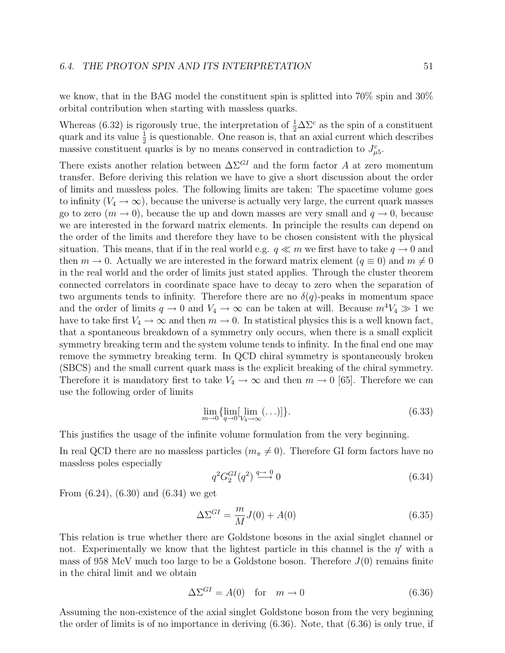we know, that in the BAG model the constituent spin is splitted into 70% spin and 30% orbital contribution when starting with massless quarks.

Whereas (6.32) is rigorously true, the interpretation of  $\frac{1}{2}\Delta\Sigma^c$  as the spin of a constituent quark and its value  $\frac{1}{2}$  is questionable. One reason is, that an axial current which describes massive constituent quarks is by no means conserved in contradiction to  $J_{\mu 5}^c$ .

There exists another relation between  $\Delta\Sigma^{GI}$  and the form factor A at zero momentum transfer. Before deriving this relation we have to give a short discussion about the order of limits and massless poles. The following limits are taken: The spacetime volume goes to infinity  $(V_4 \rightarrow \infty)$ , because the universe is actually very large, the current quark masses go to zero  $(m \to 0)$ , because the up and down masses are very small and  $q \to 0$ , because we are interested in the forward matrix elements. In principle the results can depend on the order of the limits and therefore they have to be chosen consistent with the physical situation. This means, that if in the real world e.g.  $q \ll m$  we first have to take  $q \to 0$  and then  $m \to 0$ . Actually we are interested in the forward matrix element  $(q \equiv 0)$  and  $m \neq 0$ in the real world and the order of limits just stated applies. Through the cluster theorem connected correlators in coordinate space have to decay to zero when the separation of two arguments tends to infinity. Therefore there are no  $\delta(q)$ -peaks in momentum space and the order of limits  $q \to 0$  and  $V_4 \to \infty$  can be taken at will. Because  $m^4V_4 \gg 1$  we have to take first  $V_4 \to \infty$  and then  $m \to 0$ . In statistical physics this is a well known fact, that a spontaneous breakdown of a symmetry only occurs, when there is a small explicit symmetry breaking term and the system volume tends to infinity. In the final end one may remove the symmetry breaking term. In QCD chiral symmetry is spontaneously broken (SBCS) and the small current quark mass is the explicit breaking of the chiral symmetry. Therefore it is mandatory first to take  $V_4 \rightarrow \infty$  and then  $m \rightarrow 0$  [65]. Therefore we can use the following order of limits

$$
\lim_{m \to 0} \{ \lim_{q \to 0} [\lim_{V_4 \to \infty} (\dots)] \}.
$$
\n(6.33)

This justifies the usage of the infinite volume formulation from the very beginning.

In real QCD there are no massless particles  $(m_{\pi} \neq 0)$ . Therefore GI form factors have no massless poles especially

$$
q^2 G_2^{GI}(q^2) \stackrel{q \to 0}{\longrightarrow} 0 \tag{6.34}
$$

From (6.24), (6.30) and (6.34) we get

$$
\Delta\Sigma^{GI} = \frac{m}{M}J(0) + A(0) \tag{6.35}
$$

This relation is true whether there are Goldstone bosons in the axial singlet channel or not. Experimentally we know that the lightest particle in this channel is the  $\eta'$  with a mass of 958 MeV much too large to be a Goldstone boson. Therefore  $J(0)$  remains finite in the chiral limit and we obtain

$$
\Delta \Sigma^{GI} = A(0) \quad \text{for} \quad m \to 0 \tag{6.36}
$$

Assuming the non-existence of the axial singlet Goldstone boson from the very beginning the order of limits is of no importance in deriving (6.36). Note, that (6.36) is only true, if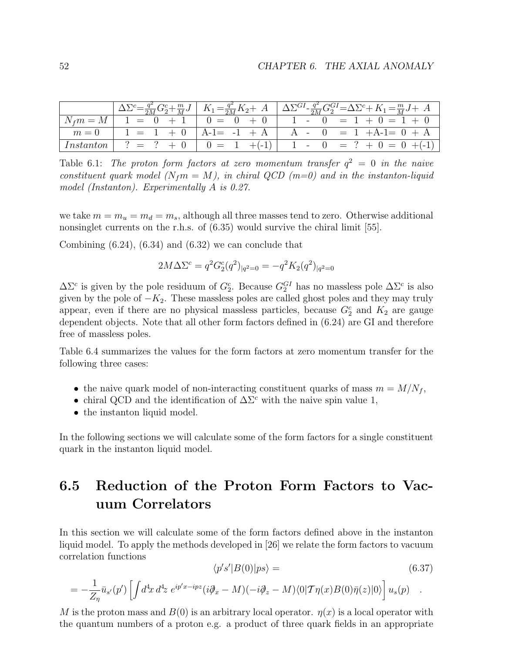|  | $\left  \Delta \Sigma^{c} = \frac{q^{2}}{2M} G_{2}^{c} + \frac{m}{M} J \right  K_{1} = \frac{q^{2}}{2M} K_{2} + A \left  \Delta \Sigma^{GI} - \frac{q^{2}}{2M} G_{2}^{GI} = \Delta \Sigma^{c} + K_{1} = \frac{m}{M} J + A \right $ |
|--|------------------------------------------------------------------------------------------------------------------------------------------------------------------------------------------------------------------------------------|
|  | $\left  N_f m = M \right $ 1 = 0 + 1   0 = 0 + 0   1 - 0 = 1 + 0 = 1 + 0                                                                                                                                                           |
|  | $m = 0$   1 = 1 + 0   A-1 = -1 + A   A - 0 = 1 + A-1 = 0 + A                                                                                                                                                                       |
|  | Instanton   ? = ? + 0   0 = 1 +(-1)   1 - 0 = ? + 0 = 0 +(-1)                                                                                                                                                                      |

Table 6.1: The proton form factors at zero momentum transfer  $q^2 = 0$  in the naive constituent quark model ( $N_f m = M$ ), in chiral QCD (m=0) and in the instanton-liquid model (Instanton). Experimentally A is 0.27.

we take  $m = m_u = m_d = m_s$ , although all three masses tend to zero. Otherwise additional nonsinglet currents on the r.h.s. of  $(6.35)$  would survive the chiral limit [55].

Combining  $(6.24)$ ,  $(6.34)$  and  $(6.32)$  we can conclude that

$$
2M\Delta\Sigma^{c} = q^{2}G_{2}^{c}(q^{2})_{|q^{2}=0} = -q^{2}K_{2}(q^{2})_{|q^{2}=0}
$$

 $\Delta\Sigma^c$  is given by the pole residuum of  $G_2^c$ . Because  $G_2^{GI}$  has no massless pole  $\Delta\Sigma^c$  is also given by the pole of  $-K_2$ . These massless poles are called ghost poles and they may truly appear, even if there are no physical massless particles, because  $G_2^c$  and  $K_2$  are gauge dependent objects. Note that all other form factors defined in (6.24) are GI and therefore free of massless poles.

Table 6.4 summarizes the values for the form factors at zero momentum transfer for the following three cases:

- the naive quark model of non-interacting constituent quarks of mass  $m = M/N_f$ ,
- chiral QCD and the identification of  $\Delta\Sigma^c$  with the naive spin value 1,
- the instanton liquid model.

In the following sections we will calculate some of the form factors for a single constituent quark in the instanton liquid model.

### 6.5 Reduction of the Proton Form Factors to Vacuum Correlators

In this section we will calculate some of the form factors defined above in the instanton liquid model. To apply the methods developed in [26] we relate the form factors to vacuum correlation functions

$$
\langle p's'|B(0)|ps\rangle = \tag{6.37}
$$

$$
= -\frac{1}{Z_{\eta}} \bar{u}_{s'}(p') \left[ \int d^4x \, d^4z \, e^{ip'x - ipz} (i\partial_x - M)(-i\partial_z - M)\langle 0|\mathcal{T}\eta(x)B(0)\bar{\eta}(z)|0\rangle \right] u_s(p) .
$$

M is the proton mass and  $B(0)$  is an arbitrary local operator.  $\eta(x)$  is a local operator with the quantum numbers of a proton e.g. a product of three quark fields in an appropriate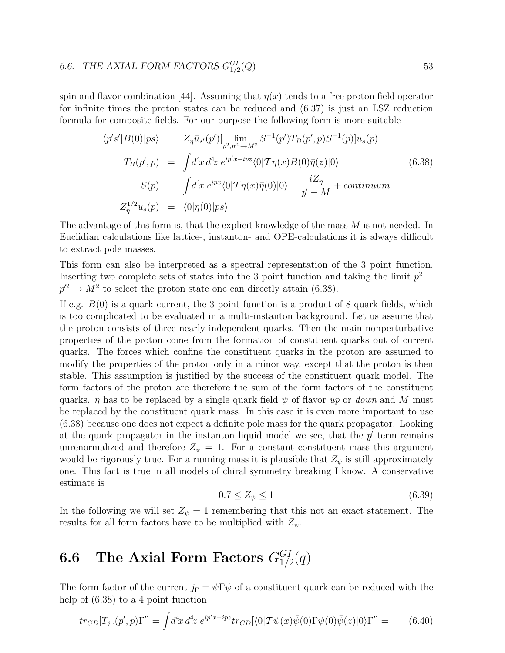#### 6.6. THE AXIAL FORM FACTORS  $G_{1/2}^{GI}$  $(Q)$  53

spin and flavor combination [44]. Assuming that  $\eta(x)$  tends to a free proton field operator for infinite times the proton states can be reduced and (6.37) is just an LSZ reduction formula for composite fields. For our purpose the following form is more suitable

$$
\langle p's'|B(0)|ps\rangle = Z_{\eta}\bar{u}_{s'}(p')[\lim_{p^2,p'^2 \to M^2} S^{-1}(p')T_B(p',p)S^{-1}(p)]u_s(p)
$$
  
\n
$$
T_B(p',p) = \int d^4x \, d^4z \, e^{ip'x-ipz}\langle 0|\mathcal{T}\eta(x)B(0)\bar{\eta}(z)|0\rangle
$$
  
\n
$$
S(p) = \int d^4x \, e^{ipx}\langle 0|\mathcal{T}\eta(x)\bar{\eta}(0)|0\rangle = \frac{iZ_{\eta}}{p'-M} + \text{continuum}
$$
  
\n
$$
Z_{\eta}^{1/2}u_s(p) = \langle 0|\eta(0)|ps\rangle
$$
\n(6.38)

The advantage of this form is, that the explicit knowledge of the mass M is not needed. In Euclidian calculations like lattice-, instanton- and OPE-calculations it is always difficult to extract pole masses.

This form can also be interpreted as a spectral representation of the 3 point function. Inserting two complete sets of states into the 3 point function and taking the limit  $p^2 =$  $p'^2 \to M^2$  to select the proton state one can directly attain (6.38).

If e.g.  $B(0)$  is a quark current, the 3 point function is a product of 8 quark fields, which is too complicated to be evaluated in a multi-instanton background. Let us assume that the proton consists of three nearly independent quarks. Then the main nonperturbative properties of the proton come from the formation of constituent quarks out of current quarks. The forces which confine the constituent quarks in the proton are assumed to modify the properties of the proton only in a minor way, except that the proton is then stable. This assumption is justified by the success of the constituent quark model. The form factors of the proton are therefore the sum of the form factors of the constituent quarks.  $\eta$  has to be replaced by a single quark field  $\psi$  of flavor up or *down* and M must be replaced by the constituent quark mass. In this case it is even more important to use (6.38) because one does not expect a definite pole mass for the quark propagator. Looking at the quark propagator in the instanton liquid model we see, that the  $p'$  term remains unrenormalized and therefore  $Z_{\psi} = 1$ . For a constant constituent mass this argument would be rigorously true. For a running mass it is plausible that  $Z_{\psi}$  is still approximately one. This fact is true in all models of chiral symmetry breaking I know. A conservative estimate is

$$
0.7 \le Z_{\psi} \le 1\tag{6.39}
$$

In the following we will set  $Z_{\psi} = 1$  remembering that this not an exact statement. The results for all form factors have to be multiplied with  $Z_{\psi}$ .

### $\mathbf{6.6}\quad$  The Axial Form Factors  $G_{1/2}^{GI}(q)$

The form factor of the current  $j_{\Gamma} = \bar{\psi} \Gamma \psi$  of a constituent quark can be reduced with the help of (6.38) to a 4 point function

$$
tr_{CD}[T_{j\Gamma}(p',p)\Gamma'] = \int d^4x \, d^4z \, e^{ip'x - ipz} tr_{CD}[\langle 0|\mathcal{T}\psi(x)\bar{\psi}(0)\Gamma\psi(0)\bar{\psi}(z)|0\rangle\Gamma'] = \qquad (6.40)
$$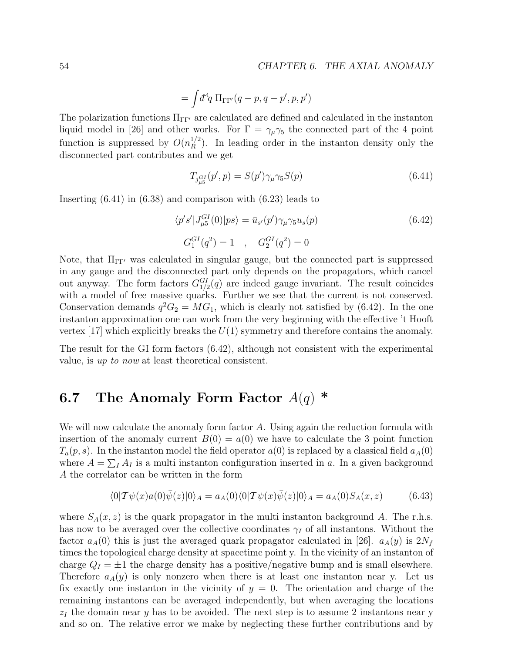$$
= \int d^4q\;\Pi_{\Gamma\Gamma'}(q-p,q-p',p,p')
$$

The polarization functions  $\Pi_{\Gamma\Gamma'}$  are calculated are defined and calculated in the instanton liquid model in [26] and other works. For  $\Gamma = \gamma_{\mu} \gamma_5$  the connected part of the 4 point function is suppressed by  $O(n_R^{1/2})$ . In leading order in the instanton density only the disconnected part contributes and we get

$$
T_{j_{\mu 5}^{GI}}(p',p) = S(p')\gamma_{\mu}\gamma_5 S(p) \tag{6.41}
$$

Inserting (6.41) in (6.38) and comparison with (6.23) leads to

$$
\langle p's' | J_{\mu 5}^{GI}(0) | ps \rangle = \bar{u}_{s'}(p') \gamma_{\mu} \gamma_5 u_s(p)
$$
\n
$$
G_1^{GI}(q^2) = 1 \quad , \quad G_2^{GI}(q^2) = 0
$$
\n(6.42)

Note, that  $\Pi_{\Gamma\Gamma'}$  was calculated in singular gauge, but the connected part is suppressed in any gauge and the disconnected part only depends on the propagators, which cancel out anyway. The form factors  $G_{1/2}^{GI}(q)$  are indeed gauge invariant. The result coincides with a model of free massive quarks. Further we see that the current is not conserved. Conservation demands  $q^2G_2 = MG_1$ , which is clearly not satisfied by (6.42). In the one instanton approximation one can work from the very beginning with the effective 't Hooft vertex [17] which explicitly breaks the  $U(1)$  symmetry and therefore contains the anomaly.

The result for the GI form factors (6.42), although not consistent with the experimental value, is up to now at least theoretical consistent.

### 6.7 The Anomaly Form Factor  $A(q)$  \*

We will now calculate the anomaly form factor  $A$ . Using again the reduction formula with insertion of the anomaly current  $B(0) = a(0)$  we have to calculate the 3 point function  $T_a(p, s)$ . In the instanton model the field operator  $a(0)$  is replaced by a classical field  $a_A(0)$ where  $A = \sum_{I} A_{I}$  is a multi-instanton configuration inserted in a. In a given background A the correlator can be written in the form

$$
\langle 0|T\psi(x)a(0)\bar{\psi}(z)|0\rangle_A = a_A(0)\langle 0|T\psi(x)\bar{\psi}(z)|0\rangle_A = a_A(0)S_A(x,z)
$$
(6.43)

where  $S_A(x, z)$  is the quark propagator in the multi instanton background A. The r.h.s. has now to be averaged over the collective coordinates  $\gamma_I$  of all instantons. Without the factor  $a_A(0)$  this is just the averaged quark propagator calculated in [26].  $a_A(y)$  is  $2N_f$ times the topological charge density at spacetime point y. In the vicinity of an instanton of charge  $Q_I = \pm 1$  the charge density has a positive/negative bump and is small elsewhere. Therefore  $a_A(y)$  is only nonzero when there is at least one instanton near y. Let us fix exactly one instanton in the vicinity of  $y = 0$ . The orientation and charge of the remaining instantons can be averaged independently, but when averaging the locations  $z_I$  the domain near y has to be avoided. The next step is to assume 2 instantons near y and so on. The relative error we make by neglecting these further contributions and by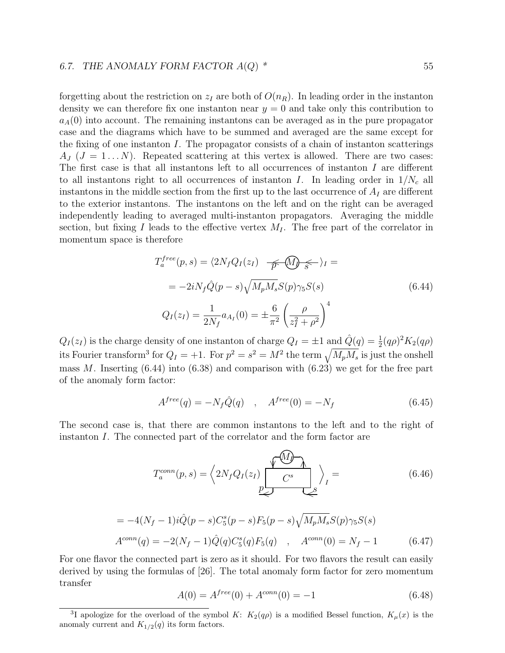#### 6.7. THE ANOMALY FORM FACTOR  $A(Q)$  \* 55

forgetting about the restriction on  $z_I$  are both of  $O(n_R)$ . In leading order in the instanton density we can therefore fix one instanton near  $y = 0$  and take only this contribution to  $a_A(0)$  into account. The remaining instantons can be averaged as in the pure propagator case and the diagrams which have to be summed and averaged are the same except for the fixing of one instanton  $I$ . The propagator consists of a chain of instanton scatterings  $A_J$  ( $J = 1...N$ ). Repeated scattering at this vertex is allowed. There are two cases: The first case is that all instantons left to all occurrences of instanton I are different to all instantons right to all occurrences of instanton I. In leading order in  $1/N_c$  all instantons in the middle section from the first up to the last occurrence of  $A_I$  are different to the exterior instantons. The instantons on the left and on the right can be averaged independently leading to averaged multi-instanton propagators. Averaging the middle section, but fixing I leads to the effective vertex  $M_I$ . The free part of the correlator in momentum space is therefore

$$
T_a^{free}(p, s) = \langle 2N_f Q_I(z_I) \frac{\partial}{\partial \rho} \langle \mathbf{M} \rangle \langle \mathbf{M} \rangle =
$$
  

$$
= -2iN_f \hat{Q}(p - s) \sqrt{M_p M_s} S(p) \gamma_5 S(s)
$$
  

$$
Q_I(z_I) = \frac{1}{2N_f} a_{A_I}(0) = \pm \frac{6}{\pi^2} \left(\frac{\rho}{z_I^2 + \rho^2}\right)^4
$$
 (6.44)

 $Q_I(z_I)$  is the charge density of one instanton of charge  $Q_I = \pm 1$  and  $\hat{Q}(q) = \frac{1}{2}(q\rho)^2 K_2(q\rho)$ its Fourier transform<sup>3</sup> for  $Q_I = +1$ . For  $p^2 = s^2 = M^2$  the term  $\sqrt{M_p M_s}$  is just the onshell mass M. Inserting  $(6.44)$  into  $(6.38)$  and comparison with  $(6.23)$  we get for the free part of the anomaly form factor:

$$
A^{free}(q) = -N_f \hat{Q}(q) \quad , \quad A^{free}(0) = -N_f \tag{6.45}
$$

The second case is, that there are common instantons to the left and to the right of instanton I. The connected part of the correlator and the form factor are

$$
T_a^{conn}(p,s) = \left\langle 2N_f Q_I(z_I) \underbrace{\sqrt{M} \Lambda}_{P} \right\rangle_I = \qquad (6.46)
$$

$$
= -4(N_f - 1)i\hat{Q}(p - s)C_5^s(p - s)F_5(p - s)\sqrt{M_pM_s}S(p)\gamma_5S(s)
$$
  
\n
$$
A^{conn}(q) = -2(N_f - 1)\hat{Q}(q)C_5^s(q)F_5(q) , \quad A^{conn}(0) = N_f - 1
$$
\n(6.47)

For one flavor the connected part is zero as it should. For two flavors the result can easily derived by using the formulas of [26]. The total anomaly form factor for zero momentum transfer

$$
A(0) = A^{free}(0) + A^{conn}(0) = -1
$$
\n(6.48)

<sup>&</sup>lt;sup>3</sup>I apologize for the overload of the symbol K:  $K_2(q\rho)$  is a modified Bessel function,  $K_\mu(x)$  is the anomaly current and  $K_{1/2}(q)$  its form factors.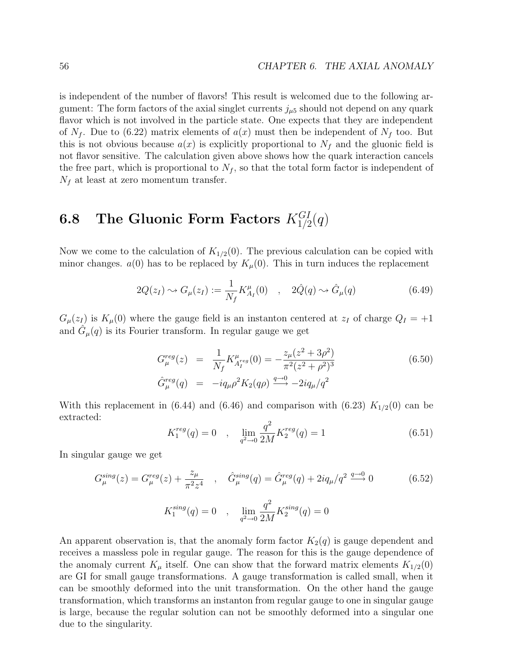is independent of the number of flavors! This result is welcomed due to the following argument: The form factors of the axial singlet currents  $j_{\mu 5}$  should not depend on any quark flavor which is not involved in the particle state. One expects that they are independent of  $N_f$ . Due to (6.22) matrix elements of  $a(x)$  must then be independent of  $N_f$  too. But this is not obvious because  $a(x)$  is explicitly proportional to  $N_f$  and the gluonic field is not flavor sensitive. The calculation given above shows how the quark interaction cancels the free part, which is proportional to  $N_f$ , so that the total form factor is independent of  $N_f$  at least at zero momentum transfer.

### 6.8 The Gluonic Form Factors  $K_{1/2}^{GI}(q)$

Now we come to the calculation of  $K_{1/2}(0)$ . The previous calculation can be copied with minor changes.  $a(0)$  has to be replaced by  $K_\mu(0)$ . This in turn induces the replacement

$$
2Q(z_I) \rightsquigarrow G_{\mu}(z_I) := \frac{1}{N_f} K_{A_I}^{\mu}(0) \quad , \quad 2\hat{Q}(q) \rightsquigarrow \hat{G}_{\mu}(q) \tag{6.49}
$$

 $G_{\mu}(z_{I})$  is  $K_{\mu}(0)$  where the gauge field is an instanton centered at  $z_{I}$  of charge  $Q_{I} = +1$ and  $\hat{G}_{\mu}(q)$  is its Fourier transform. In regular gauge we get

$$
G_{\mu}^{reg}(z) = \frac{1}{N_f} K_{A_I^{reg}}^{\mu}(0) = -\frac{z_{\mu}(z^2 + 3\rho^2)}{\pi^2 (z^2 + \rho^2)^3}
$$
(6.50)  

$$
\hat{G}_{\mu}^{reg}(q) = -iq_{\mu}\rho^2 K_2(q\rho) \xrightarrow{q \to 0} -2iq_{\mu}/q^2
$$

With this replacement in  $(6.44)$  and  $(6.46)$  and comparison with  $(6.23) K_{1/2}(0)$  can be extracted:

$$
K_1^{reg}(q) = 0 \quad , \quad \lim_{q^2 \to 0} \frac{q^2}{2M} K_2^{reg}(q) = 1 \tag{6.51}
$$

In singular gauge we get

$$
G_{\mu}^{sing}(z) = G_{\mu}^{reg}(z) + \frac{z_{\mu}}{\pi^2 z^4} , \quad \hat{G}_{\mu}^{sing}(q) = \hat{G}_{\mu}^{reg}(q) + 2iq_{\mu}/q^2 \xrightarrow{q \to 0} 0
$$
\n
$$
K_1^{sing}(q) = 0 , \quad \lim_{q^2 \to 0} \frac{q^2}{2M} K_2^{sing}(q) = 0
$$
\n(6.52)

An apparent observation is, that the anomaly form factor  $K_2(q)$  is gauge dependent and receives a massless pole in regular gauge. The reason for this is the gauge dependence of the anomaly current  $K_{\mu}$  itself. One can show that the forward matrix elements  $K_{1/2}(0)$ are GI for small gauge transformations. A gauge transformation is called small, when it can be smoothly deformed into the unit transformation. On the other hand the gauge transformation, which transforms an instanton from regular gauge to one in singular gauge is large, because the regular solution can not be smoothly deformed into a singular one due to the singularity.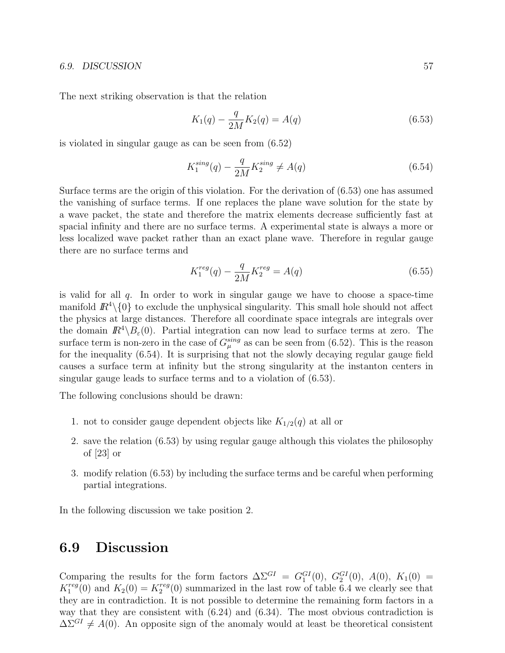#### 6.9. DISCUSSION 57

The next striking observation is that the relation

$$
K_1(q) - \frac{q}{2M} K_2(q) = A(q)
$$
\n(6.53)

is violated in singular gauge as can be seen from (6.52)

$$
K_1^{sing}(q) - \frac{q}{2M} K_2^{sing} \neq A(q)
$$
 (6.54)

Surface terms are the origin of this violation. For the derivation of (6.53) one has assumed the vanishing of surface terms. If one replaces the plane wave solution for the state by a wave packet, the state and therefore the matrix elements decrease sufficiently fast at spacial infinity and there are no surface terms. A experimental state is always a more or less localized wave packet rather than an exact plane wave. Therefore in regular gauge there are no surface terms and

$$
K_1^{reg}(q) - \frac{q}{2M} K_2^{reg} = A(q)
$$
\n(6.55)

is valid for all  $q$ . In order to work in singular gauge we have to choose a space-time manifold  $\mathbb{R}^4\setminus\{0\}$  to exclude the unphysical singularity. This small hole should not affect the physics at large distances. Therefore all coordinate space integrals are integrals over the domain  $\mathbb{R}^4 \setminus B_\varepsilon(0)$ . Partial integration can now lead to surface terms at zero. The surface term is non-zero in the case of  $G_{\mu}^{sing}$  as can be seen from (6.52). This is the reason for the inequality (6.54). It is surprising that not the slowly decaying regular gauge field causes a surface term at infinity but the strong singularity at the instanton centers in singular gauge leads to surface terms and to a violation of (6.53).

The following conclusions should be drawn:

- 1. not to consider gauge dependent objects like  $K_{1/2}(q)$  at all or
- 2. save the relation (6.53) by using regular gauge although this violates the philosophy of [23] or
- 3. modify relation (6.53) by including the surface terms and be careful when performing partial integrations.

In the following discussion we take position 2.

#### 6.9 Discussion

Comparing the results for the form factors  $\Delta \Sigma^{GI} = G_1^{GI}(0)$ ,  $G_2^{GI}(0)$ ,  $A(0)$ ,  $K_1(0) =$  $K_1^{reg}$  $I_1^{reg}(0)$  and  $K_2(0) = K_2^{reg}$  $\binom{reg}{2}(0)$  summarized in the last row of table 6.4 we clearly see that they are in contradiction. It is not possible to determine the remaining form factors in a way that they are consistent with  $(6.24)$  and  $(6.34)$ . The most obvious contradiction is  $\Delta\Sigma^{GI} \neq A(0)$ . An opposite sign of the anomaly would at least be theoretical consistent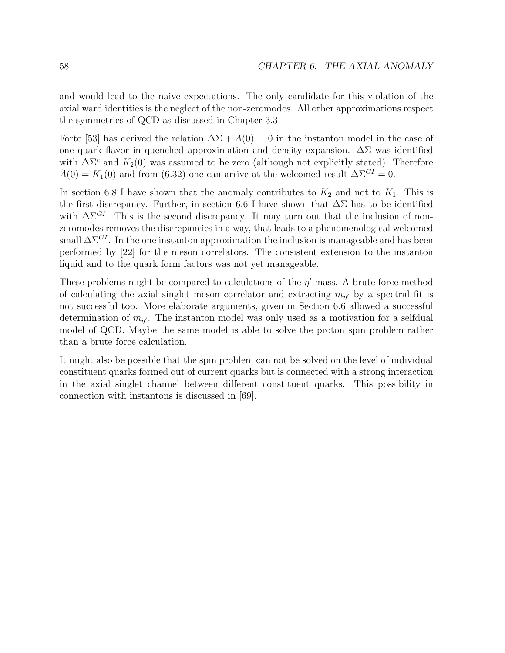and would lead to the naive expectations. The only candidate for this violation of the axial ward identities is the neglect of the non-zeromodes. All other approximations respect the symmetries of QCD as discussed in Chapter 3.3.

Forte [53] has derived the relation  $\Delta\Sigma + A(0) = 0$  in the instanton model in the case of one quark flavor in quenched approximation and density expansion.  $\Delta\Sigma$  was identified with  $\Delta\Sigma^c$  and  $K_2(0)$  was assumed to be zero (although not explicitly stated). Therefore  $A(0) = K_1(0)$  and from (6.32) one can arrive at the welcomed result  $\Delta \Sigma^{GI} = 0$ .

In section 6.8 I have shown that the anomaly contributes to  $K_2$  and not to  $K_1$ . This is the first discrepancy. Further, in section 6.6 I have shown that  $\Delta\Sigma$  has to be identified with  $\Delta\Sigma^{GI}$ . This is the second discrepancy. It may turn out that the inclusion of nonzeromodes removes the discrepancies in a way, that leads to a phenomenological welcomed small  $\Delta\Sigma^{GI}$ . In the one instanton approximation the inclusion is manageable and has been performed by [22] for the meson correlators. The consistent extension to the instanton liquid and to the quark form factors was not yet manageable.

These problems might be compared to calculations of the  $\eta'$  mass. A brute force method of calculating the axial singlet meson correlator and extracting  $m_{\eta'}$  by a spectral fit is not successful too. More elaborate arguments, given in Section 6.6 allowed a successful determination of  $m_{\eta'}$ . The instanton model was only used as a motivation for a selfdual model of QCD. Maybe the same model is able to solve the proton spin problem rather than a brute force calculation.

It might also be possible that the spin problem can not be solved on the level of individual constituent quarks formed out of current quarks but is connected with a strong interaction in the axial singlet channel between different constituent quarks. This possibility in connection with instantons is discussed in [69].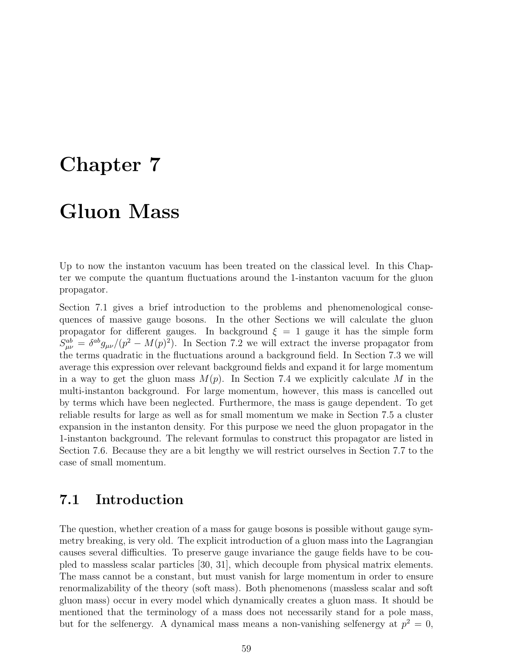## Chapter 7

# Gluon Mass

Up to now the instanton vacuum has been treated on the classical level. In this Chapter we compute the quantum fluctuations around the 1-instanton vacuum for the gluon propagator.

Section 7.1 gives a brief introduction to the problems and phenomenological consequences of massive gauge bosons. In the other Sections we will calculate the gluon propagator for different gauges. In background  $\xi = 1$  gauge it has the simple form  $S_{\mu\nu}^{ab} = \delta^{ab} g_{\mu\nu} / (p^2 - M(p)^2)$ . In Section 7.2 we will extract the inverse propagator from the terms quadratic in the fluctuations around a background field. In Section 7.3 we will average this expression over relevant background fields and expand it for large momentum in a way to get the gluon mass  $M(p)$ . In Section 7.4 we explicitly calculate M in the multi-instanton background. For large momentum, however, this mass is cancelled out by terms which have been neglected. Furthermore, the mass is gauge dependent. To get reliable results for large as well as for small momentum we make in Section 7.5 a cluster expansion in the instanton density. For this purpose we need the gluon propagator in the 1-instanton background. The relevant formulas to construct this propagator are listed in Section 7.6. Because they are a bit lengthy we will restrict ourselves in Section 7.7 to the case of small momentum.

### 7.1 Introduction

The question, whether creation of a mass for gauge bosons is possible without gauge symmetry breaking, is very old. The explicit introduction of a gluon mass into the Lagrangian causes several difficulties. To preserve gauge invariance the gauge fields have to be coupled to massless scalar particles [30, 31], which decouple from physical matrix elements. The mass cannot be a constant, but must vanish for large momentum in order to ensure renormalizability of the theory (soft mass). Both phenomenons (massless scalar and soft gluon mass) occur in every model which dynamically creates a gluon mass. It should be mentioned that the terminology of a mass does not necessarily stand for a pole mass, but for the selfenergy. A dynamical mass means a non-vanishing selfenergy at  $p^2 = 0$ ,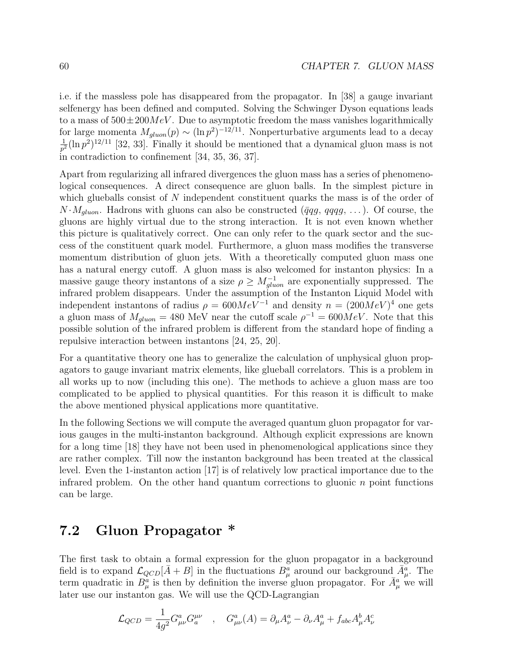i.e. if the massless pole has disappeared from the propagator. In [38] a gauge invariant selfenergy has been defined and computed. Solving the Schwinger Dyson equations leads to a mass of  $500 \pm 200 MeV$ . Due to asymptotic freedom the mass vanishes logarithmically for large momenta  $M_{gluon}(p) \sim (\ln p^2)^{-12/11}$ . Nonperturbative arguments lead to a decay 1  $\frac{1}{p^2}(\ln p^2)^{12/11}$  [32, 33]. Finally it should be mentioned that a dynamical gluon mass is not in contradiction to confinement [34, 35, 36, 37].

Apart from regularizing all infrared divergences the gluon mass has a series of phenomenological consequences. A direct consequence are gluon balls. In the simplest picture in which glueballs consist of N independent constituent quarks the mass is of the order of  $N \cdot M_{gluon}$ . Hadrons with gluons can also be constructed ( $\bar{q}qg, qqqg, \ldots$ ). Of course, the gluons are highly virtual due to the strong interaction. It is not even known whether this picture is qualitatively correct. One can only refer to the quark sector and the success of the constituent quark model. Furthermore, a gluon mass modifies the transverse momentum distribution of gluon jets. With a theoretically computed gluon mass one has a natural energy cutoff. A gluon mass is also welcomed for instanton physics: In a massive gauge theory instantons of a size  $\rho \geq M_{gluon}^{-1}$  are exponentially suppressed. The infrared problem disappears. Under the assumption of the Instanton Liquid Model with independent instantons of radius  $\rho = 600 MeV^{-1}$  and density  $n = (200 MeV)^4$  one gets a gluon mass of  $M_{gluon} = 480$  MeV near the cutoff scale  $\rho^{-1} = 600 MeV$ . Note that this possible solution of the infrared problem is different from the standard hope of finding a repulsive interaction between instantons [24, 25, 20].

For a quantitative theory one has to generalize the calculation of unphysical gluon propagators to gauge invariant matrix elements, like glueball correlators. This is a problem in all works up to now (including this one). The methods to achieve a gluon mass are too complicated to be applied to physical quantities. For this reason it is difficult to make the above mentioned physical applications more quantitative.

In the following Sections we will compute the averaged quantum gluon propagator for various gauges in the multi-instanton background. Although explicit expressions are known for a long time [18] they have not been used in phenomenological applications since they are rather complex. Till now the instanton background has been treated at the classical level. Even the 1-instanton action [17] is of relatively low practical importance due to the infrared problem. On the other hand quantum corrections to gluonic  $n$  point functions can be large.

#### 7.2 Gluon Propagator \*

The first task to obtain a formal expression for the gluon propagator in a background field is to expand  $\mathcal{L}_{QCD}[\bar{A}+B]$  in the fluctuations  $B_{\mu}^{\alpha}$  around our background  $\bar{A}_{\mu}^{\alpha}$ . The term quadratic in  $B^a_\mu$  is then by definition the inverse gluon propagator. For  $\bar{A}^a_\mu$  we will later use our instanton gas. We will use the QCD-Lagrangian

$$
\mathcal{L}_{QCD} = \frac{1}{4g^2} G^a_{\mu\nu} G^{\mu\nu}_a \quad , \quad G^a_{\mu\nu}(A) = \partial_\mu A^a_\nu - \partial_\nu A^a_\mu + f_{abc} A^b_\mu A^c_\nu
$$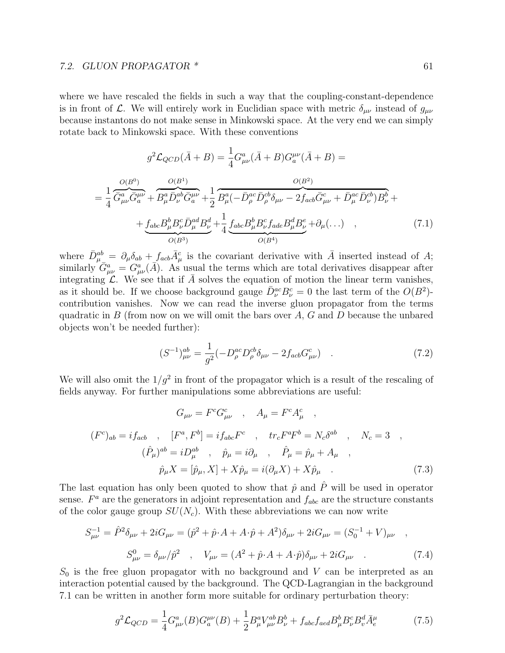#### 7.2. GLUON PROPAGATOR \* 61

=

where we have rescaled the fields in such a way that the coupling-constant-dependence is in front of L. We will entirely work in Euclidian space with metric  $\delta_{\mu\nu}$  instead of  $g_{\mu\nu}$ because instantons do not make sense in Minkowski space. At the very end we can simply rotate back to Minkowski space. With these conventions

$$
g^{2}\mathcal{L}_{QCD}(\bar{A} + B) = \frac{1}{4}G_{\mu\nu}^{a}(\bar{A} + B)G_{a}^{\mu\nu}(\bar{A} + B) =
$$

$$
\frac{O(B^{0})}{4}\frac{O(B^{1})}{\bar{G}_{\mu\nu}^{a}\bar{G}_{a}^{\mu\nu}} + \frac{O(B^{1})}{B_{\mu}^{a}\bar{D}_{\nu}^{ab}\bar{G}_{a}^{\mu\nu}} + \frac{1}{2}\frac{O(B^{2})}{B_{\mu}^{a}(-\bar{D}_{\rho}^{ac}\bar{D}_{\rho}^{cb}\delta_{\mu\nu} - 2f_{acb}\bar{G}_{\mu\nu}^{c} + \bar{D}_{\mu}^{ac}\bar{D}_{\nu}^{cb})B_{\nu}^{b} +
$$

$$
+ \underline{f_{abc}B_{\mu}^{b}B_{\nu}^{c}\bar{D}_{\mu}^{ad}B_{\nu}^{d}} + \frac{1}{4}\underline{f_{abc}B_{\mu}^{b}B_{\nu}^{c}f_{ade}B_{\mu}^{d}B_{\nu}^{e}} + \partial_{\mu}(\ldots) , \qquad (7.1)
$$

 $O(B^4)$ 

where  $\bar{D}_{\mu}^{ab} = \partial_{\mu} \delta_{ab} + f_{acb} \bar{A}_{\mu}^c$  is the covariant derivative with  $\bar{A}$  inserted instead of A; similarly  $\hat{G}^a_{\mu\nu} = G^a_{\mu\nu}(\vec{A})$ . As usual the terms which are total derivatives disappear after integrating  $\mathcal{L}$ . We see that if A solves the equation of motion the linear term vanishes, as it should be. If we choose background gauge  $\bar{D}_{\nu}^{ac}B_{\nu}^{c}=0$  the last term of the  $O(B^2)$ contribution vanishes. Now we can read the inverse gluon propagator from the terms quadratic in B (from now on we will omit the bars over  $A, G$  and D because the unbared objects won't be needed further):

 $O(B^3)$ 

$$
(S^{-1})^{ab}_{\mu\nu} = \frac{1}{g^2} (-D^{ac}_{\rho} D^{cb}_{\rho} \delta_{\mu\nu} - 2f_{acb} G^{c}_{\mu\nu}) \quad . \tag{7.2}
$$

We will also omit the  $1/g^2$  in front of the propagator which is a result of the rescaling of fields anyway. For further manipulations some abbreviations are useful:

$$
G_{\mu\nu} = F^c G^c_{\mu\nu} , A_{\mu} = F^c A^c_{\mu} ,
$$
  
\n
$$
(F^c)_{ab} = i f_{acb} , [F^a, F^b] = i f_{abc} F^c , tr_c F^a F^b = N_c \delta^{ab} , N_c = 3 ,
$$
  
\n
$$
(\hat{P}_{\mu})^{ab} = i D^{\alpha b}_{\mu} , \hat{p}_{\mu} = i \partial_{\mu} , \hat{P}_{\mu} = \hat{p}_{\mu} + A_{\mu} ,
$$
  
\n
$$
\hat{p}_{\mu} X = [\hat{p}_{\mu}, X] + X \hat{p}_{\mu} = i (\partial_{\mu} X) + X \hat{p}_{\mu} .
$$
\n(7.3)

The last equation has only been quoted to show that  $\hat{p}$  and  $\hat{P}$  will be used in operator sense.  $F^a$  are the generators in adjoint representation and  $f_{abc}$  are the structure constants of the color gauge group  $SU(N_c)$ . With these abbreviations we can now write

$$
S_{\mu\nu}^{-1} = \hat{P}^2 \delta_{\mu\nu} + 2i G_{\mu\nu} = (\hat{p}^2 + \hat{p} \cdot A + A \cdot \hat{p} + A^2) \delta_{\mu\nu} + 2i G_{\mu\nu} = (S_0^{-1} + V)_{\mu\nu} ,
$$
  

$$
S_{\mu\nu}^0 = \delta_{\mu\nu}/\hat{p}^2 , \quad V_{\mu\nu} = (A^2 + \hat{p} \cdot A + A \cdot \hat{p}) \delta_{\mu\nu} + 2i G_{\mu\nu} .
$$
 (7.4)

 $S_0$  is the free gluon propagator with no background and V can be interpreted as an interaction potential caused by the background. The QCD-Lagrangian in the background 7.1 can be written in another form more suitable for ordinary perturbation theory:

$$
g^2 \mathcal{L}_{QCD} = \frac{1}{4} G^a_{\mu\nu}(B) G^{\mu\nu}_a(B) + \frac{1}{2} B^a_{\mu} V^{ab}_{\mu\nu} B^b_{\nu} + f_{abc} f_{acd} B^b_{\mu} B^c_{\nu} B^d_{v} \bar{A}^{\mu}_e \tag{7.5}
$$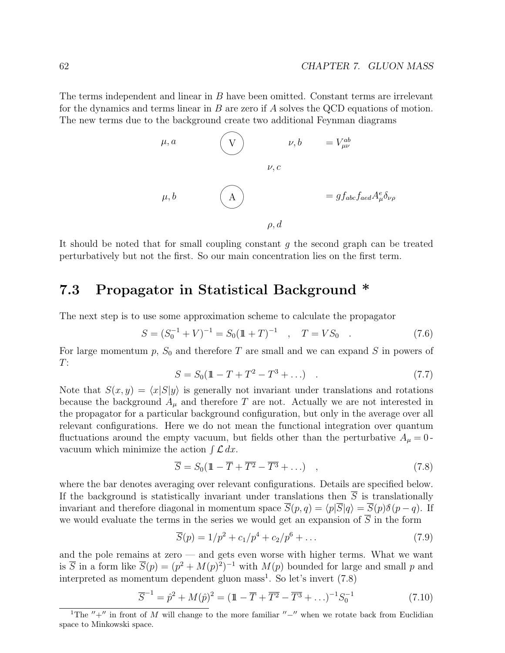The terms independent and linear in B have been omitted. Constant terms are irrelevant for the dynamics and terms linear in  $B$  are zero if  $A$  solves the QCD equations of motion. The new terms due to the background create two additional Feynman diagrams

$$
\mu, a
$$
\n
$$
\nu, b = V_{\mu\nu}^{ab}
$$
\n
$$
\nu, c
$$
\n
$$
\mu, b
$$
\n
$$
\mu, b
$$
\n
$$
\mu, d
$$
\n
$$
\rho, d
$$

It should be noted that for small coupling constant  $g$  the second graph can be treated perturbatively but not the first. So our main concentration lies on the first term.

### 7.3 Propagator in Statistical Background \*

The next step is to use some approximation scheme to calculate the propagator

$$
S = (S_0^{-1} + V)^{-1} = S_0(\mathbb{1} + T)^{-1} \quad , \quad T = VS_0 \quad . \tag{7.6}
$$

For large momentum  $p$ ,  $S_0$  and therefore T are small and we can expand S in powers of  $T:$ 

$$
S = S_0(\mathbb{1} - T + T^2 - T^3 + \ldots) \tag{7.7}
$$

Note that  $S(x, y) = \langle x|S|y \rangle$  is generally not invariant under translations and rotations because the background  $A_\mu$  and therefore T are not. Actually we are not interested in the propagator for a particular background configuration, but only in the average over all relevant configurations. Here we do not mean the functional integration over quantum fluctuations around the empty vacuum, but fields other than the perturbative  $A_{\mu} = 0$ . reductions around the empty vacuum, b<br>vacuum which minimize the action  $\int \mathcal{L} dx$ .

$$
\overline{S} = S_0(\mathbb{1} - \overline{T} + \overline{T^2} - \overline{T^3} + \ldots) \quad , \tag{7.8}
$$

where the bar denotes averaging over relevant configurations. Details are specified below. If the background is statistically invariant under translations then  $\overline{S}$  is translationally invariant and therefore diagonal in momentum space  $\overline{S}(p,q) = \langle p|\overline{S}|q\rangle = \overline{S}(p)\delta(p-q)$ . If we would evaluate the terms in the series we would get an expansion of  $\overline{S}$  in the form

$$
\overline{S}(p) = 1/p^2 + c_1/p^4 + c_2/p^6 + \dots \tag{7.9}
$$

and the pole remains at zero — and gets even worse with higher terms. What we want is  $\overline{S}$  in a form like  $\overline{S}(p) = (p^2 + M(p)^2)^{-1}$  with  $M(p)$  bounded for large and small p and interpreted as momentum dependent gluon mass<sup>1</sup>. So let's invert  $(7.8)$ 

$$
\overline{S}^{-1} = \hat{p}^2 + M(\hat{p})^2 = (\mathbb{1} - \overline{T} + \overline{T^2} - \overline{T^3} + \ldots)^{-1} S_0^{-1}
$$
\n(7.10)

<sup>&</sup>lt;sup>1</sup>The  $''+''$  in front of M will change to the more familiar  $''-''$  when we rotate back from Euclidian space to Minkowski space.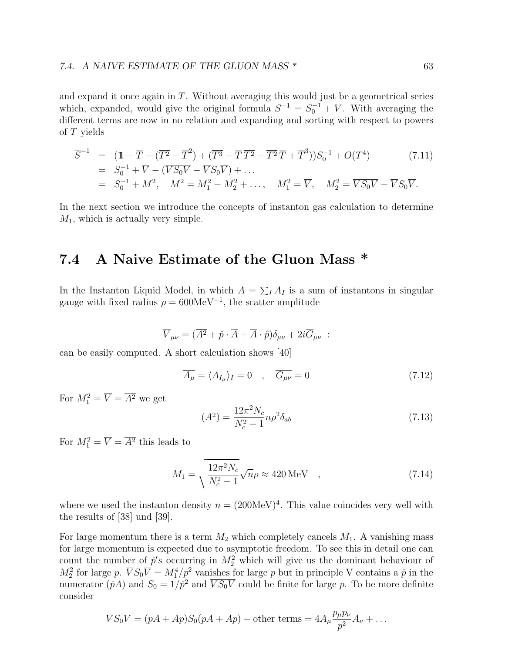and expand it once again in  $T$ . Without averaging this would just be a geometrical series which, expanded, would give the original formula  $S^{-1} = S_0^{-1} + V$ . With averaging the different terms are now in no relation and expanding and sorting with respect to powers of T yields

$$
\overline{S}^{-1} = (\mathbb{1} + \overline{T} - (\overline{T^2} - \overline{T}^2) + (\overline{T^3} - \overline{T} \,\overline{T^2} - \overline{T^2} \,\overline{T} + \overline{T}^3))S_0^{-1} + O(T^4) \tag{7.11}
$$
  
=  $S_0^{-1} + \overline{V} - (\overline{V}S_0\overline{V} - \overline{V}S_0\overline{V}) + ...$   
=  $S_0^{-1} + M^2$ ,  $M^2 = M_1^2 - M_2^2 + ..., M_1^2 = \overline{V}$ ,  $M_2^2 = \overline{V}S_0\overline{V} - \overline{V}S_0\overline{V}$ .

In the next section we introduce the concepts of instanton gas calculation to determine  $M_1$ , which is actually very simple.

### 7.4 A Naive Estimate of the Gluon Mass \*

In the Instanton Liquid Model, in which  $A = \sum_{I} A_{I}$  is a sum of instantons in singular gauge with fixed radius  $\rho = 600 \text{MeV}^{-1}$ , the scatter amplitude

$$
\overline{V}_{\mu\nu} = (\overline{A^2} + \hat{p} \cdot \overline{A} + \overline{A} \cdot \hat{p})\delta_{\mu\nu} + 2i\overline{G}_{\mu\nu} :
$$

can be easily computed. A short calculation shows [40]

$$
\overline{A_{\mu}} = \langle A_{I_{\mu}} \rangle_{I} = 0 \quad , \quad \overline{G_{\mu\nu}} = 0 \tag{7.12}
$$

For  $M_1^2 = \overline{V} = \overline{A^2}$  we get

$$
\left(\overline{A^2}\right) = \frac{12\pi^2 N_c}{N_c^2 - 1} n\rho^2 \delta_{ab} \tag{7.13}
$$

For  $M_1^2 = \overline{V} = \overline{A^2}$  this leads to

$$
M_1 = \sqrt{\frac{12\pi^2 N_c}{N_c^2 - 1}} \sqrt{n}\rho \approx 420 \,\text{MeV} \quad , \tag{7.14}
$$

where we used the instanton density  $n = (200 \text{MeV})^4$ . This value coincides very well with the results of [38] und [39].

For large momentum there is a term  $M_2$  which completely cancels  $M_1$ . A vanishing mass for large momentum is expected due to asymptotic freedom. To see this in detail one can count the number of  $\hat{p}'s$  occurring in  $M_2^2$  which will give us the dominant behaviour of  $M_2^2$  for large p.  $\overline{V}S_0\overline{V} = M_1^4/p^2$  vanishes for large p but in principle V contains a  $\hat{p}$  in the numerator  $(\hat{p}A)$  and  $S_0 = 1/\hat{p}^2$  and  $\overline{VS_0V}$  could be finite for large p. To be more definite consider

$$
VS_0V = (pA + Ap)S_0(pA + Ap) + \text{other terms} = 4A_\mu \frac{p_\mu p_\nu}{p^2}A_\nu + \dots
$$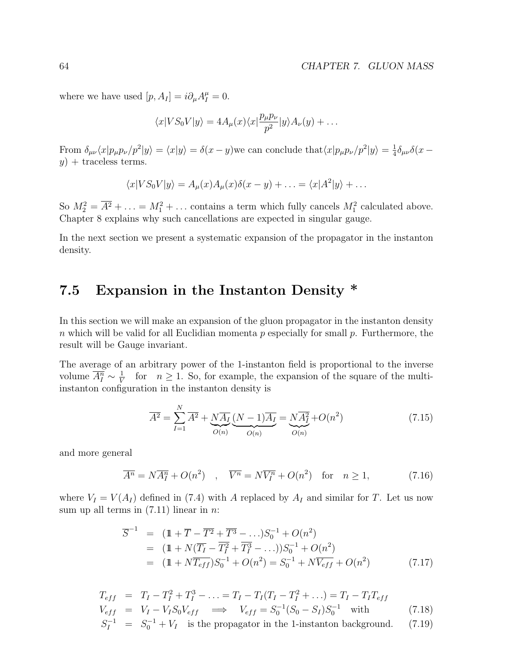where we have used  $[p, A_I] = i \partial_\mu A_I^\mu = 0$ .

$$
\langle x|VS_0V|y\rangle = 4A_\mu(x)\langle x|\frac{p_\mu p_\nu}{p^2}|y\rangle A_\nu(y) + \dots
$$

From  $\delta_{\mu\nu}\langle x|p_\mu p_\nu/p^2|y\rangle = \langle x|y\rangle = \delta(x-y)$  we can conclude that  $\langle x|p_\mu p_\nu/p^2|y\rangle = \frac{1}{4}$  $\frac{1}{4}\delta_{\mu\nu}\delta(x$  $y$  + traceless terms.

$$
\langle x|VS_0V|y\rangle = A_\mu(x)A_\mu(x)\delta(x-y) + \ldots = \langle x|A^2|y\rangle + \ldots
$$

So  $M_2^2 = \overline{A^2} + \ldots = M_1^2 + \ldots$  contains a term which fully cancels  $M_1^2$  calculated above. Chapter 8 explains why such cancellations are expected in singular gauge.

In the next section we present a systematic expansion of the propagator in the instanton density.

### 7.5 Expansion in the Instanton Density \*

In this section we will make an expansion of the gluon propagator in the instanton density n which will be valid for all Euclidian momenta  $p$  especially for small  $p$ . Furthermore, the result will be Gauge invariant.

The average of an arbitrary power of the 1-instanton field is proportional to the inverse volume  $\overline{A_I^n} \sim \frac{1}{V}$  $\frac{1}{V}$  for  $n \geq 1$ . So, for example, the expansion of the square of the multiinstanton configuration in the instanton density is

$$
\overline{A^2} = \sum_{I=1}^{N} \overline{A^2} + \underbrace{N\overline{A_I}}_{O(n)} \underbrace{(N-1)\overline{A_I}}_{O(n)} = \underbrace{N\overline{A_I^2}}_{O(n)} + O(n^2)
$$
\n(7.15)

and more general

$$
\overline{A^n} = N\overline{A_1^n} + O(n^2) \quad , \quad \overline{V^n} = N\overline{V_1^n} + O(n^2) \quad \text{for} \quad n \ge 1,
$$
\n(7.16)

where  $V_I = V(A_I)$  defined in (7.4) with A replaced by  $A_I$  and similar for T. Let us now sum up all terms in  $(7.11)$  linear in *n*:

$$
\overline{S}^{-1} = (\mathbb{1} + \overline{T} - \overline{T^2} + \overline{T^3} - \ldots) S_0^{-1} + O(n^2)
$$
  
= (\mathbb{1} + N(\overline{T\_I} - \overline{T\_I^2} + \overline{T\_I^3} - \ldots)) S\_0^{-1} + O(n^2)  
= (\mathbb{1} + N\overline{T\_{eff}}) S\_0^{-1} + O(n^2) = S\_0^{-1} + N\overline{V\_{eff}} + O(n^2) \qquad (7.17)

$$
T_{eff} = T_I - T_I^2 + T_I^3 - \dots = T_I - T_I (T_I - T_I^2 + \dots) = T_I - T_I T_{eff}
$$
  
\n
$$
V_{eff} = V_I - V_I S_0 V_{eff} \implies V_{eff} = S_0^{-1} (S_0 - S_I) S_0^{-1} \text{ with } (7.18)
$$

$$
S_I^{-1} = S_0^{-1} + V_I
$$
 is the propagator in the 1-instanton background. (7.19)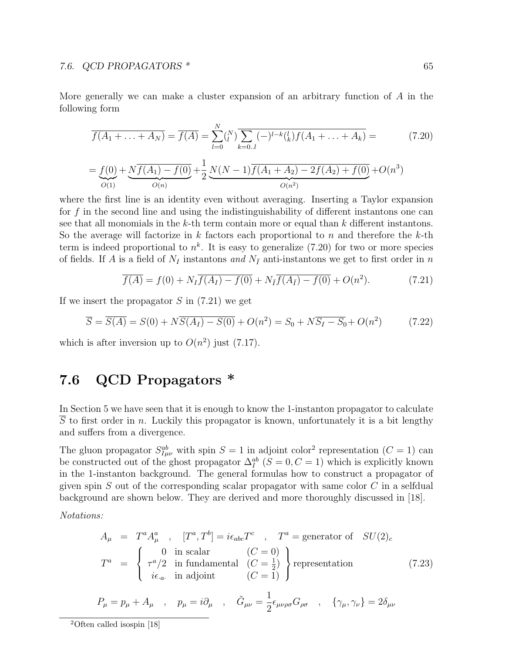More generally we can make a cluster expansion of an arbitrary function of A in the following form

$$
\overline{f(A_1 + \ldots + A_N)} = \overline{f(A)} = \sum_{l=0}^{N} {N \choose l} \overline{\sum_{k=0..l} (-)^{l-k} {l \choose k} f(A_1 + \ldots + A_k)} = \tag{7.20}
$$

$$
=\underbrace{f(0)}_{O(1)}+\underbrace{N\overline{f(A_1)-f(0)}}_{O(n)}+\underbrace{1}{2}\underbrace{N(N-1)\overline{f(A_1+A_2)-2f(A_2)+f(0)}}_{O(n^2)}+O(n^3)
$$

where the first line is an identity even without averaging. Inserting a Taylor expansion for  $f$  in the second line and using the indistinguishability of different instantons one can see that all monomials in the k-th term contain more or equal than  $k$  different instantons. So the average will factorize in  $k$  factors each proportional to  $n$  and therefore the  $k$ -th term is indeed proportional to  $n^k$ . It is easy to generalize (7.20) for two or more species of fields. If A is a field of  $N_I$  instantons and  $N_{\bar{I}}$  anti-instantons we get to first order in n

$$
\overline{f(A)} = f(0) + N_I \overline{f(A_I) - f(0)} + N_{\overline{I}} \overline{f(A_{\overline{I}}) - f(0)} + O(n^2).
$$
 (7.21)

If we insert the propagator  $S$  in  $(7.21)$  we get

$$
\overline{S} = \overline{S(A)} = S(0) + N\overline{S(A_I) - S(0)} + O(n^2) = S_0 + N\overline{S_I - S_0} + O(n^2)
$$
(7.22)

which is after inversion up to  $O(n^2)$  just (7.17).

### 7.6 QCD Propagators \*

In Section 5 we have seen that it is enough to know the 1-instanton propagator to calculate S to first order in n. Luckily this propagator is known, unfortunately it is a bit lengthy and suffers from a divergence.

The gluon propagator  $S_{I\mu\nu}^{ab}$  with spin  $S=1$  in adjoint color<sup>2</sup> representation  $(C=1)$  can be constructed out of the ghost propagator  $\Delta_I^{ab}$  ( $S = 0, C = 1$ ) which is explicitly known in the 1-instanton background. The general formulas how to construct a propagator of given spin  $S$  out of the corresponding scalar propagator with same color  $C$  in a selfdual background are shown below. They are derived and more thoroughly discussed in [18].

Notations:

$$
A_{\mu} = T^{a} A_{\mu}^{a} , [T^{a}, T^{b}] = i\epsilon_{abc} T^{c} , T^{a} = \text{generator of } SU(2)_{c}
$$
  
\n
$$
T^{a} = \begin{cases} 0 & \text{in scalar} & (C = 0) \\ \tau^{a}/2 & \text{in fundamental} & (C = \frac{1}{2}) \\ i\epsilon_{a} & \text{in adjoint} & (C = 1) \end{cases} \text{representation}
$$
  
\n
$$
P_{\mu} = p_{\mu} + A_{\mu} , p_{\mu} = i\partial_{\mu} , \tilde{G}_{\mu\nu} = \frac{1}{2} \epsilon_{\mu\nu\rho\sigma} G_{\rho\sigma} , \{\gamma_{\mu}, \gamma_{\nu}\} = 2\delta_{\mu\nu}
$$
  
\n(7.23)

<sup>2</sup>Often called isospin [18]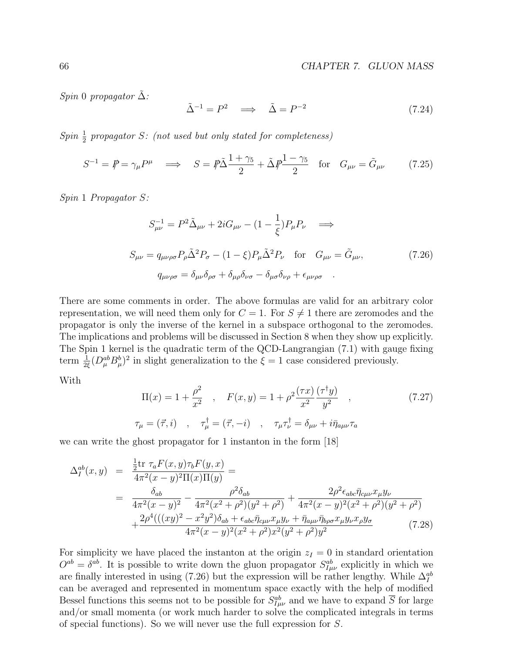Spin 0 propagator  $\tilde{\Delta}$ :

$$
\tilde{\Delta}^{-1} = P^2 \quad \Longrightarrow \quad \tilde{\Delta} = P^{-2} \tag{7.24}
$$

 $Spin \frac{1}{2}$  propagator S: (not used but only stated for completeness)

$$
S^{-1} = \mathcal{P} = \gamma_{\mu} P^{\mu} \implies S = \mathcal{P}\tilde{\Delta}\frac{1+\gamma_{5}}{2} + \tilde{\Delta}\mathcal{P}\frac{1-\gamma_{5}}{2} \quad \text{for} \quad G_{\mu\nu} = \tilde{G}_{\mu\nu} \tag{7.25}
$$

Spin 1 Propagator S:

$$
S_{\mu\nu}^{-1} = P^2 \tilde{\Delta}_{\mu\nu} + 2i G_{\mu\nu} - (1 - \frac{1}{\xi}) P_{\mu} P_{\nu} \implies
$$
  
\n
$$
S_{\mu\nu} = q_{\mu\nu\rho\sigma} P_{\rho} \tilde{\Delta}^2 P_{\sigma} - (1 - \xi) P_{\mu} \tilde{\Delta}^2 P_{\nu} \quad \text{for} \quad G_{\mu\nu} = \tilde{G}_{\mu\nu},
$$
  
\n
$$
q_{\mu\nu\rho\sigma} = \delta_{\mu\nu} \delta_{\rho\sigma} + \delta_{\mu\rho} \delta_{\nu\sigma} - \delta_{\mu\sigma} \delta_{\nu\rho} + \epsilon_{\mu\nu\rho\sigma}.
$$
\n(7.26)

There are some comments in order. The above formulas are valid for an arbitrary color representation, we will need them only for  $C = 1$ . For  $S \neq 1$  there are zeromodes and the propagator is only the inverse of the kernel in a subspace orthogonal to the zeromodes. The implications and problems will be discussed in Section 8 when they show up explicitly. The Spin 1 kernel is the quadratic term of the QCD-Langrangian (7.1) with gauge fixing term  $\frac{1}{2\xi}(D^{ab}_{\mu}B^{b}_{\mu})^2$  in slight generalization to the  $\xi = 1$  case considered previously.

With

$$
\Pi(x) = 1 + \frac{\rho^2}{x^2} \quad , \quad F(x, y) = 1 + \rho^2 \frac{(\tau x)}{x^2} \frac{(\tau^{\dagger} y)}{y^2} \quad , \tag{7.27}
$$
\n
$$
\tau_{\mu} = (\vec{\tau}, i) \quad , \quad \tau_{\mu}^{\dagger} = (\vec{\tau}, -i) \quad , \quad \tau_{\mu}\tau_{\nu}^{\dagger} = \delta_{\mu\nu} + i\bar{\eta}_{a\mu\nu}\tau_a
$$

we can write the ghost propagator for 1 instanton in the form [18]

$$
\Delta_{I}^{ab}(x,y) = \frac{\frac{1}{2}\text{tr}\ \tau_{a}F(x,y)\tau_{b}F(y,x)}{4\pi^{2}(x-y)^{2}\Pi(x)\Pi(y)} = \n= \frac{\delta_{ab}}{4\pi^{2}(x-y)^{2}} - \frac{\rho^{2}\delta_{ab}}{4\pi^{2}(x^{2}+\rho^{2})(y^{2}+\rho^{2})} + \frac{2\rho^{2}\epsilon_{abc}\bar{\eta}_{c\mu\nu}x_{\mu}y_{\nu}}{4\pi^{2}(x-y)^{2}(x^{2}+\rho^{2})(y^{2}+\rho^{2})} + \frac{2\rho^{4}(((xy)^{2}-x^{2}y^{2})\delta_{ab} + \epsilon_{abc}\bar{\eta}_{c\mu\nu}x_{\mu}y_{\nu} + \bar{\eta}_{a\mu\nu}\bar{\eta}_{b\rho\sigma}x_{\mu}y_{\nu}x_{\rho}y_{\sigma}}{4\pi^{2}(x-y)^{2}(x^{2}+\rho^{2})x^{2}(y^{2}+\rho^{2})y^{2}} \qquad (7.28)
$$

For simplicity we have placed the instanton at the origin  $z_I = 0$  in standard orientation  $O^{ab} = \delta^{ab}$ . It is possible to write down the gluon propagator  $S_{I\mu\nu}^{ab}$  explicitly in which we are finally interested in using (7.26) but the expression will be rather lengthy. While  $\Delta_I^{ab}$ can be averaged and represented in momentum space exactly with the help of modified Bessel functions this seems not to be possible for  $S_{I\mu\nu}^{ab}$  and we have to expand  $\overline{S}$  for large and/or small momenta (or work much harder to solve the complicated integrals in terms of special functions). So we will never use the full expression for S.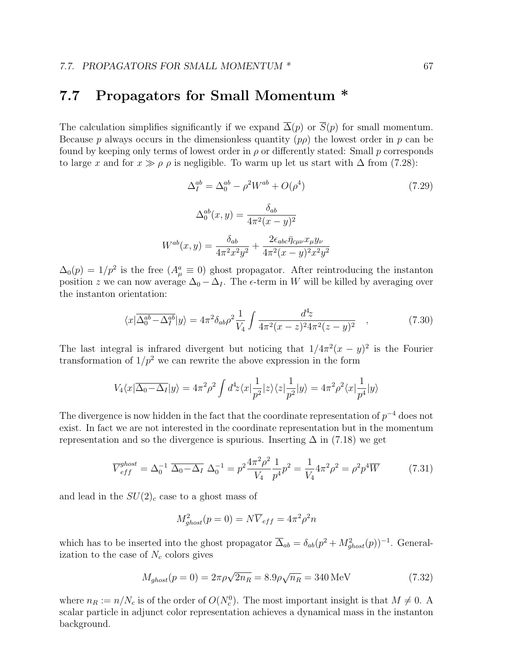### 7.7 Propagators for Small Momentum \*

The calculation simplifies significantly if we expand  $\overline{\Delta}(p)$  or  $\overline{S}(p)$  for small momentum. Because p always occurs in the dimensionless quantity  $(p\rho)$  the lowest order in p can be found by keeping only terms of lowest order in  $\rho$  or differently stated: Small p corresponds to large x and for  $x \gg \rho \rho$  is negligible. To warm up let us start with  $\Delta$  from (7.28):

$$
\Delta_I^{ab} = \Delta_0^{ab} - \rho^2 W^{ab} + O(\rho^4)
$$
\n
$$
\Delta_0^{ab}(x, y) = \frac{\delta_{ab}}{4\pi^2 (x - y)^2}
$$
\n
$$
W^{ab}(x, y) = \frac{\delta_{ab}}{4\pi^2 x^2 y^2} + \frac{2\epsilon_{abc} \bar{\eta}_{c\mu\nu} x_{\mu} y_{\nu}}{4\pi^2 (x - y)^2 x^2 y^2}
$$
\n(7.29)

 $\Delta_0(p) = 1/p^2$  is the free  $(A^a_\mu \equiv 0)$  ghost propagator. After reintroducing the instanton position z we can now average  $\Delta_0 - \Delta_I$ . The  $\epsilon$ -term in W will be killed by averaging over the instanton orientation:

$$
\langle x|\overline{\Delta_0^{ab}-\Delta_I^{ab}}|y\rangle = 4\pi^2\delta_{ab}\rho^2\frac{1}{V_4}\int \frac{d^4z}{4\pi^2(x-z)^24\pi^2(z-y)^2} \quad , \tag{7.30}
$$

The last integral is infrared divergent but noticing that  $1/4\pi^2(x-y)^2$  is the Fourier transformation of  $1/p^2$  we can rewrite the above expression in the form

$$
V_4\langle x|\overline{\Delta_0-\Delta_I}|y\rangle=4\pi^2\rho^2\int d^4\!z\langle x|\frac{1}{p^2}|z\rangle\langle z|\frac{1}{p^2}|y\rangle=4\pi^2\rho^2\langle x|\frac{1}{p^4}|y\rangle
$$

The divergence is now hidden in the fact that the coordinate representation of  $p^{-4}$  does not exist. In fact we are not interested in the coordinate representation but in the momentum representation and so the divergence is spurious. Inserting  $\Delta$  in (7.18) we get

$$
\overline{V}_{eff}^{ghost} = \Delta_0^{-1} \overline{\Delta_0 - \Delta_I} \ \Delta_0^{-1} = p^2 \frac{4\pi^2 \rho^2}{V_4} \frac{1}{p^4} p^2 = \frac{1}{V_4} 4\pi^2 \rho^2 = \rho^2 p^4 \overline{W} \tag{7.31}
$$

and lead in the  $SU(2)_c$  case to a ghost mass of

$$
M_{ghost}^2(p=0) = N\overline{V}_{eff} = 4\pi^2 \rho^2 n
$$

which has to be inserted into the ghost propagator  $\overline{\Delta}_{ab} = \delta_{ab}(p^2 + M_{ghost}^2(p))^{-1}$ . Generalization to the case of  $N_c$  colors gives

$$
M_{ghost}(p=0) = 2\pi \rho \sqrt{2n_R} = 8.9 \rho \sqrt{n_R} = 340 \,\text{MeV}
$$
\n(7.32)

where  $n_R := n/N_c$  is of the order of  $O(N_c^0)$ . The most important insight is that  $M \neq 0$ . A scalar particle in adjunct color representation achieves a dynamical mass in the instanton background.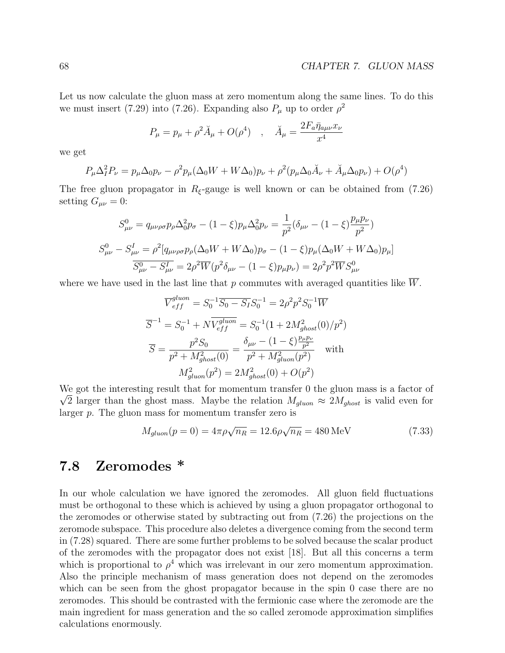Let us now calculate the gluon mass at zero momentum along the same lines. To do this we must insert (7.29) into (7.26). Expanding also  $P_{\mu}$  up to order  $\rho^2$ 

$$
P_{\mu} = p_{\mu} + \rho^2 \breve{A}_{\mu} + O(\rho^4) \quad , \quad \breve{A}_{\mu} = \frac{2F_a \bar{\eta}_{a\mu\nu} x_{\nu}}{x^4}
$$

we get

$$
P_{\mu}\Delta_{I}^{2}P_{\nu} = p_{\mu}\Delta_{0}p_{\nu} - \rho^{2}p_{\mu}(\Delta_{0}W + W\Delta_{0})p_{\nu} + \rho^{2}(p_{\mu}\Delta_{0}\breve{A}_{\nu} + \breve{A}_{\mu}\Delta_{0}p_{\nu}) + O(\rho^{4})
$$

The free gluon propagator in  $R_{\xi}$ -gauge is well known or can be obtained from (7.26) setting  $G_{\mu\nu}=0$ :

$$
S_{\mu\nu}^{0} = q_{\mu\nu\rho\sigma} p_{\rho} \Delta_{0}^{2} p_{\sigma} - (1 - \xi) p_{\mu} \Delta_{0}^{2} p_{\nu} = \frac{1}{p^{2}} (\delta_{\mu\nu} - (1 - \xi) \frac{p_{\mu} p_{\nu}}{p^{2}})
$$
  

$$
S_{\mu\nu}^{0} - S_{\mu\nu}^{I} = \rho^{2} [q_{\mu\nu\rho\sigma} p_{\rho} (\Delta_{0} W + W \Delta_{0}) p_{\sigma} - (1 - \xi) p_{\mu} (\Delta_{0} W + W \Delta_{0}) p_{\mu}]
$$
  

$$
\overline{S_{\mu\nu}^{0} - S_{\mu\nu}^{I}} = 2\rho^{2} \overline{W} (p^{2} \delta_{\mu\nu} - (1 - \xi) p_{\mu} p_{\nu}) = 2\rho^{2} p^{2} \overline{W} S_{\mu\nu}^{0}
$$

where we have used in the last line that p commutes with averaged quantities like  $\overline{W}$ .

$$
\overline{V}_{eff}^{gluon} = S_0^{-1} \overline{S_0 - S_I} S_0^{-1} = 2\rho^2 p^2 S_0^{-1} \overline{W}
$$
  

$$
\overline{S}^{-1} = S_0^{-1} + N \overline{V_{eff}^{gluon}} = S_0^{-1} (1 + 2M_{ghost}^2(0)/p^2)
$$
  

$$
\overline{S} = \frac{p^2 S_0}{p^2 + M_{ghost}^2(0)} = \frac{\delta_{\mu\nu} - (1 - \xi) \frac{p_{\mu}p_{\nu}}{p^2}}{p^2 + M_{gluon}^2(p^2)} \text{ with}
$$
  

$$
M_{gluon}^2(p^2) = 2M_{ghost}^2(0) + O(p^2)
$$

We got the interesting result that for momentum transfer 0 the gluon mass is a factor of  $\sqrt{2}$  larger than the ghost mass. Maybe the relation  $M_{gluon} \approx 2M_{ghost}$  is valid even for larger p. The gluon mass for momentum transfer zero is

$$
M_{gluon}(p=0) = 4\pi \rho \sqrt{n_R} = 12.6\rho \sqrt{n_R} = 480 \,\text{MeV}
$$
 (7.33)

### 7.8 Zeromodes \*

In our whole calculation we have ignored the zeromodes. All gluon field fluctuations must be orthogonal to these which is achieved by using a gluon propagator orthogonal to the zeromodes or otherwise stated by subtracting out from (7.26) the projections on the zeromode subspace. This procedure also deletes a divergence coming from the second term in (7.28) squared. There are some further problems to be solved because the scalar product of the zeromodes with the propagator does not exist [18]. But all this concerns a term which is proportional to  $\rho^4$  which was irrelevant in our zero momentum approximation. Also the principle mechanism of mass generation does not depend on the zeromodes which can be seen from the ghost propagator because in the spin 0 case there are no zeromodes. This should be contrasted with the fermionic case where the zeromode are the main ingredient for mass generation and the so called zeromode approximation simplifies calculations enormously.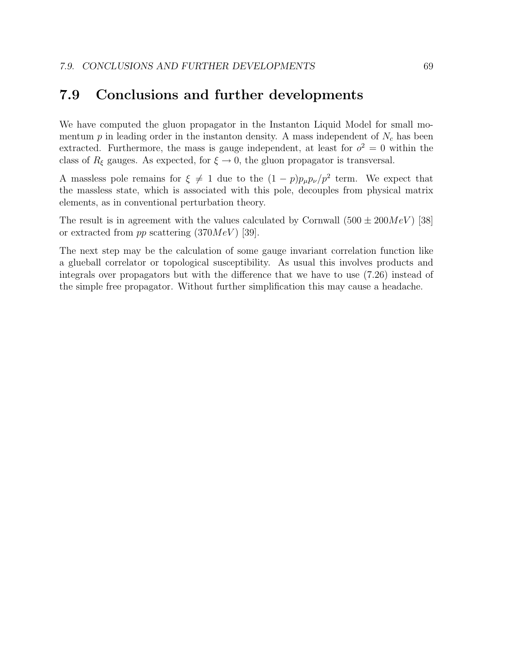#### 7.9 Conclusions and further developments

We have computed the gluon propagator in the Instanton Liquid Model for small momentum  $p$  in leading order in the instanton density. A mass independent of  $N_c$  has been extracted. Furthermore, the mass is gauge independent, at least for  $o^2 = 0$  within the class of  $R_{\xi}$  gauges. As expected, for  $\xi \to 0$ , the gluon propagator is transversal.

A massless pole remains for  $\xi \neq 1$  due to the  $(1-p)p_{\mu}p_{\nu}/p^2$  term. We expect that the massless state, which is associated with this pole, decouples from physical matrix elements, as in conventional perturbation theory.

The result is in agreement with the values calculated by Cornwall  $(500 \pm 200 MeV)$  [38] or extracted from pp scattering  $(370MeV)$  [39].

The next step may be the calculation of some gauge invariant correlation function like a glueball correlator or topological susceptibility. As usual this involves products and integrals over propagators but with the difference that we have to use (7.26) instead of the simple free propagator. Without further simplification this may cause a headache.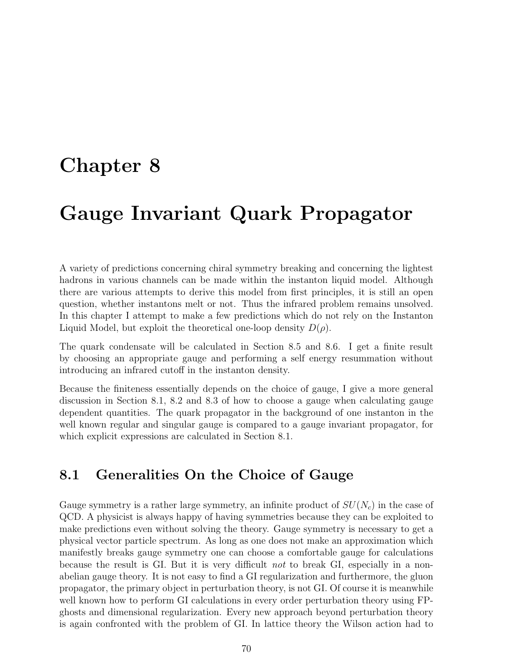## Chapter 8

# Gauge Invariant Quark Propagator

A variety of predictions concerning chiral symmetry breaking and concerning the lightest hadrons in various channels can be made within the instanton liquid model. Although there are various attempts to derive this model from first principles, it is still an open question, whether instantons melt or not. Thus the infrared problem remains unsolved. In this chapter I attempt to make a few predictions which do not rely on the Instanton Liquid Model, but exploit the theoretical one-loop density  $D(\rho)$ .

The quark condensate will be calculated in Section 8.5 and 8.6. I get a finite result by choosing an appropriate gauge and performing a self energy resummation without introducing an infrared cutoff in the instanton density.

Because the finiteness essentially depends on the choice of gauge, I give a more general discussion in Section 8.1, 8.2 and 8.3 of how to choose a gauge when calculating gauge dependent quantities. The quark propagator in the background of one instanton in the well known regular and singular gauge is compared to a gauge invariant propagator, for which explicit expressions are calculated in Section 8.1.

### 8.1 Generalities On the Choice of Gauge

Gauge symmetry is a rather large symmetry, an infinite product of  $SU(N_c)$  in the case of QCD. A physicist is always happy of having symmetries because they can be exploited to make predictions even without solving the theory. Gauge symmetry is necessary to get a physical vector particle spectrum. As long as one does not make an approximation which manifestly breaks gauge symmetry one can choose a comfortable gauge for calculations because the result is GI. But it is very difficult not to break GI, especially in a nonabelian gauge theory. It is not easy to find a GI regularization and furthermore, the gluon propagator, the primary object in perturbation theory, is not GI. Of course it is meanwhile well known how to perform GI calculations in every order perturbation theory using FPghosts and dimensional regularization. Every new approach beyond perturbation theory is again confronted with the problem of GI. In lattice theory the Wilson action had to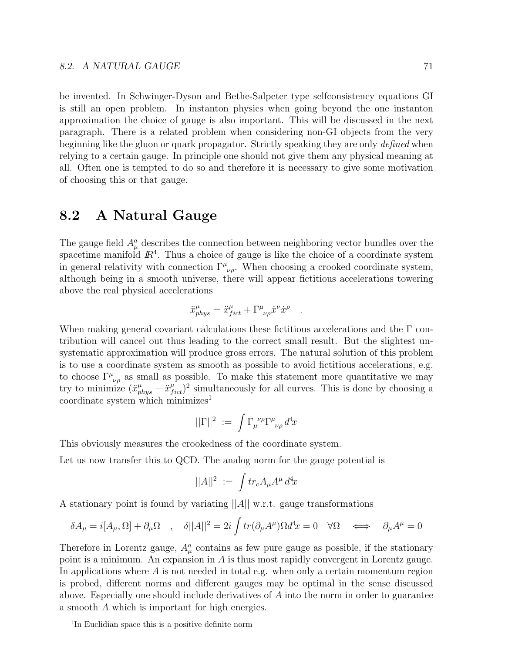be invented. In Schwinger-Dyson and Bethe-Salpeter type selfconsistency equations GI is still an open problem. In instanton physics when going beyond the one instanton approximation the choice of gauge is also important. This will be discussed in the next paragraph. There is a related problem when considering non-GI objects from the very beginning like the gluon or quark propagator. Strictly speaking they are only defined when relying to a certain gauge. In principle one should not give them any physical meaning at all. Often one is tempted to do so and therefore it is necessary to give some motivation of choosing this or that gauge.

## 8.2 A Natural Gauge

The gauge field  $A^a_\mu$  describes the connection between neighboring vector bundles over the spacetime manifold  $\mathbb{R}^4$ . Thus a choice of gauge is like the choice of a coordinate system in general relativity with connection  $\Gamma^{\mu}{}_{\nu\rho}$ . When choosing a crooked coordinate system, although being in a smooth universe, there will appear fictitious accelerations towering above the real physical accelerations

$$
\ddot{x}^{\mu}_{phys} = \ddot{x}^{\mu}_{fict} + \Gamma^{\mu}_{\ \nu\rho}\dot{x}^{\nu}\dot{x}^{\rho}
$$

.

When making general covariant calculations these fictitious accelerations and the  $\Gamma$  contribution will cancel out thus leading to the correct small result. But the slightest unsystematic approximation will produce gross errors. The natural solution of this problem is to use a coordinate system as smooth as possible to avoid fictitious accelerations, e.g. to choose  $\Gamma^{\mu}{}_{\nu\rho}$  as small as possible. To make this statement more quantitative we may try to minimize  $(\ddot{x}^{\mu}_{phys} - \ddot{x}^{\mu}_{fict})^2$  simultaneously for all curves. This is done by choosing a coordinate system which minimizes<sup>1</sup>

$$
||\Gamma||^2 := \int \Gamma_{\mu}^{\ \nu \rho} \Gamma^{\mu}{}_{\nu\rho} d^4x
$$

This obviously measures the crookedness of the coordinate system.

Let us now transfer this to QCD. The analog norm for the gauge potential is

$$
||A||^2 := \int tr_c A_\mu A^\mu \, d^4x
$$

A stationary point is found by variating  $||A||$  w.r.t. gauge transformations

$$
\delta A_{\mu} = i[A_{\mu}, \Omega] + \partial_{\mu} \Omega \quad , \quad \delta ||A||^{2} = 2i \int tr(\partial_{\mu} A^{\mu}) \Omega d^{4}x = 0 \quad \forall \Omega \quad \Longleftrightarrow \quad \partial_{\mu} A^{\mu} = 0
$$

Therefore in Lorentz gauge,  $A^a_\mu$  contains as few pure gauge as possible, if the stationary point is a minimum. An expansion in  $A$  is thus most rapidly convergent in Lorentz gauge. In applications where  $A$  is not needed in total e.g. when only a certain momentum region is probed, different norms and different gauges may be optimal in the sense discussed above. Especially one should include derivatives of A into the norm in order to guarantee a smooth A which is important for high energies.

<sup>&</sup>lt;sup>1</sup>In Euclidian space this is a positive definite norm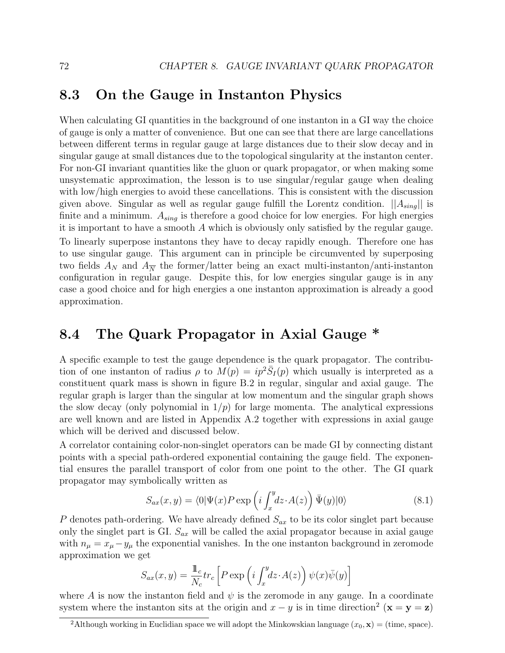## 8.3 On the Gauge in Instanton Physics

When calculating GI quantities in the background of one instanton in a GI way the choice of gauge is only a matter of convenience. But one can see that there are large cancellations between different terms in regular gauge at large distances due to their slow decay and in singular gauge at small distances due to the topological singularity at the instanton center. For non-GI invariant quantities like the gluon or quark propagator, or when making some unsystematic approximation, the lesson is to use singular/regular gauge when dealing with low/high energies to avoid these cancellations. This is consistent with the discussion given above. Singular as well as regular gauge fulfill the Lorentz condition.  $||A_{sing}||$  is finite and a minimum.  $A_{sing}$  is therefore a good choice for low energies. For high energies it is important to have a smooth A which is obviously only satisfied by the regular gauge. To linearly superpose instantons they have to decay rapidly enough. Therefore one has to use singular gauge. This argument can in principle be circumvented by superposing two fields  $A_N$  and  $A_{\overline{N}}$  the former/latter being an exact multi-instanton/anti-instanton configuration in regular gauge. Despite this, for low energies singular gauge is in any case a good choice and for high energies a one instanton approximation is already a good approximation.

## 8.4 The Quark Propagator in Axial Gauge \*

A specific example to test the gauge dependence is the quark propagator. The contribution of one instanton of radius  $\rho$  to  $M(p) = ip^2 \overline{S}_I(p)$  which usually is interpreted as a constituent quark mass is shown in figure B.2 in regular, singular and axial gauge. The regular graph is larger than the singular at low momentum and the singular graph shows the slow decay (only polynomial in  $1/p$ ) for large momenta. The analytical expressions are well known and are listed in Appendix A.2 together with expressions in axial gauge which will be derived and discussed below.

A correlator containing color-non-singlet operators can be made GI by connecting distant points with a special path-ordered exponential containing the gauge field. The exponential ensures the parallel transport of color from one point to the other. The GI quark propagator may symbolically written as  $\mathbf{r}$ 

$$
S_{ax}(x,y) = \langle 0|\Psi(x)P\exp\left(i\int_x^y dz \cdot A(z)\right)\bar{\Psi}(y)|0\rangle \tag{8.1}
$$

P denotes path-ordering. We have already defined  $S_{ax}$  to be its color singlet part because only the singlet part is GI.  $S_{ax}$  will be called the axial propagator because in axial gauge with  $n_{\mu} = x_{\mu} - y_{\mu}$  the exponential vanishes. In the one instanton background in zeromode approximation we get

$$
S_{ax}(x,y) = \frac{1}{N_c} tr_c \left[ P \exp \left( i \int_x^y dz \cdot A(z) \right) \psi(x) \overline{\psi}(y) \right]
$$

where A is now the instanton field and  $\psi$  is the zeromode in any gauge. In a coordinate system where the instanton sits at the origin and  $x - y$  is in time direction<sup>2</sup> ( $\mathbf{x} = \mathbf{y} = \mathbf{z}$ )

<sup>&</sup>lt;sup>2</sup>Although working in Euclidian space we will adopt the Minkowskian language  $(x_0, \mathbf{x}) =$  (time, space).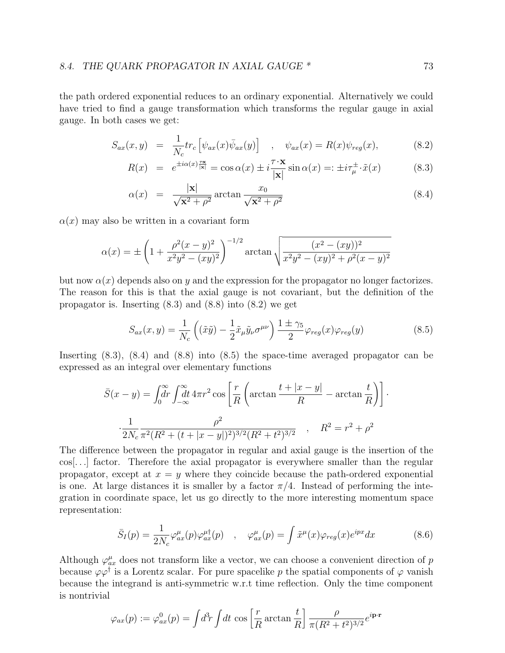the path ordered exponential reduces to an ordinary exponential. Alternatively we could have tried to find a gauge transformation which transforms the regular gauge in axial gauge. In both cases we get:

$$
S_{ax}(x,y) = \frac{1}{N_c} tr_c \left[ \psi_{ax}(x) \bar{\psi}_{ax}(y) \right] , \quad \psi_{ax}(x) = R(x) \psi_{reg}(x), \quad (8.2)
$$

$$
R(x) = e^{\pm i\alpha(x)\frac{\tau x}{|\mathbf{x}|}} = \cos \alpha(x) \pm i\frac{\tau \cdot \mathbf{x}}{|\mathbf{x}|} \sin \alpha(x) =: \pm i\tau_{\mu}^{\pm} \cdot \tilde{x}(x) \tag{8.3}
$$

$$
\alpha(x) = \frac{|\mathbf{x}|}{\sqrt{\mathbf{x}^2 + \rho^2}} \arctan \frac{x_0}{\sqrt{\mathbf{x}^2 + \rho^2}}
$$
\n(8.4)

 $\alpha(x)$  may also be written in a covariant form

$$
\alpha(x) = \pm \left( 1 + \frac{\rho^2 (x - y)^2}{x^2 y^2 - (xy)^2} \right)^{-1/2} \arctan \sqrt{\frac{(x^2 - (xy))^2}{x^2 y^2 - (xy)^2 + \rho^2 (x - y)^2}}
$$

but now  $\alpha(x)$  depends also on y and the expression for the propagator no longer factorizes. The reason for this is that the axial gauge is not covariant, but the definition of the propagator is. Inserting  $(8.3)$  and  $(8.8)$  into  $(8.2)$  we get

$$
S_{ax}(x,y) = \frac{1}{N_c} \left( (\tilde{x}\tilde{y}) - \frac{1}{2} \tilde{x}_{\mu} \tilde{y}_{\nu} \sigma^{\mu \nu} \right) \frac{1 \pm \gamma_5}{2} \varphi_{reg}(x) \varphi_{reg}(y) \tag{8.5}
$$

Inserting (8.3), (8.4) and (8.8) into (8.5) the space-time averaged propagator can be expressed as an integral over elementary functions

$$
\bar{S}(x - y) = \int_0^{\infty} dr \int_{-\infty}^{\infty} dt \, 4\pi r^2 \cos\left[\frac{r}{R}\left(\arctan\frac{t + |x - y|}{R} - \arctan\frac{t}{R}\right)\right]
$$

$$
\frac{1}{2N_c} \frac{\rho^2}{\pi^2 (R^2 + (t + |x - y|)^2)^{3/2} (R^2 + t^2)^{3/2}}, \quad R^2 = r^2 + \rho^2
$$

The difference between the propagator in regular and axial gauge is the insertion of the cos[. . .] factor. Therefore the axial propagator is everywhere smaller than the regular propagator, except at  $x = y$  where they coincide because the path-ordered exponential is one. At large distances it is smaller by a factor  $\pi/4$ . Instead of performing the integration in coordinate space, let us go directly to the more interesting momentum space representation:

$$
\bar{S}_I(p) = \frac{1}{2N_c} \varphi_{ax}^{\mu}(p) \varphi_{ax}^{\mu\dagger}(p) \quad , \quad \varphi_{ax}^{\mu}(p) = \int \tilde{x}^{\mu}(x) \varphi_{reg}(x) e^{ipx} dx \tag{8.6}
$$

Although  $\varphi_{ax}^{\mu}$  does not transform like a vector, we can choose a convenient direction of p because  $\varphi\varphi^{\dagger}$  is a Lorentz scalar. For pure spacelike p the spatial components of  $\varphi$  vanish because the integrand is anti-symmetric w.r.t time reflection. Only the time component is nontrivial

$$
\varphi_{ax}(p) := \varphi_{ax}^0(p) = \int d^3r \int dt \, \cos\left[\frac{r}{R}\arctan\frac{t}{R}\right] \frac{\rho}{\pi (R^2 + t^2)^{3/2}} e^{i\mathbf{p}\cdot\mathbf{r}}
$$

·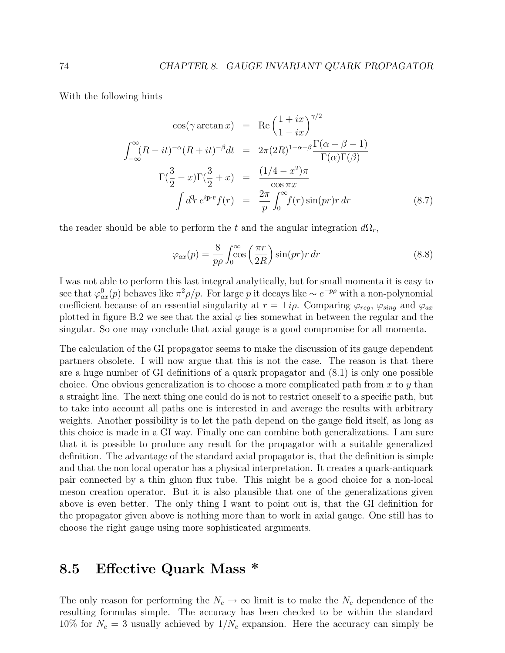With the following hints

$$
\cos(\gamma \arctan x) = \text{Re}\left(\frac{1+ix}{1-ix}\right)^{\gamma/2}
$$

$$
\int_{-\infty}^{\infty} (R-it)^{-\alpha} (R+it)^{-\beta} dt = 2\pi (2R)^{1-\alpha-\beta} \frac{\Gamma(\alpha+\beta-1)}{\Gamma(\alpha)\Gamma(\beta)}
$$

$$
\Gamma(\frac{3}{2}-x)\Gamma(\frac{3}{2}+x) = \frac{(1/4-x^2)\pi}{\cos \pi x}
$$

$$
\int d^3r \, e^{i\mathbf{p}\cdot\mathbf{r}} f(r) = \frac{2\pi}{p} \int_0^{\infty} f(r) \sin(pr)r \, dr \tag{8.7}
$$

the reader should be able to perform the t and the angular integration  $d\Omega_r$ ,

$$
\varphi_{ax}(p) = \frac{8}{p\rho} \int_0^\infty \cos\left(\frac{\pi r}{2R}\right) \sin(pr) r \, dr \tag{8.8}
$$

I was not able to perform this last integral analytically, but for small momenta it is easy to see that  $\varphi_{ax}^0(p)$  behaves like  $\pi^2 \rho/p$ . For large p it decays like  $\sim e^{-p\rho}$  with a non-polynomial coefficient because of an essential singularity at  $r = \pm i\rho$ . Comparing  $\varphi_{reg}$ ,  $\varphi_{sing}$  and  $\varphi_{ax}$ plotted in figure B.2 we see that the axial  $\varphi$  lies somewhat in between the regular and the singular. So one may conclude that axial gauge is a good compromise for all momenta.

The calculation of the GI propagator seems to make the discussion of its gauge dependent partners obsolete. I will now argue that this is not the case. The reason is that there are a huge number of GI definitions of a quark propagator and (8.1) is only one possible choice. One obvious generalization is to choose a more complicated path from  $x$  to  $y$  than a straight line. The next thing one could do is not to restrict oneself to a specific path, but to take into account all paths one is interested in and average the results with arbitrary weights. Another possibility is to let the path depend on the gauge field itself, as long as this choice is made in a GI way. Finally one can combine both generalizations. I am sure that it is possible to produce any result for the propagator with a suitable generalized definition. The advantage of the standard axial propagator is, that the definition is simple and that the non local operator has a physical interpretation. It creates a quark-antiquark pair connected by a thin gluon flux tube. This might be a good choice for a non-local meson creation operator. But it is also plausible that one of the generalizations given above is even better. The only thing I want to point out is, that the GI definition for the propagator given above is nothing more than to work in axial gauge. One still has to choose the right gauge using more sophisticated arguments.

### 8.5 Effective Quark Mass \*

The only reason for performing the  $N_c \to \infty$  limit is to make the  $N_c$  dependence of the resulting formulas simple. The accuracy has been checked to be within the standard 10% for  $N_c = 3$  usually achieved by  $1/N_c$  expansion. Here the accuracy can simply be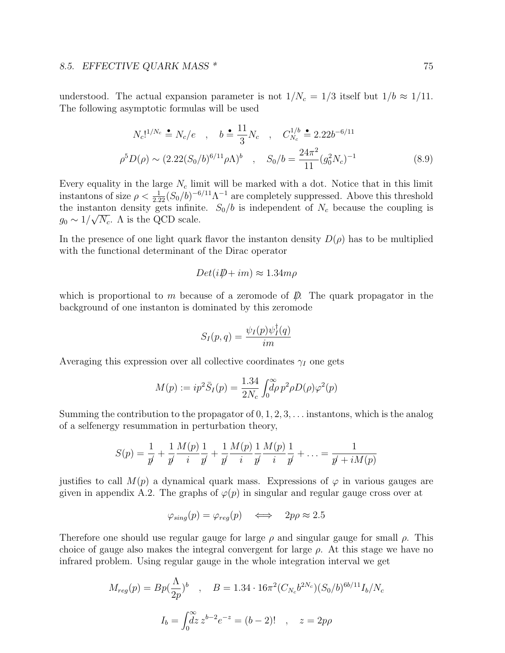### 8.5. EFFECTIVE QUARK MASS \* 75

understood. The actual expansion parameter is not  $1/N_c = 1/3$  itself but  $1/b \approx 1/11$ . The following asymptotic formulas will be used

$$
N_c!^{1/N_c} \triangleq N_c/e \quad , \quad b \triangleq \frac{11}{3} N_c \quad , \quad C_{N_c}^{1/b} \triangleq 2.22b^{-6/11}
$$

$$
\rho^5 D(\rho) \sim (2.22(S_0/b)^{6/11} \rho \Lambda)^b \quad , \quad S_0/b = \frac{24\pi^2}{11} (g_0^2 N_c)^{-1} \tag{8.9}
$$

Every equality in the large  $N_c$  limit will be marked with a dot. Notice that in this limit instantons of size  $\rho < \frac{1}{2.22} (S_0/b)^{-6/11} \Lambda^{-1}$  are completely suppressed. Above this threshold the instanton density gets infinite.  $S_0/b$  is independent of  $N_c$  because the coupling is  $g_0 \sim 1/\sqrt{N_c}$ . A is the QCD scale.

In the presence of one light quark flavor the instanton density  $D(\rho)$  has to be multiplied with the functional determinant of the Dirac operator

$$
Det(i\rlap{\,/}D + im) \approx 1.34 m\rho
$$

which is proportional to m because of a zeromode of  $\mathcal{D}$ . The quark propagator in the background of one instanton is dominated by this zeromode

$$
S_I(p,q) = \frac{\psi_I(p)\psi_I^{\dagger}(q)}{im}
$$

Averaging this expression over all collective coordinates  $\gamma_I$  one gets

$$
M(p) := ip^2 \bar{S}_I(p) = \frac{1.34}{2N_c} \int_0^\infty \rho^2 \rho D(\rho) \varphi^2(p)
$$

Summing the contribution to the propagator of  $0, 1, 2, 3, \ldots$  instantons, which is the analog of a selfenergy resummation in perturbation theory,

$$
S(p) = \frac{1}{p'} + \frac{1}{p'} \frac{M(p)}{i} \frac{1}{p'} + \frac{1}{p'} \frac{M(p)}{i} \frac{1}{p'} \frac{M(p)}{i} \frac{1}{p'} + \dots = \frac{1}{p' + iM(p)}
$$

justifies to call  $M(p)$  a dynamical quark mass. Expressions of  $\varphi$  in various gauges are given in appendix A.2. The graphs of  $\varphi(p)$  in singular and regular gauge cross over at

$$
\varphi_{sing}(p) = \varphi_{reg}(p) \quad \Longleftrightarrow \quad 2p\rho \approx 2.5
$$

Therefore one should use regular gauge for large  $\rho$  and singular gauge for small  $\rho$ . This choice of gauge also makes the integral convergent for large  $\rho$ . At this stage we have no infrared problem. Using regular gauge in the whole integration interval we get

$$
M_{reg}(p) = Bp(\frac{\Lambda}{2p})^b , \quad B = 1.34 \cdot 16\pi^2 (C_{N_c}b^{2N_c})(S_0/b)^{6b/11} I_b/N_c
$$

$$
I_b = \int_0^\infty z^{b-2} e^{-z} = (b-2)! , \quad z = 2p\rho
$$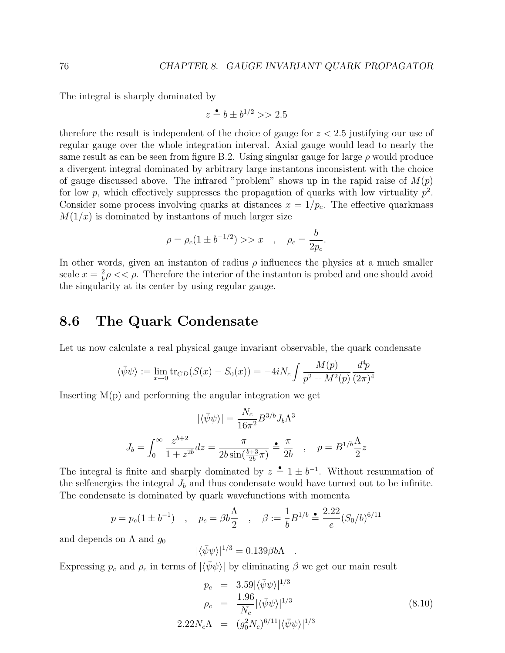The integral is sharply dominated by

$$
z \triangleq b \pm b^{1/2} >> 2.5
$$

therefore the result is independent of the choice of gauge for  $z < 2.5$  justifying our use of regular gauge over the whole integration interval. Axial gauge would lead to nearly the same result as can be seen from figure B.2. Using singular gauge for large  $\rho$  would produce a divergent integral dominated by arbitrary large instantons inconsistent with the choice of gauge discussed above. The infrared "problem" shows up in the rapid raise of  $M(p)$ for low p, which effectively suppresses the propagation of quarks with low virtuality  $p^2$ . Consider some process involving quarks at distances  $x = 1/p_c$ . The effective quarkmass  $M(1/x)$  is dominated by instantons of much larger size

$$
\rho = \rho_c (1 \pm b^{-1/2}) >> x \quad , \quad \rho_c = \frac{b}{2 p_c}.
$$

In other words, given an instanton of radius  $\rho$  influences the physics at a much smaller scale  $x=\frac{2}{b}$  $\frac{2}{b}\rho \ll \rho$ . Therefore the interior of the instanton is probed and one should avoid the singularity at its center by using regular gauge.

## 8.6 The Quark Condensate

Let us now calculate a real physical gauge invariant observable, the quark condensate

$$
\langle \bar{\psi}\psi \rangle := \lim_{x \to 0} \text{tr}_{CD}(S(x) - S_0(x)) = -4iN_c \int \frac{M(p)}{p^2 + M^2(p)} \frac{d^4p}{(2\pi)^4}
$$

Inserting M(p) and performing the angular integration we get

$$
|\langle \bar{\psi}\psi \rangle| = \frac{N_c}{16\pi^2} B^{3/b} J_b \Lambda^3
$$

$$
J_b = \int_0^\infty \frac{z^{b+2}}{1+z^{2b}} dz = \frac{\pi}{2b\sin(\frac{b+3}{2b}\pi)} \stackrel{\bullet}{=} \frac{\pi}{2b} \quad , \quad p = B^{1/b} \frac{\Lambda}{2} z
$$

The integral is finite and sharply dominated by  $z = 1 \pm b^{-1}$ . Without resummation of the selfenergies the integral  $J<sub>b</sub>$  and thus condensate would have turned out to be infinite. The condensate is dominated by quark wavefunctions with momenta

$$
p = p_c(1 \pm b^{-1})
$$
,  $p_c = \beta b \frac{\Lambda}{2}$ ,  $\beta := \frac{1}{b} B^{1/b} \stackrel{\bullet}{=} \frac{2.22}{e} (S_0/b)^{6/11}$ 

and depends on  $\Lambda$  and  $g_0$ 

$$
|\langle \bar{\psi}\psi \rangle|^{1/3} = 0.139 \beta b \Lambda .
$$

Expressing  $p_c$  and  $\rho_c$  in terms of  $|\langle \bar{\psi} \psi \rangle|$  by eliminating  $\beta$  we get our main result

$$
p_c = 3.59 |\langle \bar{\psi}\psi \rangle|^{1/3}
$$
  
\n
$$
\rho_c = \frac{1.96}{N_c} |\langle \bar{\psi}\psi \rangle|^{1/3}
$$
  
\n
$$
2.22N_c\Lambda = (g_0^2 N_c)^{6/11} |\langle \bar{\psi}\psi \rangle|^{1/3}
$$
\n(8.10)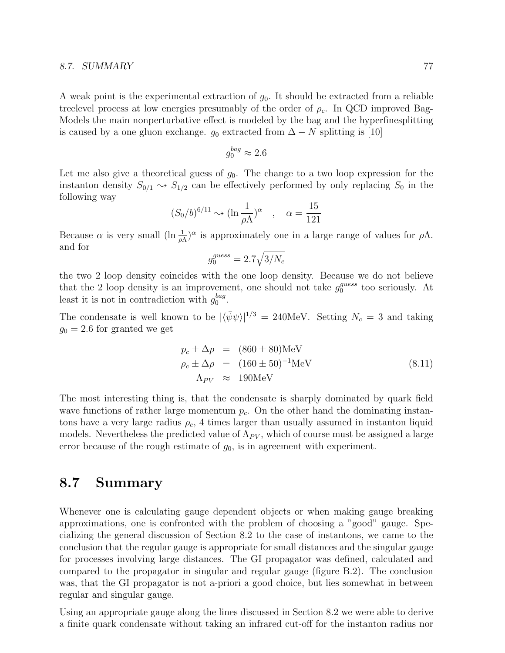#### 8.7. SUMMARY 77

A weak point is the experimental extraction of  $g_0$ . It should be extracted from a reliable treelevel process at low energies presumably of the order of  $\rho_c$ . In QCD improved Bag-Models the main nonperturbative effect is modeled by the bag and the hyperfinesplitting is caused by a one gluon exchange.  $g_0$  extracted from  $\Delta - N$  splitting is [10]

$$
g_0^{bag}\approx 2.6
$$

Let me also give a theoretical guess of  $g_0$ . The change to a two loop expression for the instanton density  $S_{0/1} \sim S_{1/2}$  can be effectively performed by only replacing  $S_0$  in the following way

$$
(S_0/b)^{6/11} \sim (\ln \frac{1}{\rho \Lambda})^{\alpha} , \quad \alpha = \frac{15}{121}
$$

Because  $\alpha$  is very small  $(\ln \frac{1}{\rho \Lambda})^{\alpha}$  is approximately one in a large range of values for  $\rho \Lambda$ . and for  $\mathcal{L}_{\mathcal{A}}$ 

$$
g_0^{guess} = 2.7\sqrt{3/N_c}
$$

the two 2 loop density coincides with the one loop density. Because we do not believe that the 2 loop density is an improvement, one should not take  $g_0^{guess}$  $_0^{guess}$  too seriously. At least it is not in contradiction with  $g_0^{bag}$  $_{0}^{bag}.$ 

The condensate is well known to be  $|\langle \bar{\psi}\psi \rangle|^{1/3} = 240 \text{MeV}$ . Setting  $N_c = 3$  and taking  $g_0 = 2.6$  for granted we get

$$
p_c \pm \Delta p = (860 \pm 80) \text{MeV}
$$
  
\n
$$
\rho_c \pm \Delta \rho = (160 \pm 50)^{-1} \text{MeV}
$$
  
\n
$$
\Lambda_{PV} \approx 190 \text{MeV}
$$
 (8.11)

The most interesting thing is, that the condensate is sharply dominated by quark field wave functions of rather large momentum  $p_c$ . On the other hand the dominating instantons have a very large radius  $\rho_c$ , 4 times larger than usually assumed in instanton liquid models. Nevertheless the predicted value of  $\Lambda_{PV}$ , which of course must be assigned a large error because of the rough estimate of  $g_0$ , is in agreement with experiment.

## 8.7 Summary

Whenever one is calculating gauge dependent objects or when making gauge breaking approximations, one is confronted with the problem of choosing a "good" gauge. Specializing the general discussion of Section 8.2 to the case of instantons, we came to the conclusion that the regular gauge is appropriate for small distances and the singular gauge for processes involving large distances. The GI propagator was defined, calculated and compared to the propagator in singular and regular gauge (figure B.2). The conclusion was, that the GI propagator is not a-priori a good choice, but lies somewhat in between regular and singular gauge.

Using an appropriate gauge along the lines discussed in Section 8.2 we were able to derive a finite quark condensate without taking an infrared cut-off for the instanton radius nor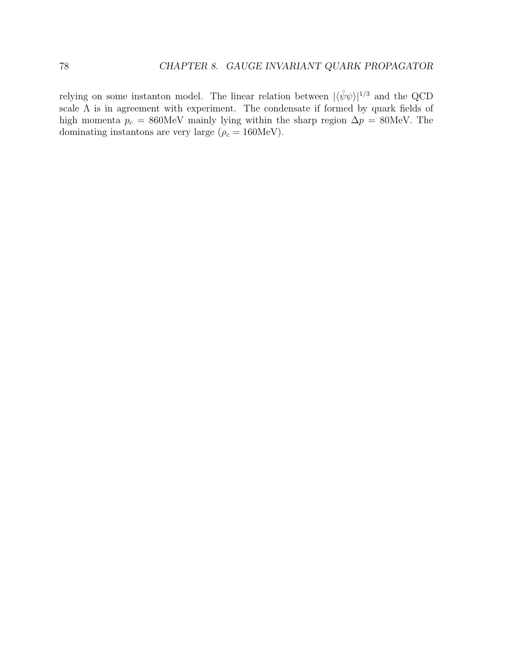relying on some instanton model. The linear relation between  $|\langle \bar{\psi}\psi \rangle|^{1/3}$  and the QCD scale  $\Lambda$  is in agreement with experiment. The condensate if formed by quark fields of high momenta  $p_c = 860$ MeV mainly lying within the sharp region  $\Delta p = 80$ MeV. The dominating instantons are very large ( $\rho_c = 160 \text{MeV}$ ).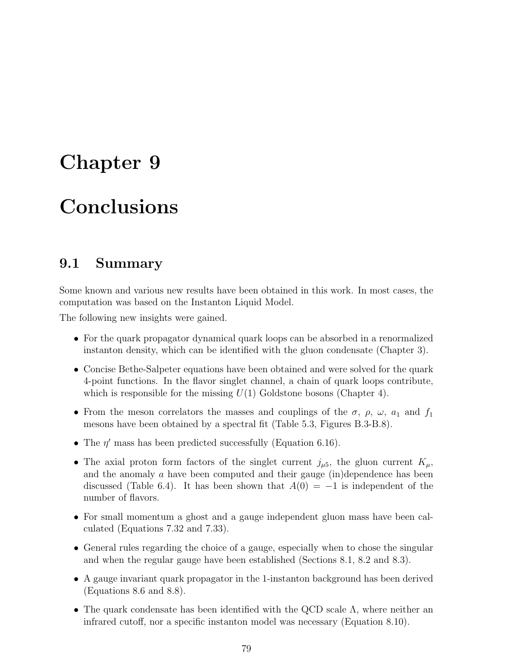## Chapter 9

# Conclusions

## 9.1 Summary

Some known and various new results have been obtained in this work. In most cases, the computation was based on the Instanton Liquid Model.

The following new insights were gained.

- For the quark propagator dynamical quark loops can be absorbed in a renormalized instanton density, which can be identified with the gluon condensate (Chapter 3).
- Concise Bethe-Salpeter equations have been obtained and were solved for the quark 4-point functions. In the flavor singlet channel, a chain of quark loops contribute, which is responsible for the missing  $U(1)$  Goldstone bosons (Chapter 4).
- From the meson correlators the masses and couplings of the  $\sigma$ ,  $\rho$ ,  $\omega$ ,  $a_1$  and  $f_1$ mesons have been obtained by a spectral fit (Table 5.3, Figures B.3-B.8).
- The  $\eta'$  mass has been predicted successfully (Equation 6.16).
- The axial proton form factors of the singlet current  $j_{\mu 5}$ , the gluon current  $K_{\mu}$ , and the anomaly  $a$  have been computed and their gauge  $(in)$ dependence has been discussed (Table 6.4). It has been shown that  $A(0) = -1$  is independent of the number of flavors.
- For small momentum a ghost and a gauge independent gluon mass have been calculated (Equations 7.32 and 7.33).
- General rules regarding the choice of a gauge, especially when to chose the singular and when the regular gauge have been established (Sections 8.1, 8.2 and 8.3).
- A gauge invariant quark propagator in the 1-instanton background has been derived (Equations 8.6 and 8.8).
- The quark condensate has been identified with the QCD scale  $\Lambda$ , where neither an infrared cutoff, nor a specific instanton model was necessary (Equation 8.10).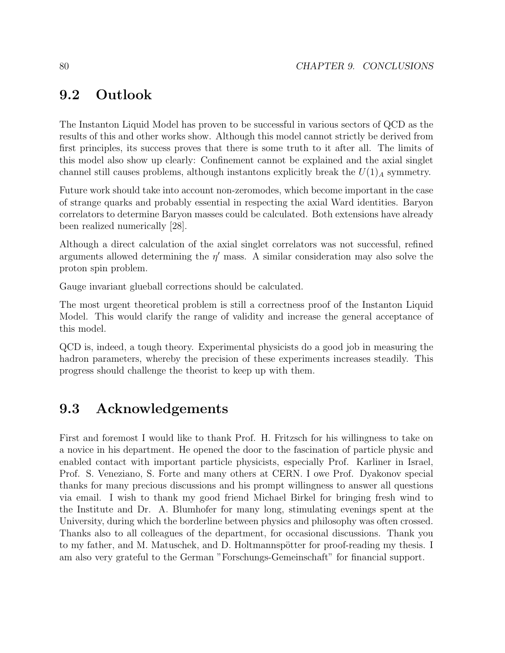## 9.2 Outlook

The Instanton Liquid Model has proven to be successful in various sectors of QCD as the results of this and other works show. Although this model cannot strictly be derived from first principles, its success proves that there is some truth to it after all. The limits of this model also show up clearly: Confinement cannot be explained and the axial singlet channel still causes problems, although instantons explicitly break the  $U(1)_A$  symmetry.

Future work should take into account non-zeromodes, which become important in the case of strange quarks and probably essential in respecting the axial Ward identities. Baryon correlators to determine Baryon masses could be calculated. Both extensions have already been realized numerically [28].

Although a direct calculation of the axial singlet correlators was not successful, refined arguments allowed determining the  $\eta'$  mass. A similar consideration may also solve the proton spin problem.

Gauge invariant glueball corrections should be calculated.

The most urgent theoretical problem is still a correctness proof of the Instanton Liquid Model. This would clarify the range of validity and increase the general acceptance of this model.

QCD is, indeed, a tough theory. Experimental physicists do a good job in measuring the hadron parameters, whereby the precision of these experiments increases steadily. This progress should challenge the theorist to keep up with them.

## 9.3 Acknowledgements

First and foremost I would like to thank Prof. H. Fritzsch for his willingness to take on a novice in his department. He opened the door to the fascination of particle physic and enabled contact with important particle physicists, especially Prof. Karliner in Israel, Prof. S. Veneziano, S. Forte and many others at CERN. I owe Prof. Dyakonov special thanks for many precious discussions and his prompt willingness to answer all questions via email. I wish to thank my good friend Michael Birkel for bringing fresh wind to the Institute and Dr. A. Blumhofer for many long, stimulating evenings spent at the University, during which the borderline between physics and philosophy was often crossed. Thanks also to all colleagues of the department, for occasional discussions. Thank you to my father, and M. Matuschek, and D. Holtmannspötter for proof-reading my thesis. I am also very grateful to the German "Forschungs-Gemeinschaft" for financial support.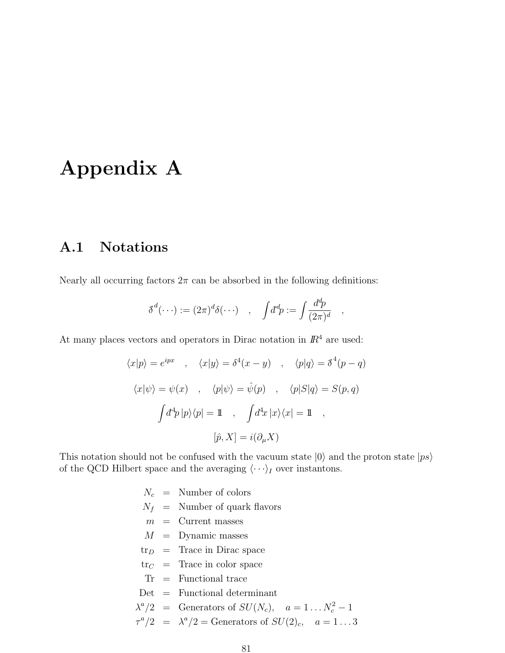# Appendix A

## A.1 Notations

Nearly all occurring factors  $2\pi$  can be absorbed in the following definitions:

$$
\delta^d(\cdots) := (2\pi)^d \delta(\cdots) \quad , \quad \int d^d p := \int \frac{d^d p}{(2\pi)^d}
$$

,

At many places vectors and operators in Dirac notation in  $\mathbb{R}^4$  are used:

$$
\langle x|p\rangle = e^{ipx} \quad , \quad \langle x|y\rangle = \delta^4(x - y) \quad , \quad \langle p|q\rangle = \delta^4(p - q)
$$

$$
\langle x|\psi\rangle = \psi(x) \quad , \quad \langle p|\psi\rangle = \hat{\psi}(p) \quad , \quad \langle p|S|q\rangle = S(p, q)
$$

$$
\int d^4p |p\rangle\langle p| = 1 \quad , \quad \int d^4x |x\rangle\langle x| = 1 \quad ,
$$

$$
[\hat{p}, X] = i(\partial_\mu X)
$$

This notation should not be confused with the vacuum state  $|0\rangle$  and the proton state  $|p\hat{s}\rangle$ of the QCD Hilbert space and the averaging  $\langle \cdots \rangle_I$  over instantons.

|  | $N_c$ = Number of colors                                                      |
|--|-------------------------------------------------------------------------------|
|  | $N_f$ = Number of quark flavors                                               |
|  | $m =$ Current masses                                                          |
|  | $M =$ Dynamic masses                                                          |
|  | $\text{tr}_{D}$ = Trace in Dirac space                                        |
|  | $\text{tr}_C =$ Trace in color space                                          |
|  | $Tr =$ Functional trace                                                       |
|  | $Det =$ Functional determinant                                                |
|  | $\lambda^a/2$ = Generators of $SU(N_c)$ , $a=1N_c^2-1$                        |
|  | $\tau^a/2 = \lambda^a/2 = \text{Generators of } SU(2)_c, \quad a = 1 \dots 3$ |
|  |                                                                               |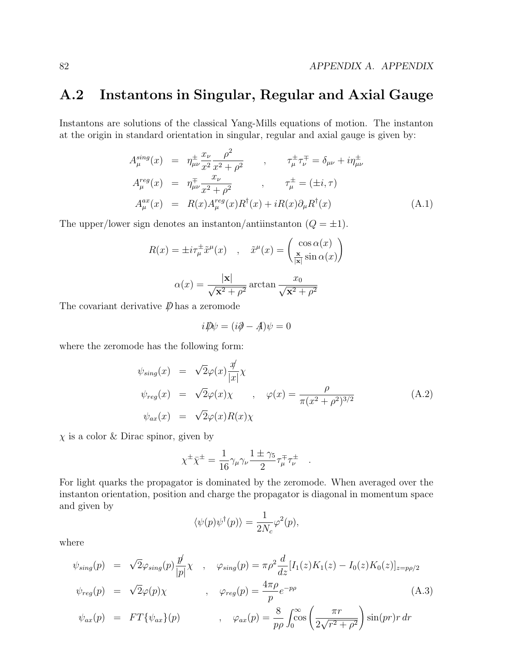## A.2 Instantons in Singular, Regular and Axial Gauge

Instantons are solutions of the classical Yang-Mills equations of motion. The instanton at the origin in standard orientation in singular, regular and axial gauge is given by:

$$
A_{\mu}^{sing}(x) = \eta_{\mu\nu}^{\pm} \frac{x_{\nu}}{x^2} \frac{\rho^2}{x^2 + \rho^2} , \qquad \tau_{\mu}^{\pm} \tau_{\nu}^{\mp} = \delta_{\mu\nu} + i \eta_{\mu\nu}^{\pm} A_{\mu}^{reg}(x) = \eta_{\mu\nu}^{\mp} \frac{x_{\nu}}{x^2 + \rho^2} , \qquad \tau_{\mu}^{\pm} = (\pm i, \tau) A_{\mu}^{ax}(x) = R(x) A_{\mu}^{reg}(x) R^{\dagger}(x) + i R(x) \partial_{\mu} R^{\dagger}(x)
$$
 (A.1)

The upper/lower sign denotes an instanton/antiinstanton  $(Q = \pm 1)$ .

$$
R(x) = \pm i\tau_{\mu}^{\pm}\tilde{x}^{\mu}(x) , \quad \tilde{x}^{\mu}(x) = \begin{pmatrix} \cos \alpha(x) \\ \frac{\mathbf{x}}{|\mathbf{x}|} \sin \alpha(x) \end{pmatrix}
$$

$$
\alpha(x) = \frac{|\mathbf{x}|}{\sqrt{\mathbf{x}^2 + \rho^2}} \arctan \frac{x_0}{\sqrt{\mathbf{x}^2 + \rho^2}}
$$

The covariant derivative  $\not\!\!\!D$  has a zeromode

$$
i\rlap{\,/}D\psi = (i\partial \!\!\!/- A)\psi = 0
$$

where the zeromode has the following form:

$$
\psi_{sing}(x) = \sqrt{2}\varphi(x)\frac{\psi}{|x|}\chi
$$
  
\n
$$
\psi_{reg}(x) = \sqrt{2}\varphi(x)\chi \qquad , \quad \varphi(x) = \frac{\rho}{\pi(x^2 + \rho^2)^{3/2}}
$$
  
\n
$$
\psi_{ax}(x) = \sqrt{2}\varphi(x)R(x)\chi
$$
\n(A.2)

 $\chi$  is a color & Dirac spinor, given by

$$
\chi^{\pm} \bar{\chi}^{\pm} = \frac{1}{16} \gamma_{\mu} \gamma_{\nu} \frac{1 \pm \gamma_5}{2} \tau_{\mu}^{\mp} \tau_{\nu}^{\pm} .
$$

For light quarks the propagator is dominated by the zeromode. When averaged over the instanton orientation, position and charge the propagator is diagonal in momentum space and given by

$$
\langle \psi(p)\psi^\dagger(p)\rangle = \frac{1}{2N_c}\varphi^2(p),
$$

where

$$
\psi_{sing}(p) = \sqrt{2}\varphi_{sing}(p)\frac{p}{|p|}\chi , \quad \varphi_{sing}(p) = \pi \rho^2 \frac{d}{dz}[I_1(z)K_1(z) - I_0(z)K_0(z)]_{z=p\rho/2}
$$
  

$$
\psi_{reg}(p) = \sqrt{2}\varphi(p)\chi , \quad \varphi_{reg}(p) = \frac{4\pi \rho}{p}e^{-p\rho}
$$
  

$$
\psi_{ax}(p) = FT\{\psi_{ax}\}(p) , \quad \varphi_{ax}(p) = \frac{8}{p\rho}\int_0^\infty \cos\left(\frac{\pi r}{2\sqrt{r^2 + \rho^2}}\right)\sin(pr)r dr
$$
 (A.3)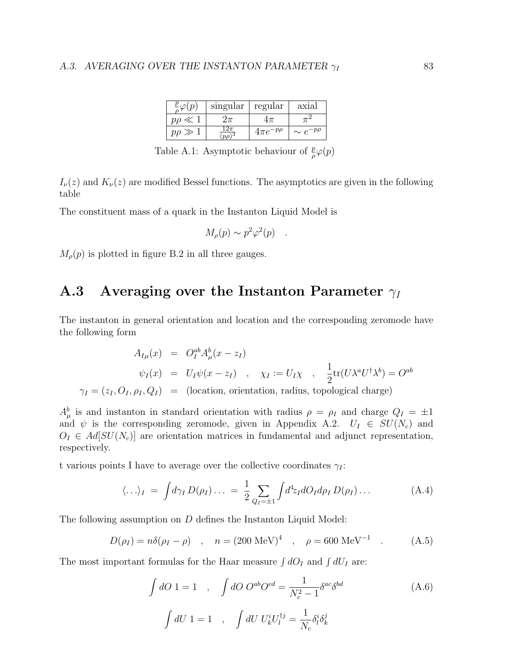|                | $singular$   regular |                   | axial             |
|----------------|----------------------|-------------------|-------------------|
| $p \rho \ll 1$ | Zπ                   |                   |                   |
| $p\rho \gg$    | $(p\rho)$            | $4\pi e^{-p\rho}$ | $\sim e^{-p\rho}$ |

Table A.1: Asymptotic behaviour of  $\frac{p}{\rho}\varphi(p)$ 

 $I_{\nu}(z)$  and  $K_{\nu}(z)$  are modified Bessel functions. The asymptotics are given in the following table

The constituent mass of a quark in the Instanton Liquid Model is

$$
M_{\rho}(p) \sim p^2 \varphi^2(p) \quad .
$$

 $M_{\rho}(p)$  is plotted in figure B.2 in all three gauges.

## A.3 Averaging over the Instanton Parameter  $\gamma_I$

The instanton in general orientation and location and the corresponding zeromode have the following form

$$
A_{I\mu}(x) = O_I^{ab} A_\mu^b(x - z_I)
$$
  
\n
$$
\psi_I(x) = U_I \psi(x - z_I) , \quad \chi_I := U_I \chi , \quad \frac{1}{2} \text{tr}(U \lambda^a U^\dagger \lambda^b) = O^{ab}
$$
  
\n
$$
\gamma_I = (z_I, O_I, \rho_I, Q_I) = \text{(location, orientation, radius, topological charge)}
$$

 $A^b_\mu$  is and instanton in standard orientation with radius  $\rho = \rho_I$  and charge  $Q_I = \pm 1$ and  $\psi$  is the corresponding zeromode, given in Appendix A.2.  $U_I \in SU(N_c)$  and  $O_I \in Ad[SU(N_c)]$  are orientation matrices in fundamental and adjunct representation, respectively.

t various points I have to average over the collective coordinates  $\gamma_I$ :

$$
\langle \ldots \rangle_I = \int d\gamma_I D(\rho_I) \ldots = \frac{1}{2} \sum_{Q_I = \pm 1} \int d^4 z_I dO_I d\rho_I D(\rho_I) \ldots
$$
 (A.4)

The following assumption on D defines the Instanton Liquid Model:

$$
D(\rho_I) = n\delta(\rho_I - \rho) \quad , \quad n = (200 \text{ MeV})^4 \quad , \quad \rho = 600 \text{ MeV}^{-1} \quad . \tag{A.5}
$$

The most important formulas for the Haar measure  $\int dO_I$  and  $\int dU_I$  are:

$$
\int dO \ 1 = 1 \quad , \quad \int dO \ O^{ab}O^{cd} = \frac{1}{N_c^2 - 1} \delta^{ac} \delta^{bd}
$$
\n
$$
\int dU \ 1 = 1 \quad , \quad \int dU \ U_k^i U_l^{\dagger j} = \frac{1}{N_c} \delta_l^i \delta_k^j
$$
\n(A.6)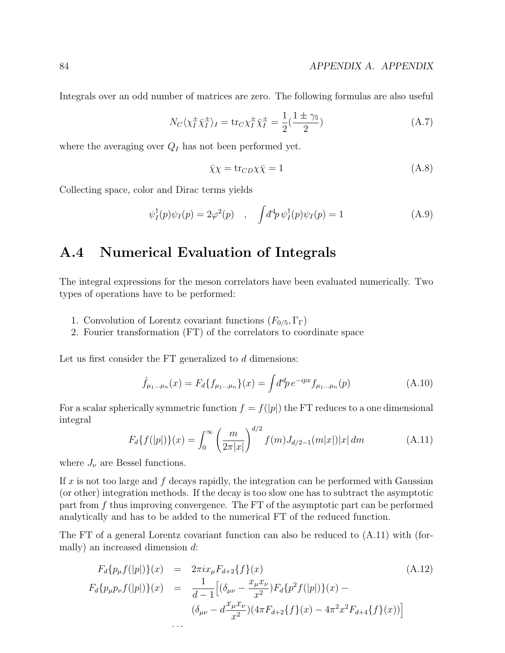Integrals over an odd number of matrices are zero. The following formulas are also useful

$$
N_C \langle \chi_I^{\pm} \bar{\chi}_I^{\pm} \rangle_I = \text{tr}_C \chi_I^{\pm} \bar{\chi}_I^{\pm} = \frac{1}{2} (\frac{1 \pm \gamma_5}{2})
$$
(A.7)

where the averaging over  $Q_I$  has not been performed yet.

$$
\bar{\chi}\chi = \text{tr}_{CD}\chi\bar{\chi} = 1\tag{A.8}
$$

Collecting space, color and Dirac terms yields

$$
\psi_I^{\dagger}(p)\psi_I(p) = 2\varphi^2(p) \quad , \quad \int d^4p \,\psi_I^{\dagger}(p)\psi_I(p) = 1 \tag{A.9}
$$

## A.4 Numerical Evaluation of Integrals

The integral expressions for the meson correlators have been evaluated numerically. Two types of operations have to be performed:

- 1. Convolution of Lorentz covariant functions  $(F_{0/5}, \Gamma_{\Gamma})$
- 2. Fourier transformation (FT) of the correlators to coordinate space

Let us first consider the FT generalized to d dimensions:

$$
\hat{f}_{\mu_1...\mu_n}(x) = F_d \{ f_{\mu_1...\mu_n} \}(x) = \int d^d p \, e^{-ipx} f_{\mu_1...\mu_n}(p) \tag{A.10}
$$

For a scalar spherically symmetric function  $f = f(|p|)$  the FT reduces to a one dimensional integral

$$
F_d\{f(|p|)\}(x) = \int_0^\infty \left(\frac{m}{2\pi|x|}\right)^{d/2} f(m)J_{d/2-1}(m|x|)|x| \, dm \tag{A.11}
$$

where  $J_{\nu}$  are Bessel functions.

If x is not too large and f decays rapidly, the integration can be performed with Gaussian (or other) integration methods. If the decay is too slow one has to subtract the asymptotic part from f thus improving convergence. The FT of the asymptotic part can be performed analytically and has to be added to the numerical FT of the reduced function.

The FT of a general Lorentz covariant function can also be reduced to (A.11) with (formally) an increased dimension d:

$$
F_d\{p_\mu f(|p|)\}(x) = 2\pi i x_\mu F_{d+2}\{f\}(x)
$$
\n
$$
F_d\{p_\mu p_\nu f(|p|)\}(x) = \frac{1}{d-1} \Big[ (\delta_{\mu\nu} - \frac{x_\mu x_\nu}{x^2}) F_d\{p^2 f(|p|)\}(x) - (\delta_{\mu\nu} - d\frac{x_\mu x_\nu}{x^2}) (4\pi F_{d+2}\{f\}(x) - 4\pi^2 x^2 F_{d+4}\{f\}(x)) \Big]
$$
\n
$$
\dots
$$
\n(8.12)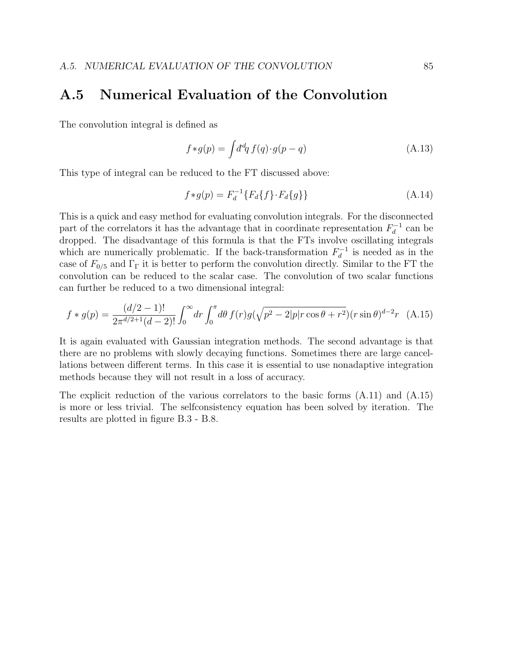## A.5 Numerical Evaluation of the Convolution

The convolution integral is defined as

$$
f * g(p) = \int d^d q f(q) \cdot g(p - q)
$$
\n(A.13)

This type of integral can be reduced to the FT discussed above:

$$
f * g(p) = F_d^{-1} \{ F_d \{ f \} \cdot F_d \{ g \} \}
$$
 (A.14)

This is a quick and easy method for evaluating convolution integrals. For the disconnected part of the correlators it has the advantage that in coordinate representation  $F_d^{-1}$  can be dropped. The disadvantage of this formula is that the FTs involve oscillating integrals which are numerically problematic. If the back-transformation  $F_d^{-1}$  is needed as in the case of  $F_{0/5}$  and  $\Gamma_{\Gamma}$  it is better to perform the convolution directly. Similar to the FT the convolution can be reduced to the scalar case. The convolution of two scalar functions can further be reduced to a two dimensional integral:

$$
f * g(p) = \frac{(d/2 - 1)!}{2\pi^{d/2 + 1}(d - 2)!} \int_0^\infty dr \int_0^\pi d\theta \, f(r)g(\sqrt{p^2 - 2|p|r\cos\theta + r^2})(r\sin\theta)^{d - 2}r \tag{A.15}
$$

It is again evaluated with Gaussian integration methods. The second advantage is that there are no problems with slowly decaying functions. Sometimes there are large cancellations between different terms. In this case it is essential to use nonadaptive integration methods because they will not result in a loss of accuracy.

The explicit reduction of the various correlators to the basic forms (A.11) and (A.15) is more or less trivial. The selfconsistency equation has been solved by iteration. The results are plotted in figure B.3 - B.8.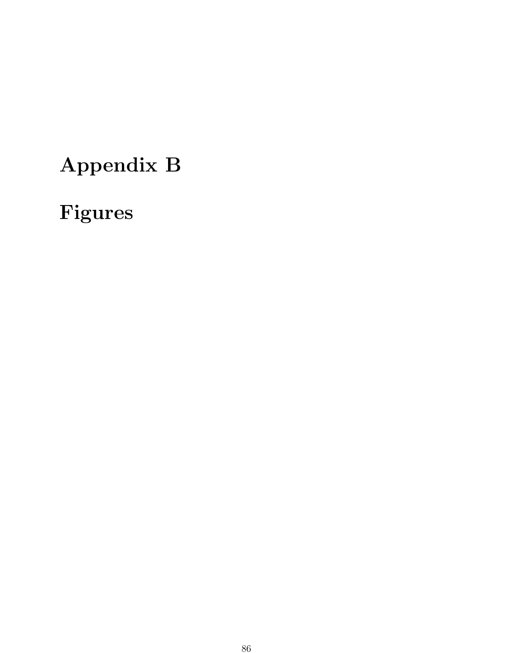# Appendix B

# Figures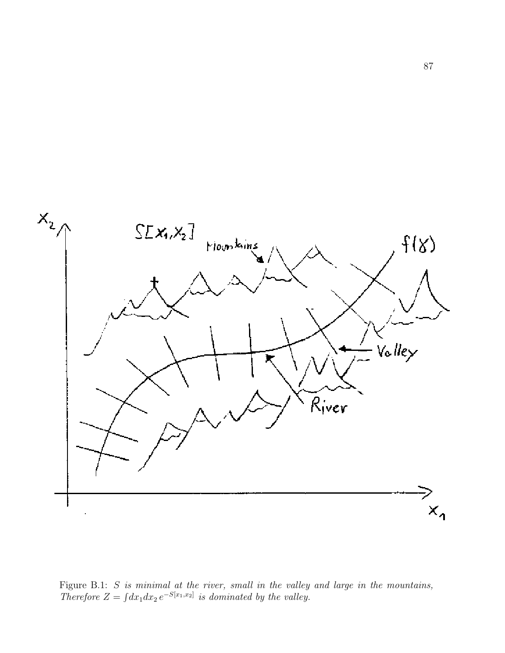

Figure B.1:  $S$  is minimal at the river, small in the valley and large in the mountains, Therefore  $Z = \int dx_1 dx_2 e^{-S[x_1,x_2]}$  is dominated by the valley.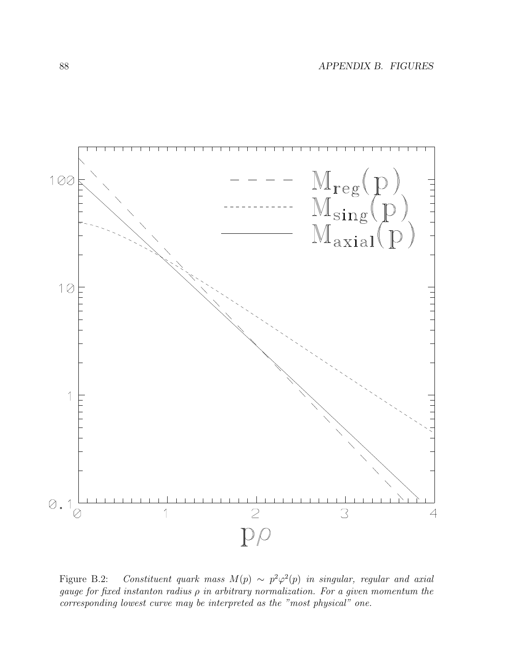

Figure B.2: Constituent quark mass  $M(p) \sim p^2 \varphi^2(p)$  in singular, regular and axial gauge for fixed instanton radius  $\rho$  in arbitrary normalization. For a given momentum the corresponding lowest curve may be interpreted as the "most physical" one.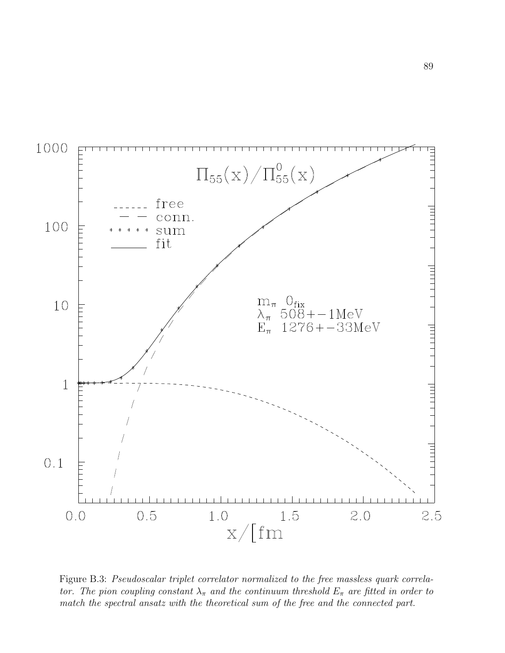

Figure B.3: Pseudoscalar triplet correlator normalized to the free massless quark correlator. The pion coupling constant  $\lambda_{\pi}$  and the continuum threshold  $E_{\pi}$  are fitted in order to match the spectral ansatz with the theoretical sum of the free and the connected part.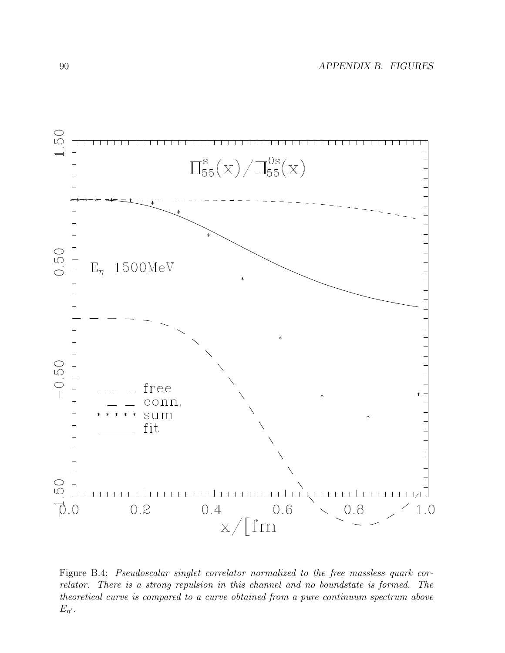

Figure B.4: Pseudoscalar singlet correlator normalized to the free massless quark correlator. There is a strong repulsion in this channel and no boundstate is formed. The theoretical curve is compared to a curve obtained from a pure continuum spectrum above  $E_{\eta'}$ .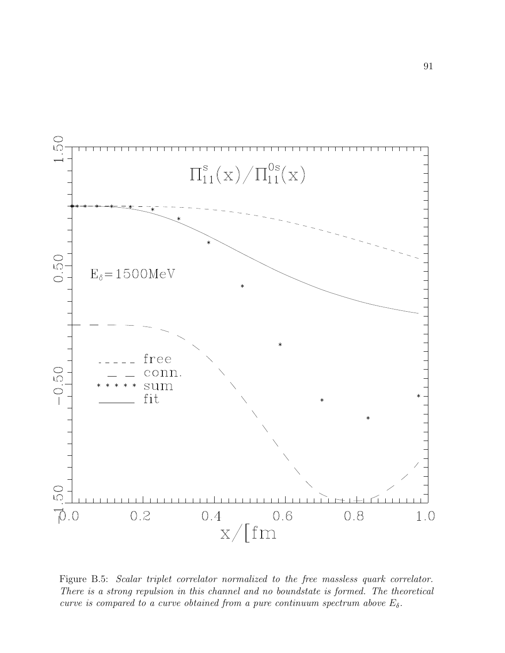

Figure B.5: Scalar triplet correlator normalized to the free massless quark correlator. There is a strong repulsion in this channel and no boundstate is formed. The theoretical curve is compared to a curve obtained from a pure continuum spectrum above  $E_{\delta}$ .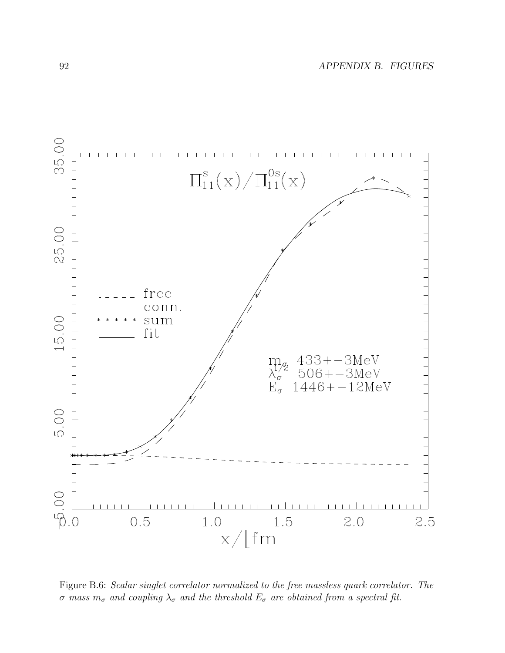

Figure B.6: Scalar singlet correlator normalized to the free massless quark correlator. The σ mass  $m_σ$  and coupling  $\lambda_σ$  and the threshold  $E_σ$  are obtained from a spectral fit.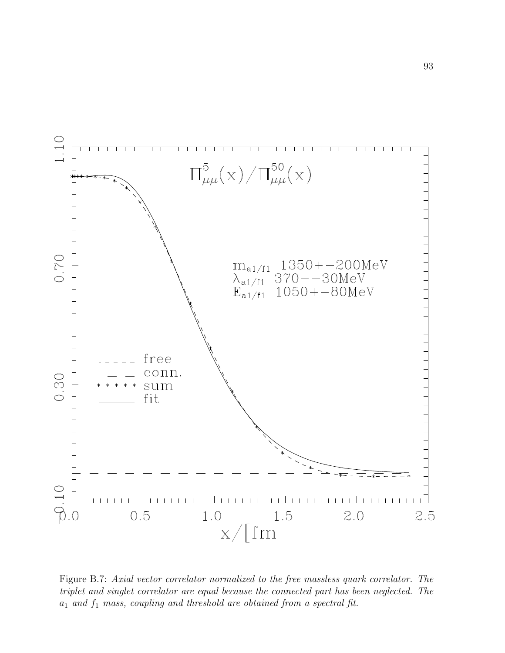

Figure B.7: Axial vector correlator normalized to the free massless quark correlator. The triplet and singlet correlator are equal because the connected part has been neglected. The  $a_1$  and  $f_1$  mass, coupling and threshold are obtained from a spectral fit.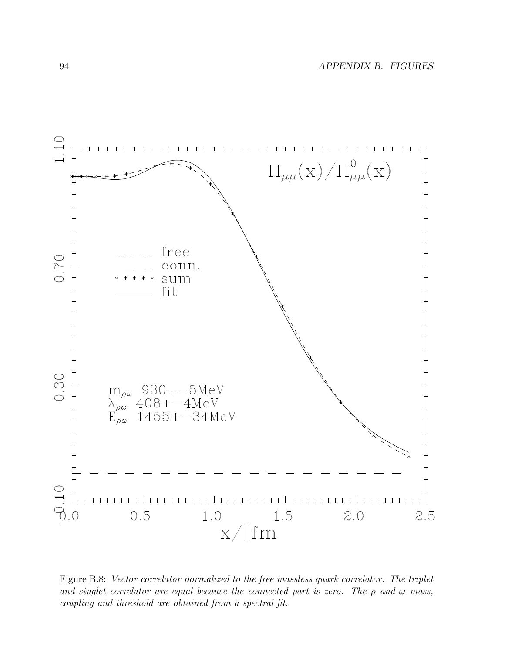

Figure B.8: Vector correlator normalized to the free massless quark correlator. The triplet and singlet correlator are equal because the connected part is zero. The  $\rho$  and  $\omega$  mass, coupling and threshold are obtained from a spectral fit.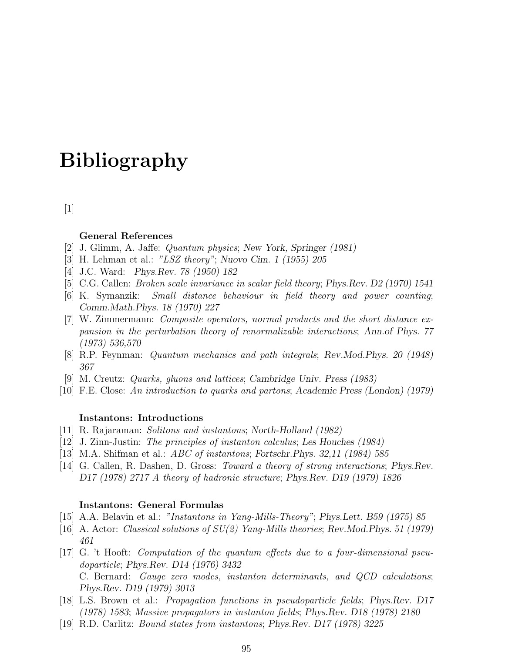## Bibliography

 $[1]$ 

### General References

- [2] J. Glimm, A. Jaffe: Quantum physics; New York, Springer (1981)
- [3] H. Lehman et al.: "LSZ theory"; Nuovo Cim. 1 (1955) 205
- [4] J.C. Ward: Phys.Rev. 78 (1950) 182
- [5] C.G. Callen: Broken scale invariance in scalar field theory; Phys.Rev. D2 (1970) 1541
- [6] K. Symanzik: Small distance behaviour in field theory and power counting; Comm.Math.Phys. 18 (1970) 227
- [7] W. Zimmermann: Composite operators, normal products and the short distance expansion in the perturbation theory of renormalizable interactions; Ann.of Phys. 77 (1973) 536,570
- [8] R.P. Feynman: Quantum mechanics and path integrals; Rev.Mod.Phys. 20 (1948) 367
- [9] M. Creutz: Quarks, gluons and lattices; Cambridge Univ. Press (1983)
- [10] F.E. Close: An introduction to quarks and partons; Academic Press (London) (1979)

### Instantons: Introductions

- [11] R. Rajaraman: Solitons and instantons; North-Holland (1982)
- [12] J. Zinn-Justin: The principles of instanton calculus; Les Houches (1984)
- [13] M.A. Shifman et al.: ABC of instantons; Fortschr.Phys. 32,11 (1984) 585
- [14] G. Callen, R. Dashen, D. Gross: Toward a theory of strong interactions; Phys.Rev. D17 (1978) 2717 A theory of hadronic structure; Phys.Rev. D19 (1979) 1826

### Instantons: General Formulas

- [15] A.A. Belavin et al.: "Instantons in Yang-Mills-Theory"; Phys.Lett. B59 (1975) 85
- [16] A. Actor: Classical solutions of SU(2) Yang-Mills theories; Rev.Mod.Phys. 51 (1979) 461
- [17] G. 't Hooft: Computation of the quantum effects due to a four-dimensional pseudoparticle; Phys.Rev. D14 (1976) 3432 C. Bernard: Gauge zero modes, instanton determinants, and QCD calculations; Phys.Rev. D19 (1979) 3013
- [18] L.S. Brown et al.: Propagation functions in pseudoparticle fields; Phys.Rev. D17 (1978) 1583; Massive propagators in instanton fields; Phys.Rev. D18 (1978) 2180
- [19] R.D. Carlitz: Bound states from instantons; Phys.Rev. D17 (1978) 3225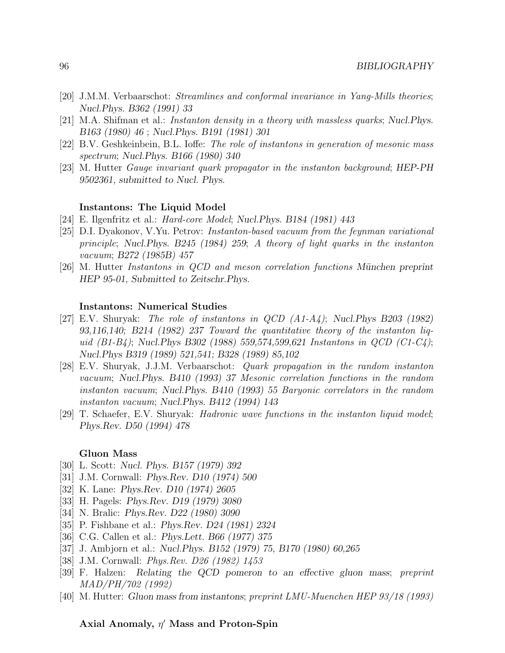- [20] J.M.M. Verbaarschot: Streamlines and conformal invariance in Yang-Mills theories; Nucl.Phys. B362 (1991) 33
- [21] M.A. Shifman et al.: Instanton density in a theory with massless quarks; Nucl.Phys. B163 (1980) 46 ; Nucl.Phys. B191 (1981) 301
- [22] B.V. Geshkeinbein, B.L. Ioffe: The role of instantons in generation of mesonic mass spectrum; Nucl.Phys. B166 (1980) 340
- [23] M. Hutter Gauge invariant quark propagator in the instanton background; HEP-PH 9502361, submitted to Nucl. Phys.

### Instantons: The Liquid Model

- [24] E. Ilgenfritz et al.: Hard-core Model; Nucl.Phys. B184 (1981) 443
- [25] D.I. Dyakonov, V.Yu. Petrov: Instanton-based vacuum from the feynman variational principle; Nucl.Phys. B245 (1984) 259; A theory of light quarks in the instanton vacuum; B272 (1985B) 457
- [26] M. Hutter *Instantons in QCD and meson correlation functions München preprint* HEP 95-01, Submitted to Zeitschr.Phys.

#### Instantons: Numerical Studies

- [27] E.V. Shuryak: The role of instantons in QCD (A1-A4); Nucl.Phys B203 (1982) 93,116,140; B214 (1982) 237 Toward the quantitative theory of the instanton liquid  $(B1-B4)$ ; Nucl.Phys B302 (1988) 559,574,599,621 Instantons in QCD (C1-C4); Nucl.Phys B319 (1989) 521,541; B328 (1989) 85,102
- [28] E.V. Shuryak, J.J.M. Verbaarschot: Quark propagation in the random instanton vacuum; Nucl.Phys. B410 (1993) 37 Mesonic correlation functions in the random instanton vacuum; Nucl.Phys. B410 (1993) 55 Baryonic correlators in the random instanton vacuum; Nucl.Phys. B412 (1994) 143
- [29] T. Schaefer, E.V. Shuryak: Hadronic wave functions in the instanton liquid model; Phys.Rev. D50 (1994) 478

### Gluon Mass

- [30] L. Scott: Nucl. Phys. B157 (1979) 392
- [31] J.M. Cornwall: Phys.Rev. D10 (1974) 500
- [32] K. Lane: *Phys.Rev. D10 (1974) 2605*
- [33] H. Pagels: Phys.Rev. D19 (1979) 3080
- [34] N. Bralic: *Phys.Rev. D22 (1980) 3090*
- [35] P. Fishbane et al.: Phys.Rev. D24 (1981) 2324
- [36] C.G. Callen et al.: Phys.Lett. B66 (1977) 375
- [37] J. Ambjorn et al.: Nucl.Phys. B152 (1979) 75, B170 (1980) 60,265
- [38] J.M. Cornwall: Phys.Rev. D26 (1982) 1453
- [39] F. Halzen: Relating the QCD pomeron to an effective gluon mass; preprint MAD/PH/702 (1992)
- [40] M. Hutter: Gluon mass from instantons; preprint LMU-Muenchen HEP 93/18 (1993)

### Axial Anomaly,  $\eta'$  Mass and Proton-Spin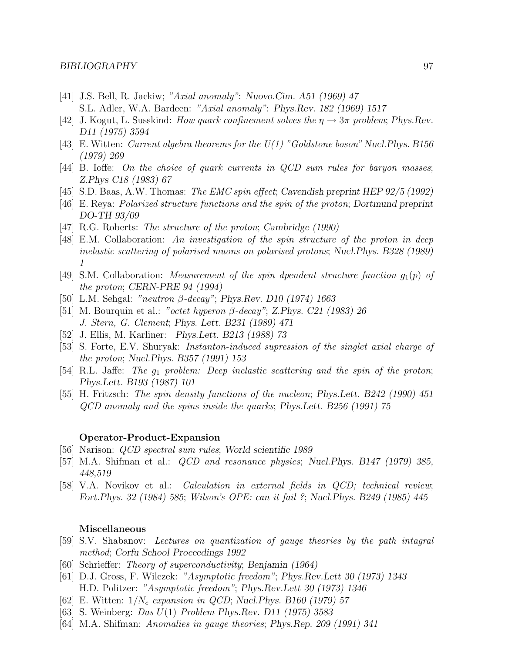- [41] J.S. Bell, R. Jackiw; "Axial anomaly": Nuovo.Cim. A51 (1969) 47 S.L. Adler, W.A. Bardeen: "Axial anomaly": Phys.Rev. 182 (1969) 1517
- [42] J. Kogut, L. Susskind: How quark confinement solves the  $\eta \to 3\pi$  problem; Phys. Rev. D11 (1975) 3594
- [43] E. Witten: Current algebra theorems for the  $U(1)$  "Goldstone boson" Nucl. Phys. B156 (1979) 269
- [44] B. Ioffe: On the choice of quark currents in QCD sum rules for baryon masses; Z.Phys C18 (1983) 67
- [45] S.D. Baas, A.W. Thomas: The EMC spin effect; Cavendish preprint HEP 92/5 (1992)
- [46] E. Reya: Polarized structure functions and the spin of the proton; Dortmund preprint DO-TH 93/09
- [47] R.G. Roberts: *The structure of the proton*; *Cambridge (1990)*
- [48] E.M. Collaboration: An investigation of the spin structure of the proton in deep inelastic scattering of polarised muons on polarised protons; Nucl.Phys. B328 (1989) 1
- [49] S.M. Collaboration: *Measurement of the spin dpendent structure function*  $g_1(p)$  of the proton; CERN-PRE 94 (1994)
- [50] L.M. Sehgal: "neutron β-decay"; Phys.Rev. D10 (1974) 1663
- [51] M. Bourquin et al.: "octet hyperon β-decay"; Z.Phys. C21 (1983) 26 J. Stern, G. Clement; Phys. Lett. B231 (1989) 471
- [52] J. Ellis, M. Karliner: Phys.Lett. B213 (1988) 73
- [53] S. Forte, E.V. Shuryak: Instanton-induced supression of the singlet axial charge of the proton; Nucl.Phys. B357 (1991) 153
- [54] R.L. Jaffe: The  $g_1$  problem: Deep inelastic scattering and the spin of the proton; Phys.Lett. B193 (1987) 101
- [55] H. Fritzsch: The spin density functions of the nucleon; Phys.Lett. B242 (1990) 451 QCD anomaly and the spins inside the quarks; Phys.Lett. B256 (1991) 75

### Operator-Product-Expansion

- [56] Narison: QCD spectral sum rules; World scientific 1989
- [57] M.A. Shifman et al.: *QCD and resonance physics*; Nucl. Phys. B147 (1979) 385, 448,519
- [58] V.A. Novikov et al.: Calculation in external fields in QCD; technical review; Fort.Phys. 32 (1984) 585; Wilson's OPE: can it fail ?; Nucl.Phys. B249 (1985) 445

### Miscellaneous

- [59] S.V. Shabanov: Lectures on quantization of gauge theories by the path intagral method; Corfu School Proceedings 1992
- [60] Schrieffer: Theory of superconductivity; Benjamin (1964)
- [61] D.J. Gross, F. Wilczek: "Asymptotic freedom"; Phys.Rev.Lett 30 (1973) 1343 H.D. Politzer: "Asymptotic freedom"; Phys.Rev.Lett 30 (1973) 1346
- [62] E. Witten:  $1/N_c$  expansion in QCD; Nucl. Phys. B160 (1979) 57
- [63] S. Weinberg: Das U(1) Problem Phys.Rev. D11 (1975) 3583
- [64] M.A. Shifman: Anomalies in gauge theories; Phys.Rep. 209 (1991) 341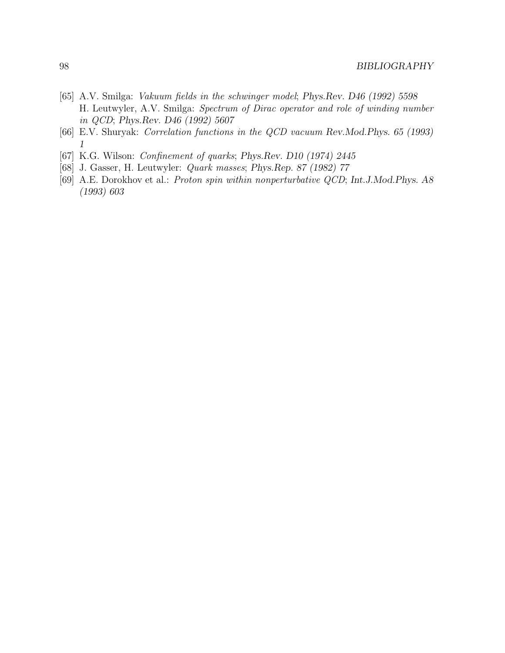- [65] A.V. Smilga: Vakuum fields in the schwinger model; Phys.Rev. D46 (1992) 5598 H. Leutwyler, A.V. Smilga: Spectrum of Dirac operator and role of winding number in QCD; Phys.Rev. D46 (1992) 5607
- [66] E.V. Shuryak: Correlation functions in the QCD vacuum Rev.Mod.Phys. 65 (1993) 1
- [67] K.G. Wilson: Confinement of quarks; Phys.Rev. D10 (1974) 2445
- [68] J. Gasser, H. Leutwyler: Quark masses; Phys.Rep. 87 (1982) 77
- [69] A.E. Dorokhov et al.: Proton spin within nonperturbative QCD; Int.J.Mod.Phys. A8 (1993) 603